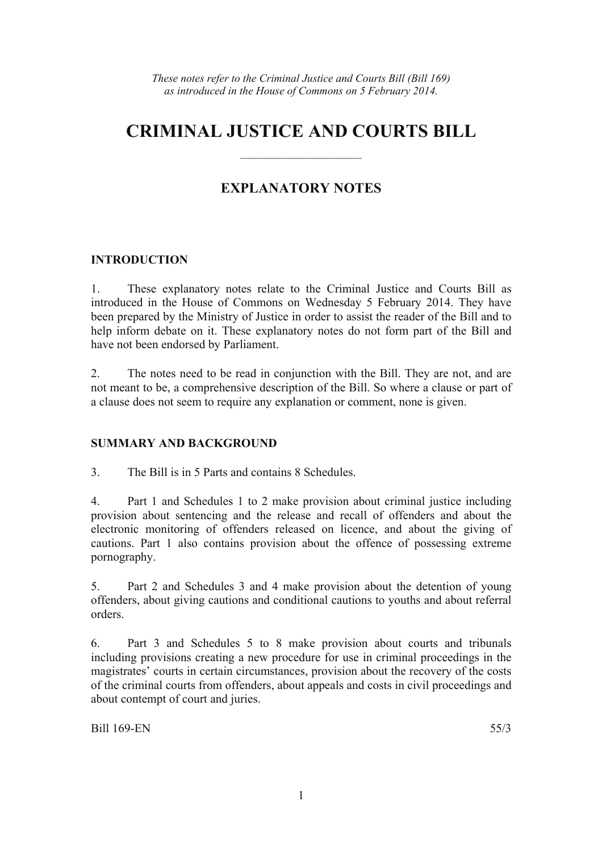# **CRIMINAL JUSTICE AND COURTS BILL**

——————————

# **EXPLANATORY NOTES**

## **INTRODUCTION**

1. These explanatory notes relate to the Criminal Justice and Courts Bill as introduced in the House of Commons on Wednesday 5 February 2014. They have been prepared by the Ministry of Justice in order to assist the reader of the Bill and to help inform debate on it. These explanatory notes do not form part of the Bill and have not been endorsed by Parliament.

2. The notes need to be read in conjunction with the Bill. They are not, and are not meant to be, a comprehensive description of the Bill. So where a clause or part of a clause does not seem to require any explanation or comment, none is given.

## **SUMMARY AND BACKGROUND**

3. The Bill is in 5 Parts and contains 8 Schedules.

4. Part 1 and Schedules 1 to 2 make provision about criminal justice including provision about sentencing and the release and recall of offenders and about the electronic monitoring of offenders released on licence, and about the giving of cautions. Part 1 also contains provision about the offence of possessing extreme pornography.

5. Part 2 and Schedules 3 and 4 make provision about the detention of young offenders, about giving cautions and conditional cautions to youths and about referral orders.

6. Part 3 and Schedules 5 to 8 make provision about courts and tribunals including provisions creating a new procedure for use in criminal proceedings in the magistrates' courts in certain circumstances, provision about the recovery of the costs of the criminal courts from offenders, about appeals and costs in civil proceedings and about contempt of court and juries.

Bill 169-EN 55/3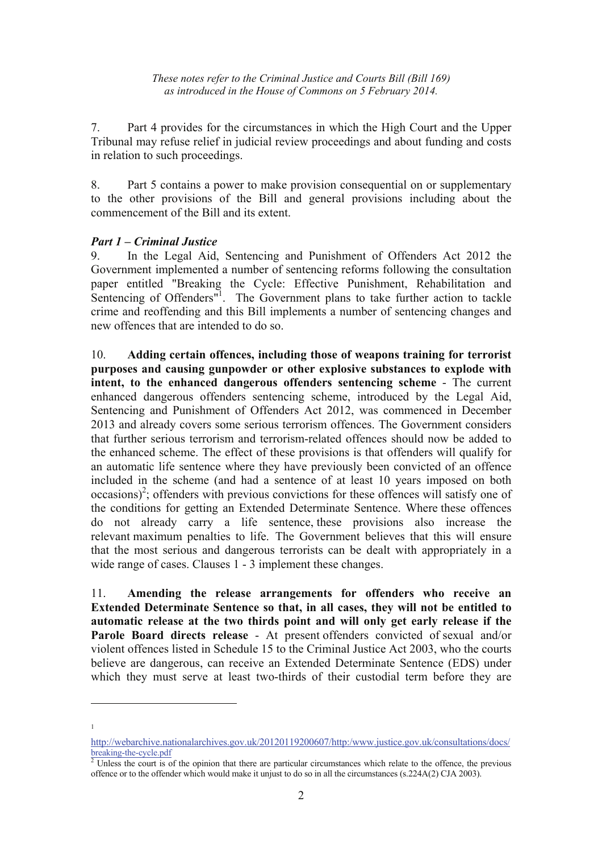7. Part 4 provides for the circumstances in which the High Court and the Upper Tribunal may refuse relief in judicial review proceedings and about funding and costs in relation to such proceedings.

8. Part 5 contains a power to make provision consequential on or supplementary to the other provisions of the Bill and general provisions including about the commencement of the Bill and its extent.

#### *Part 1 – Criminal Justice*

9. In the Legal Aid, Sentencing and Punishment of Offenders Act 2012 the Government implemented a number of sentencing reforms following the consultation paper entitled "Breaking the Cycle: Effective Punishment, Rehabilitation and Sentencing of Offenders<sup>"1</sup>. The Government plans to take further action to tackle crime and reoffending and this Bill implements a number of sentencing changes and new offences that are intended to do so.

10. **Adding certain offences, including those of weapons training for terrorist purposes and causing gunpowder or other explosive substances to explode with intent, to the enhanced dangerous offenders sentencing scheme** - The current enhanced dangerous offenders sentencing scheme, introduced by the Legal Aid, Sentencing and Punishment of Offenders Act 2012, was commenced in December 2013 and already covers some serious terrorism offences. The Government considers that further serious terrorism and terrorism-related offences should now be added to the enhanced scheme. The effect of these provisions is that offenders will qualify for an automatic life sentence where they have previously been convicted of an offence included in the scheme (and had a sentence of at least 10 years imposed on both  $occasions)<sup>2</sup>$ ; offenders with previous convictions for these offences will satisfy one of the conditions for getting an Extended Determinate Sentence. Where these offences do not already carry a life sentence, these provisions also increase the relevant maximum penalties to life. The Government believes that this will ensure that the most serious and dangerous terrorists can be dealt with appropriately in a wide range of cases. Clauses 1 - 3 implement these changes.

11. **Amending the release arrangements for offenders who receive an Extended Determinate Sentence so that, in all cases, they will not be entitled to automatic release at the two thirds point and will only get early release if the Parole Board directs release** - At present offenders convicted of sexual and/or violent offences listed in Schedule 15 to the Criminal Justice Act 2003, who the courts believe are dangerous, can receive an Extended Determinate Sentence (EDS) under which they must serve at least two-thirds of their custodial term before they are

1

 $\overline{a}$ 

http://webarchive.nationalarchives.gov.uk/20120119200607/http:/www.justice.gov.uk/consultations/docs/ breaking-the-cycle.pdf

 $\frac{1}{2}$  Unless the court is of the opinion that there are particular circumstances which relate to the offence, the previous offence or to the offender which would make it unjust to do so in all the circumstances (s.224A(2) CJA 2003).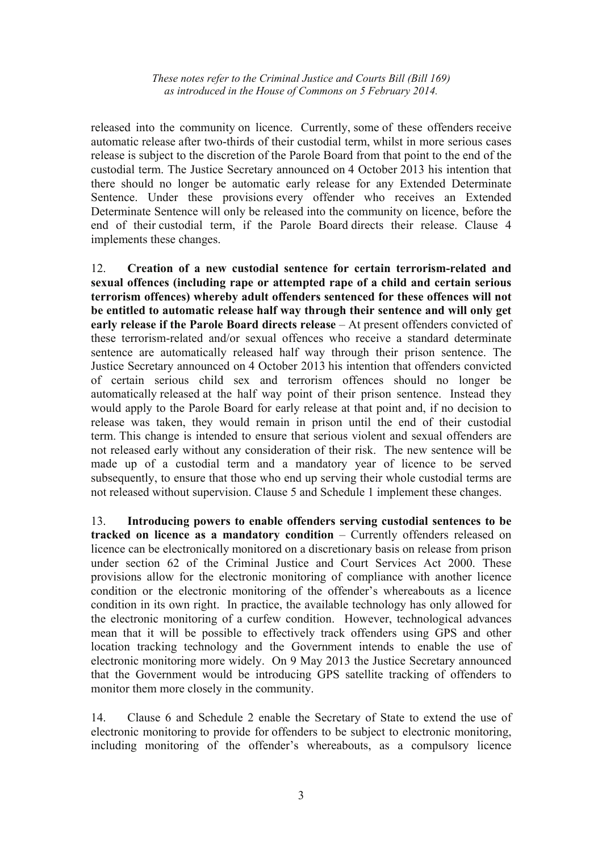released into the community on licence. Currently, some of these offenders receive automatic release after two-thirds of their custodial term, whilst in more serious cases release is subject to the discretion of the Parole Board from that point to the end of the custodial term. The Justice Secretary announced on 4 October 2013 his intention that there should no longer be automatic early release for any Extended Determinate Sentence. Under these provisions every offender who receives an Extended Determinate Sentence will only be released into the community on licence, before the end of their custodial term, if the Parole Board directs their release. Clause 4 implements these changes.

12. **Creation of a new custodial sentence for certain terrorism-related and sexual offences (including rape or attempted rape of a child and certain serious terrorism offences) whereby adult offenders sentenced for these offences will not be entitled to automatic release half way through their sentence and will only get early release if the Parole Board directs release** – At present offenders convicted of these terrorism-related and/or sexual offences who receive a standard determinate sentence are automatically released half way through their prison sentence. The Justice Secretary announced on 4 October 2013 his intention that offenders convicted of certain serious child sex and terrorism offences should no longer be automatically released at the half way point of their prison sentence. Instead they would apply to the Parole Board for early release at that point and, if no decision to release was taken, they would remain in prison until the end of their custodial term. This change is intended to ensure that serious violent and sexual offenders are not released early without any consideration of their risk. The new sentence will be made up of a custodial term and a mandatory year of licence to be served subsequently, to ensure that those who end up serving their whole custodial terms are not released without supervision. Clause 5 and Schedule 1 implement these changes.

13. **Introducing powers to enable offenders serving custodial sentences to be tracked on licence as a mandatory condition** – Currently offenders released on licence can be electronically monitored on a discretionary basis on release from prison under section 62 of the Criminal Justice and Court Services Act 2000. These provisions allow for the electronic monitoring of compliance with another licence condition or the electronic monitoring of the offender's whereabouts as a licence condition in its own right. In practice, the available technology has only allowed for the electronic monitoring of a curfew condition. However, technological advances mean that it will be possible to effectively track offenders using GPS and other location tracking technology and the Government intends to enable the use of electronic monitoring more widely. On 9 May 2013 the Justice Secretary announced that the Government would be introducing GPS satellite tracking of offenders to monitor them more closely in the community.

14. Clause 6 and Schedule 2 enable the Secretary of State to extend the use of electronic monitoring to provide for offenders to be subject to electronic monitoring, including monitoring of the offender's whereabouts, as a compulsory licence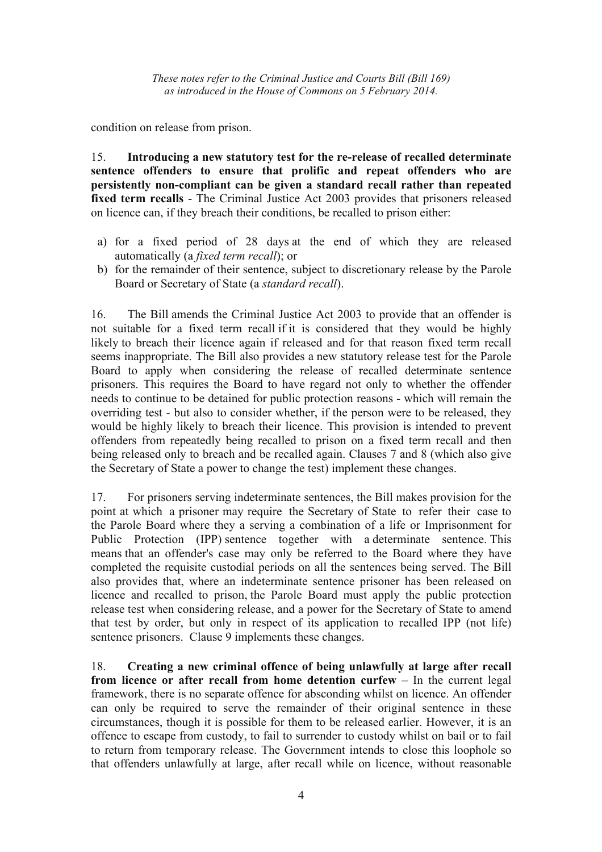condition on release from prison.

15. **Introducing a new statutory test for the re-release of recalled determinate sentence offenders to ensure that prolific and repeat offenders who are persistently non-compliant can be given a standard recall rather than repeated fixed term recalls** - The Criminal Justice Act 2003 provides that prisoners released on licence can, if they breach their conditions, be recalled to prison either:

- a) for a fixed period of 28 days at the end of which they are released automatically (a *fixed term recall*); or
- b) for the remainder of their sentence, subject to discretionary release by the Parole Board or Secretary of State (a *standard recall*).

16. The Bill amends the Criminal Justice Act 2003 to provide that an offender is not suitable for a fixed term recall if it is considered that they would be highly likely to breach their licence again if released and for that reason fixed term recall seems inappropriate. The Bill also provides a new statutory release test for the Parole Board to apply when considering the release of recalled determinate sentence prisoners. This requires the Board to have regard not only to whether the offender needs to continue to be detained for public protection reasons - which will remain the overriding test - but also to consider whether, if the person were to be released, they would be highly likely to breach their licence. This provision is intended to prevent offenders from repeatedly being recalled to prison on a fixed term recall and then being released only to breach and be recalled again. Clauses 7 and 8 (which also give the Secretary of State a power to change the test) implement these changes.

17. For prisoners serving indeterminate sentences, the Bill makes provision for the point at which a prisoner may require the Secretary of State to refer their case to the Parole Board where they a serving a combination of a life or Imprisonment for Public Protection (IPP) sentence together with a determinate sentence. This means that an offender's case may only be referred to the Board where they have completed the requisite custodial periods on all the sentences being served. The Bill also provides that, where an indeterminate sentence prisoner has been released on licence and recalled to prison, the Parole Board must apply the public protection release test when considering release, and a power for the Secretary of State to amend that test by order, but only in respect of its application to recalled IPP (not life) sentence prisoners. Clause 9 implements these changes.

18. **Creating a new criminal offence of being unlawfully at large after recall from licence or after recall from home detention curfew – In the current legal** framework, there is no separate offence for absconding whilst on licence. An offender can only be required to serve the remainder of their original sentence in these circumstances, though it is possible for them to be released earlier. However, it is an offence to escape from custody, to fail to surrender to custody whilst on bail or to fail to return from temporary release. The Government intends to close this loophole so that offenders unlawfully at large, after recall while on licence, without reasonable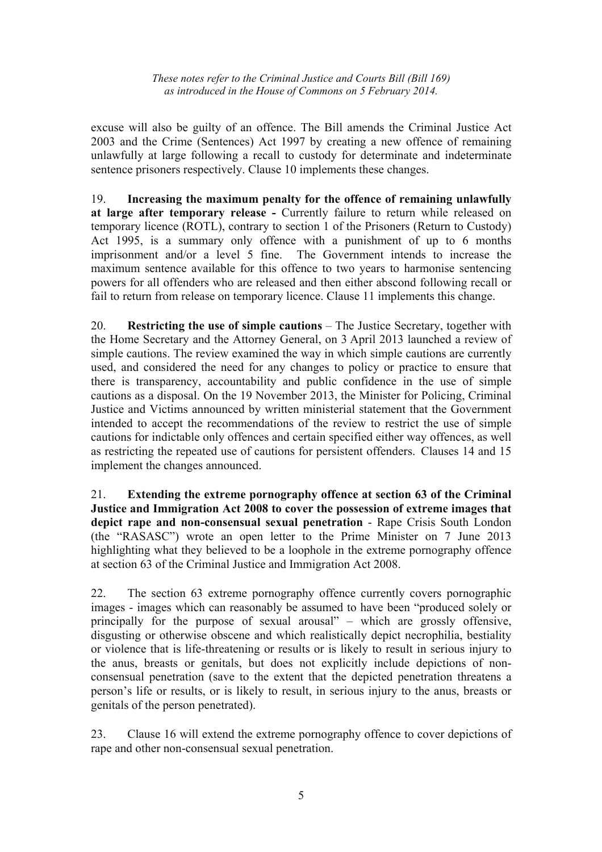excuse will also be guilty of an offence. The Bill amends the Criminal Justice Act 2003 and the Crime (Sentences) Act 1997 by creating a new offence of remaining unlawfully at large following a recall to custody for determinate and indeterminate sentence prisoners respectively. Clause 10 implements these changes.

19. **Increasing the maximum penalty for the offence of remaining unlawfully at large after temporary release -** Currently failure to return while released on temporary licence (ROTL), contrary to section 1 of the Prisoners (Return to Custody) Act 1995, is a summary only offence with a punishment of up to 6 months imprisonment and/or a level 5 fine. The Government intends to increase the maximum sentence available for this offence to two years to harmonise sentencing powers for all offenders who are released and then either abscond following recall or fail to return from release on temporary licence. Clause 11 implements this change.

20. **Restricting the use of simple cautions** – The Justice Secretary, together with the Home Secretary and the Attorney General, on 3 April 2013 launched a review of simple cautions. The review examined the way in which simple cautions are currently used, and considered the need for any changes to policy or practice to ensure that there is transparency, accountability and public confidence in the use of simple cautions as a disposal. On the 19 November 2013, the Minister for Policing, Criminal Justice and Victims announced by written ministerial statement that the Government intended to accept the recommendations of the review to restrict the use of simple cautions for indictable only offences and certain specified either way offences, as well as restricting the repeated use of cautions for persistent offenders. Clauses 14 and 15 implement the changes announced.

21. **Extending the extreme pornography offence at section 63 of the Criminal Justice and Immigration Act 2008 to cover the possession of extreme images that depict rape and non-consensual sexual penetration** - Rape Crisis South London (the "RASASC") wrote an open letter to the Prime Minister on 7 June 2013 highlighting what they believed to be a loophole in the extreme pornography offence at section 63 of the Criminal Justice and Immigration Act 2008.

22. The section 63 extreme pornography offence currently covers pornographic images - images which can reasonably be assumed to have been "produced solely or principally for the purpose of sexual arousal" – which are grossly offensive, disgusting or otherwise obscene and which realistically depict necrophilia, bestiality or violence that is life-threatening or results or is likely to result in serious injury to the anus, breasts or genitals, but does not explicitly include depictions of nonconsensual penetration (save to the extent that the depicted penetration threatens a person's life or results, or is likely to result, in serious injury to the anus, breasts or genitals of the person penetrated).

23. Clause 16 will extend the extreme pornography offence to cover depictions of rape and other non-consensual sexual penetration.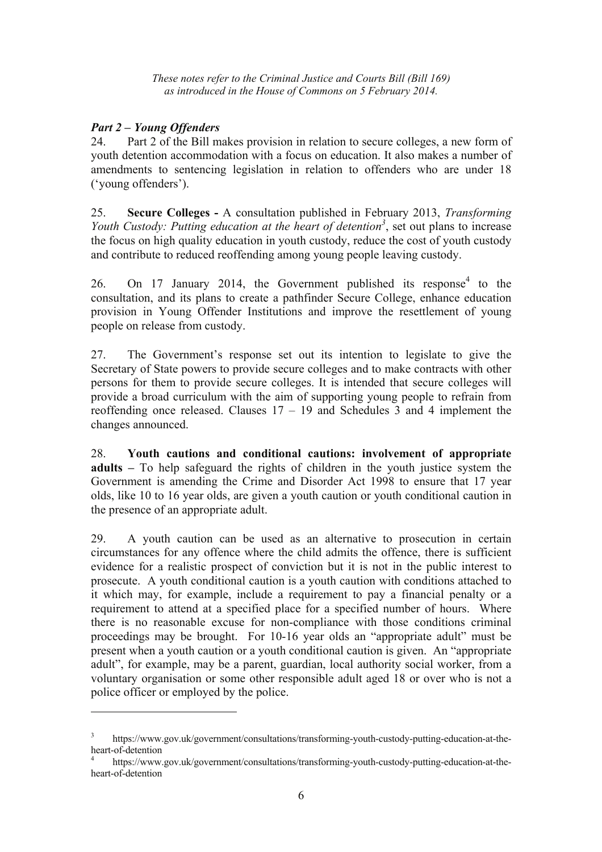## *Part 2 – Young Offenders*

 $\overline{a}$ 

24. Part 2 of the Bill makes provision in relation to secure colleges, a new form of youth detention accommodation with a focus on education. It also makes a number of amendments to sentencing legislation in relation to offenders who are under 18 ('young offenders').

25. **Secure Colleges -** A consultation published in February 2013, *Transforming Youth Custody: Putting education at the heart of detention<sup>3</sup>, set out plans to increase* the focus on high quality education in youth custody, reduce the cost of youth custody and contribute to reduced reoffending among young people leaving custody.

26. On 17 January 2014, the Government published its response<sup>4</sup> to the consultation, and its plans to create a pathfinder Secure College, enhance education provision in Young Offender Institutions and improve the resettlement of young people on release from custody.

27. The Government's response set out its intention to legislate to give the Secretary of State powers to provide secure colleges and to make contracts with other persons for them to provide secure colleges. It is intended that secure colleges will provide a broad curriculum with the aim of supporting young people to refrain from reoffending once released. Clauses  $17 - 19$  and Schedules 3 and 4 implement the changes announced.

28. **Youth cautions and conditional cautions: involvement of appropriate adults –** To help safeguard the rights of children in the youth justice system the Government is amending the Crime and Disorder Act 1998 to ensure that 17 year olds, like 10 to 16 year olds, are given a youth caution or youth conditional caution in the presence of an appropriate adult.

29. A youth caution can be used as an alternative to prosecution in certain circumstances for any offence where the child admits the offence, there is sufficient evidence for a realistic prospect of conviction but it is not in the public interest to prosecute. A youth conditional caution is a youth caution with conditions attached to it which may, for example, include a requirement to pay a financial penalty or a requirement to attend at a specified place for a specified number of hours. Where there is no reasonable excuse for non-compliance with those conditions criminal proceedings may be brought. For 10-16 year olds an "appropriate adult" must be present when a youth caution or a youth conditional caution is given. An "appropriate adult", for example, may be a parent, guardian, local authority social worker, from a voluntary organisation or some other responsible adult aged 18 or over who is not a police officer or employed by the police.

<sup>3</sup> https://www.gov.uk/government/consultations/transforming-youth-custody-putting-education-at-theheart-of-detention

<sup>4</sup> https://www.gov.uk/government/consultations/transforming-youth-custody-putting-education-at-theheart-of-detention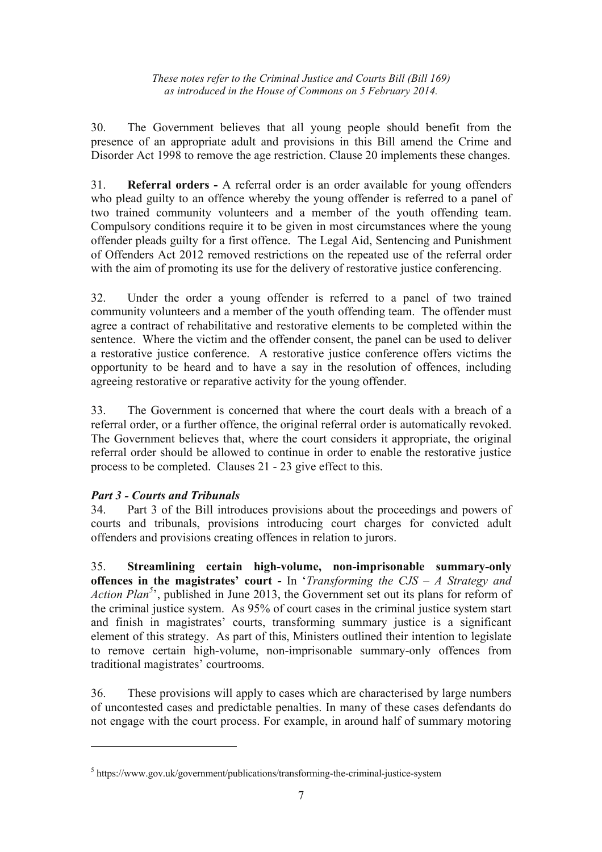30. The Government believes that all young people should benefit from the presence of an appropriate adult and provisions in this Bill amend the Crime and Disorder Act 1998 to remove the age restriction. Clause 20 implements these changes.

31. **Referral orders -** A referral order is an order available for young offenders who plead guilty to an offence whereby the young offender is referred to a panel of two trained community volunteers and a member of the youth offending team. Compulsory conditions require it to be given in most circumstances where the young offender pleads guilty for a first offence. The Legal Aid, Sentencing and Punishment of Offenders Act 2012 removed restrictions on the repeated use of the referral order with the aim of promoting its use for the delivery of restorative justice conferencing.

32. Under the order a young offender is referred to a panel of two trained community volunteers and a member of the youth offending team. The offender must agree a contract of rehabilitative and restorative elements to be completed within the sentence. Where the victim and the offender consent, the panel can be used to deliver a restorative justice conference. A restorative justice conference offers victims the opportunity to be heard and to have a say in the resolution of offences, including agreeing restorative or reparative activity for the young offender.

33. The Government is concerned that where the court deals with a breach of a referral order, or a further offence, the original referral order is automatically revoked. The Government believes that, where the court considers it appropriate, the original referral order should be allowed to continue in order to enable the restorative justice process to be completed. Clauses 21 - 23 give effect to this.

# *Part 3 - Courts and Tribunals*

 $\overline{a}$ 

34. Part 3 of the Bill introduces provisions about the proceedings and powers of courts and tribunals, provisions introducing court charges for convicted adult offenders and provisions creating offences in relation to jurors.

35. **Streamlining certain high-volume, non-imprisonable summary-only offences in the magistrates' court -** In '*Transforming the CJS – A Strategy and*  Action Plan<sup>5</sup>, published in June 2013, the Government set out its plans for reform of the criminal justice system. As 95% of court cases in the criminal justice system start and finish in magistrates' courts, transforming summary justice is a significant element of this strategy. As part of this, Ministers outlined their intention to legislate to remove certain high-volume, non-imprisonable summary-only offences from traditional magistrates' courtrooms.

36. These provisions will apply to cases which are characterised by large numbers of uncontested cases and predictable penalties. In many of these cases defendants do not engage with the court process. For example, in around half of summary motoring

<sup>&</sup>lt;sup>5</sup> https://www.gov.uk/government/publications/transforming-the-criminal-justice-system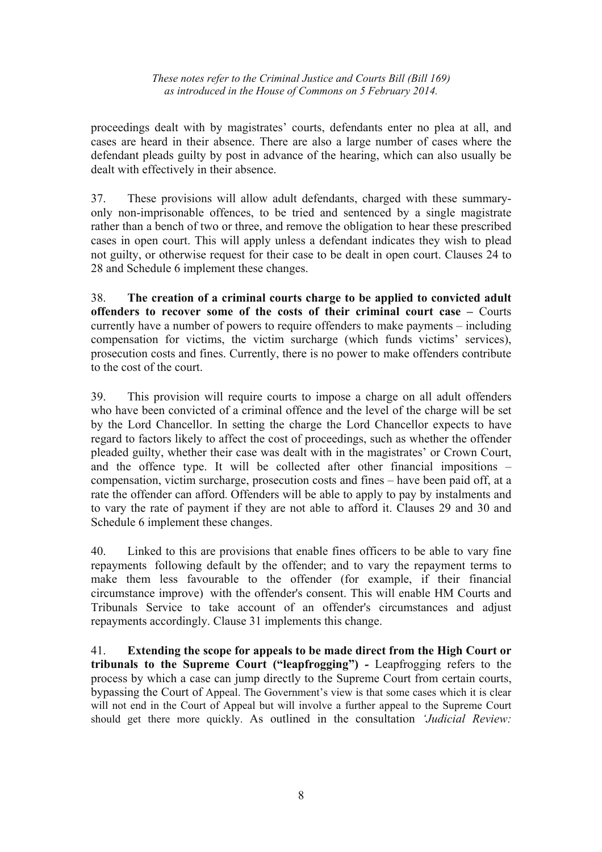proceedings dealt with by magistrates' courts, defendants enter no plea at all, and cases are heard in their absence. There are also a large number of cases where the defendant pleads guilty by post in advance of the hearing, which can also usually be dealt with effectively in their absence.

37. These provisions will allow adult defendants, charged with these summaryonly non-imprisonable offences, to be tried and sentenced by a single magistrate rather than a bench of two or three, and remove the obligation to hear these prescribed cases in open court. This will apply unless a defendant indicates they wish to plead not guilty, or otherwise request for their case to be dealt in open court. Clauses 24 to 28 and Schedule 6 implement these changes.

38. **The creation of a criminal courts charge to be applied to convicted adult offenders to recover some of the costs of their criminal court case –** Courts currently have a number of powers to require offenders to make payments – including compensation for victims, the victim surcharge (which funds victims' services), prosecution costs and fines. Currently, there is no power to make offenders contribute to the cost of the court.

39. This provision will require courts to impose a charge on all adult offenders who have been convicted of a criminal offence and the level of the charge will be set by the Lord Chancellor. In setting the charge the Lord Chancellor expects to have regard to factors likely to affect the cost of proceedings, such as whether the offender pleaded guilty, whether their case was dealt with in the magistrates' or Crown Court, and the offence type. It will be collected after other financial impositions – compensation, victim surcharge, prosecution costs and fines – have been paid off, at a rate the offender can afford. Offenders will be able to apply to pay by instalments and to vary the rate of payment if they are not able to afford it. Clauses 29 and 30 and Schedule 6 implement these changes.

40. Linked to this are provisions that enable fines officers to be able to vary fine repayments following default by the offender; and to vary the repayment terms to make them less favourable to the offender (for example, if their financial circumstance improve) with the offender's consent. This will enable HM Courts and Tribunals Service to take account of an offender's circumstances and adjust repayments accordingly. Clause 31 implements this change.

41. **Extending the scope for appeals to be made direct from the High Court or tribunals to the Supreme Court ("leapfrogging")** *-* Leapfrogging refers to the process by which a case can jump directly to the Supreme Court from certain courts, bypassing the Court of Appeal. The Government's view is that some cases which it is clear will not end in the Court of Appeal but will involve a further appeal to the Supreme Court should get there more quickly. As outlined in the consultation *'Judicial Review:*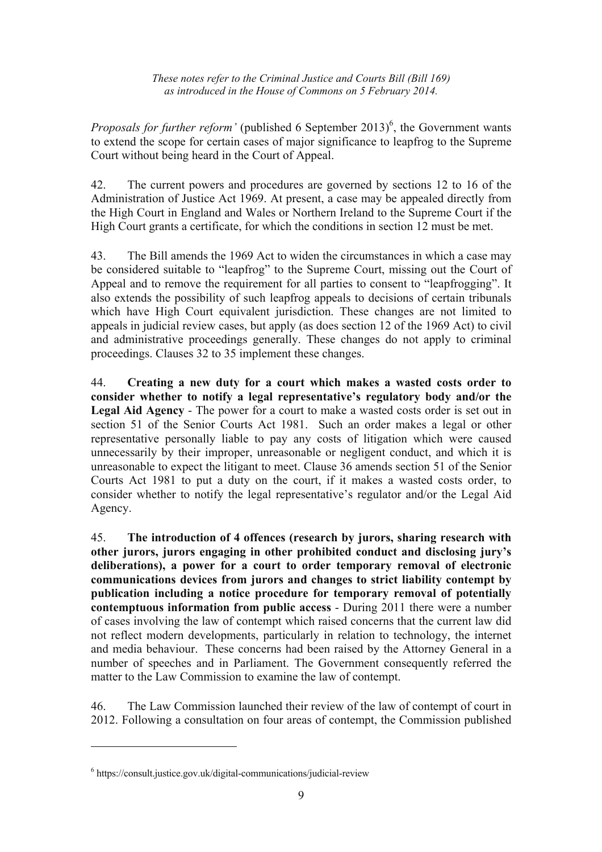*Proposals for further reform'* (published 6 September 2013)<sup>6</sup>, the Government wants to extend the scope for certain cases of major significance to leapfrog to the Supreme Court without being heard in the Court of Appeal.

42. The current powers and procedures are governed by sections 12 to 16 of the Administration of Justice Act 1969. At present, a case may be appealed directly from the High Court in England and Wales or Northern Ireland to the Supreme Court if the High Court grants a certificate, for which the conditions in section 12 must be met.

43. The Bill amends the 1969 Act to widen the circumstances in which a case may be considered suitable to "leapfrog" to the Supreme Court, missing out the Court of Appeal and to remove the requirement for all parties to consent to "leapfrogging". It also extends the possibility of such leapfrog appeals to decisions of certain tribunals which have High Court equivalent jurisdiction. These changes are not limited to appeals in judicial review cases, but apply (as does section 12 of the 1969 Act) to civil and administrative proceedings generally. These changes do not apply to criminal proceedings. Clauses 32 to 35 implement these changes.

44. **Creating a new duty for a court which makes a wasted costs order to consider whether to notify a legal representative's regulatory body and/or the Legal Aid Agency** - The power for a court to make a wasted costs order is set out in section 51 of the Senior Courts Act 1981. Such an order makes a legal or other representative personally liable to pay any costs of litigation which were caused unnecessarily by their improper, unreasonable or negligent conduct, and which it is unreasonable to expect the litigant to meet. Clause 36 amends section 51 of the Senior Courts Act 1981 to put a duty on the court, if it makes a wasted costs order, to consider whether to notify the legal representative's regulator and/or the Legal Aid Agency.

45. **The introduction of 4 offences (research by jurors, sharing research with other jurors, jurors engaging in other prohibited conduct and disclosing jury's deliberations), a power for a court to order temporary removal of electronic communications devices from jurors and changes to strict liability contempt by publication including a notice procedure for temporary removal of potentially contemptuous information from public access** - During 2011 there were a number of cases involving the law of contempt which raised concerns that the current law did not reflect modern developments, particularly in relation to technology, the internet and media behaviour. These concerns had been raised by the Attorney General in a number of speeches and in Parliament. The Government consequently referred the matter to the Law Commission to examine the law of contempt.

46. The Law Commission launched their review of the law of contempt of court in 2012. Following a consultation on four areas of contempt, the Commission published

 $\overline{a}$ 

<sup>6</sup> https://consult.justice.gov.uk/digital-communications/judicial-review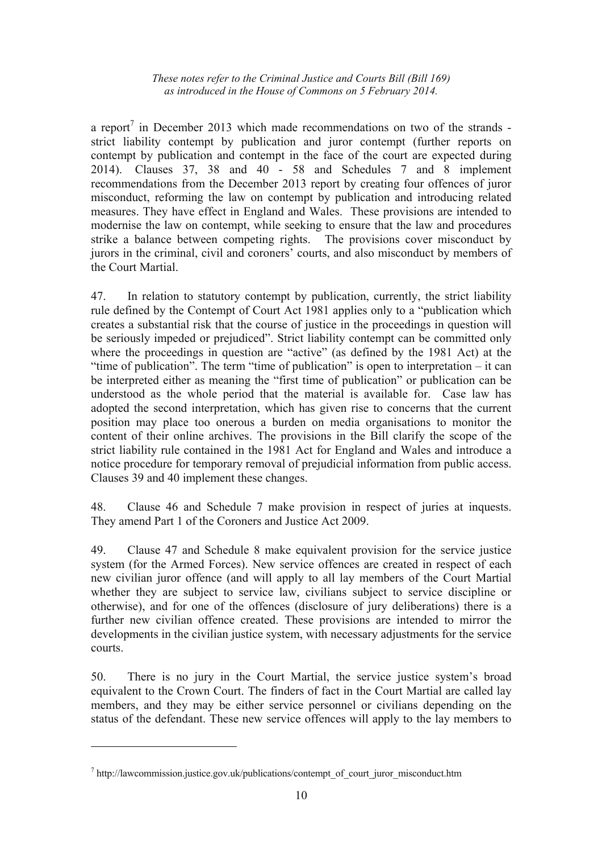a report<sup>7</sup> in December 2013 which made recommendations on two of the strands strict liability contempt by publication and juror contempt (further reports on contempt by publication and contempt in the face of the court are expected during 2014). Clauses 37, 38 and 40 - 58 and Schedules 7 and 8 implement recommendations from the December 2013 report by creating four offences of juror misconduct, reforming the law on contempt by publication and introducing related measures. They have effect in England and Wales. These provisions are intended to modernise the law on contempt, while seeking to ensure that the law and procedures strike a balance between competing rights. The provisions cover misconduct by jurors in the criminal, civil and coroners' courts, and also misconduct by members of the Court Martial.

47. In relation to statutory contempt by publication, currently, the strict liability rule defined by the Contempt of Court Act 1981 applies only to a "publication which creates a substantial risk that the course of justice in the proceedings in question will be seriously impeded or prejudiced". Strict liability contempt can be committed only where the proceedings in question are "active" (as defined by the 1981 Act) at the "time of publication". The term "time of publication" is open to interpretation – it can be interpreted either as meaning the "first time of publication" or publication can be understood as the whole period that the material is available for. Case law has adopted the second interpretation, which has given rise to concerns that the current position may place too onerous a burden on media organisations to monitor the content of their online archives. The provisions in the Bill clarify the scope of the strict liability rule contained in the 1981 Act for England and Wales and introduce a notice procedure for temporary removal of prejudicial information from public access. Clauses 39 and 40 implement these changes.

48. Clause 46 and Schedule 7 make provision in respect of juries at inquests. They amend Part 1 of the Coroners and Justice Act 2009.

49. Clause 47 and Schedule 8 make equivalent provision for the service justice system (for the Armed Forces). New service offences are created in respect of each new civilian juror offence (and will apply to all lay members of the Court Martial whether they are subject to service law, civilians subject to service discipline or otherwise), and for one of the offences (disclosure of jury deliberations) there is a further new civilian offence created. These provisions are intended to mirror the developments in the civilian justice system, with necessary adjustments for the service courts.

50. There is no jury in the Court Martial, the service justice system's broad equivalent to the Crown Court. The finders of fact in the Court Martial are called lay members, and they may be either service personnel or civilians depending on the status of the defendant. These new service offences will apply to the lay members to

 $\overline{a}$ 

<sup>&</sup>lt;sup>7</sup> http://lawcommission.justice.gov.uk/publications/contempt\_of\_court\_juror\_misconduct.htm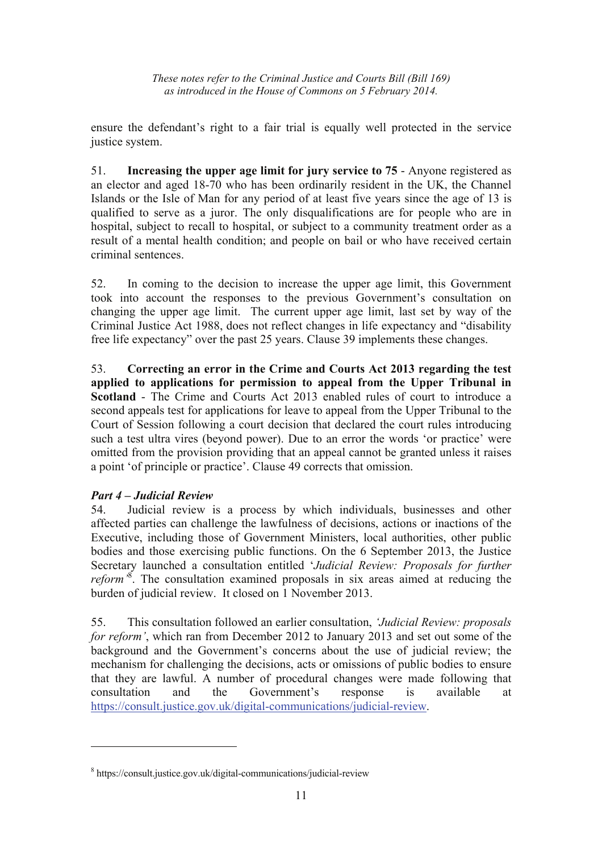ensure the defendant's right to a fair trial is equally well protected in the service justice system.

51. **Increasing the upper age limit for jury service to 75** - Anyone registered as an elector and aged 18-70 who has been ordinarily resident in the UK, the Channel Islands or the Isle of Man for any period of at least five years since the age of 13 is qualified to serve as a juror. The only disqualifications are for people who are in hospital, subject to recall to hospital, or subject to a community treatment order as a result of a mental health condition; and people on bail or who have received certain criminal sentences.

52. In coming to the decision to increase the upper age limit, this Government took into account the responses to the previous Government's consultation on changing the upper age limit. The current upper age limit, last set by way of the Criminal Justice Act 1988, does not reflect changes in life expectancy and "disability free life expectancy" over the past 25 years. Clause 39 implements these changes.

53. **Correcting an error in the Crime and Courts Act 2013 regarding the test applied to applications for permission to appeal from the Upper Tribunal in Scotland** - The Crime and Courts Act 2013 enabled rules of court to introduce a second appeals test for applications for leave to appeal from the Upper Tribunal to the Court of Session following a court decision that declared the court rules introducing such a test ultra vires (beyond power). Due to an error the words 'or practice' were omitted from the provision providing that an appeal cannot be granted unless it raises a point 'of principle or practice'. Clause 49 corrects that omission.

## *Part 4 – Judicial Review*

 $\overline{a}$ 

54. Judicial review is a process by which individuals, businesses and other affected parties can challenge the lawfulness of decisions, actions or inactions of the Executive, including those of Government Ministers, local authorities, other public bodies and those exercising public functions. On the 6 September 2013, the Justice Secretary launched a consultation entitled '*Judicial Review: Proposals for further reform'*<sup>8</sup> . The consultation examined proposals in six areas aimed at reducing the burden of judicial review. It closed on 1 November 2013.

55. This consultation followed an earlier consultation, *'Judicial Review: proposals for reform'*, which ran from December 2012 to January 2013 and set out some of the background and the Government's concerns about the use of judicial review; the mechanism for challenging the decisions, acts or omissions of public bodies to ensure that they are lawful. A number of procedural changes were made following that consultation and the Government's response is available at https://consult.justice.gov.uk/digital-communications/judicial-review.

<sup>8</sup> https://consult.justice.gov.uk/digital-communications/judicial-review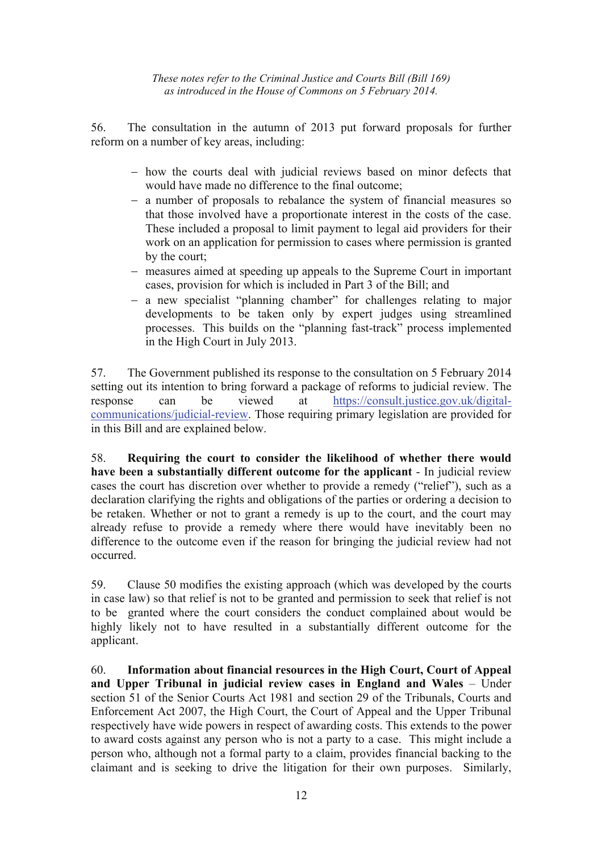56. The consultation in the autumn of 2013 put forward proposals for further reform on a number of key areas, including:

- − how the courts deal with judicial reviews based on minor defects that would have made no difference to the final outcome;
- − a number of proposals to rebalance the system of financial measures so that those involved have a proportionate interest in the costs of the case. These included a proposal to limit payment to legal aid providers for their work on an application for permission to cases where permission is granted by the court;
- − measures aimed at speeding up appeals to the Supreme Court in important cases, provision for which is included in Part 3 of the Bill; and
- − a new specialist "planning chamber" for challenges relating to major developments to be taken only by expert judges using streamlined processes. This builds on the "planning fast-track" process implemented in the High Court in July 2013.

57. The Government published its response to the consultation on 5 February 2014 setting out its intention to bring forward a package of reforms to judicial review. The response can be viewed at https://consult.justice.gov.uk/digitalcommunications/judicial-review. Those requiring primary legislation are provided for in this Bill and are explained below.

58. **Requiring the court to consider the likelihood of whether there would have been a substantially different outcome for the applicant** - In judicial review cases the court has discretion over whether to provide a remedy ("relief"), such as a declaration clarifying the rights and obligations of the parties or ordering a decision to be retaken. Whether or not to grant a remedy is up to the court, and the court may already refuse to provide a remedy where there would have inevitably been no difference to the outcome even if the reason for bringing the judicial review had not occurred.

59. Clause 50 modifies the existing approach (which was developed by the courts in case law) so that relief is not to be granted and permission to seek that relief is not to be granted where the court considers the conduct complained about would be highly likely not to have resulted in a substantially different outcome for the applicant.

60. **Information about financial resources in the High Court, Court of Appeal and Upper Tribunal in judicial review cases in England and Wales** – Under section 51 of the Senior Courts Act 1981 and section 29 of the Tribunals, Courts and Enforcement Act 2007, the High Court, the Court of Appeal and the Upper Tribunal respectively have wide powers in respect of awarding costs. This extends to the power to award costs against any person who is not a party to a case. This might include a person who, although not a formal party to a claim, provides financial backing to the claimant and is seeking to drive the litigation for their own purposes. Similarly,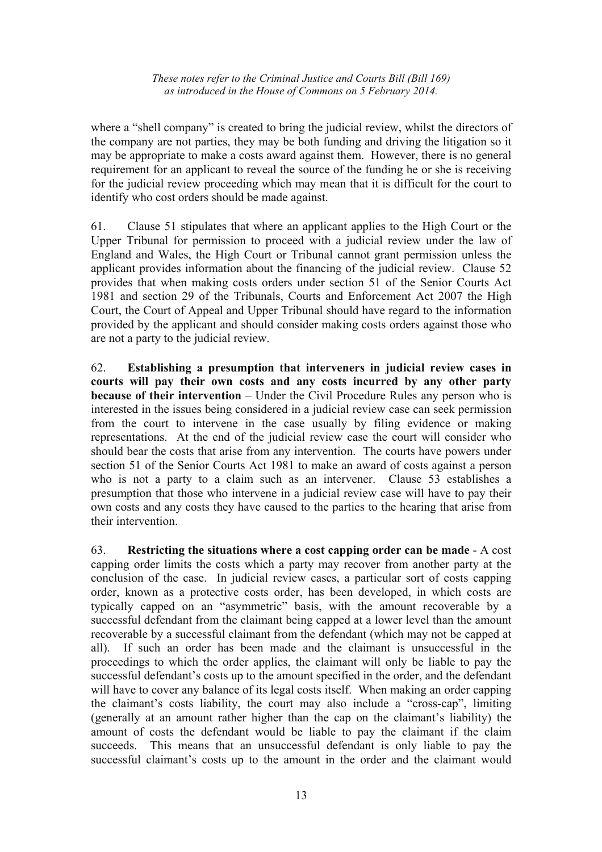where a "shell company" is created to bring the judicial review, whilst the directors of the company are not parties, they may be both funding and driving the litigation so it may be appropriate to make a costs award against them. However, there is no general requirement for an applicant to reveal the source of the funding he or she is receiving for the judicial review proceeding which may mean that it is difficult for the court to identify who cost orders should be made against.

61. Clause 51 stipulates that where an applicant applies to the High Court or the Upper Tribunal for permission to proceed with a judicial review under the law of England and Wales, the High Court or Tribunal cannot grant permission unless the applicant provides information about the financing of the judicial review. Clause 52 provides that when making costs orders under section 51 of the Senior Courts Act 1981 and section 29 of the Tribunals, Courts and Enforcement Act 2007 the High Court, the Court of Appeal and Upper Tribunal should have regard to the information provided by the applicant and should consider making costs orders against those who are not a party to the judicial review.

62. **Establishing a presumption that interveners in judicial review cases in courts will pay their own costs and any costs incurred by any other party because of their intervention** – Under the Civil Procedure Rules any person who is interested in the issues being considered in a judicial review case can seek permission from the court to intervene in the case usually by filing evidence or making representations. At the end of the judicial review case the court will consider who should bear the costs that arise from any intervention. The courts have powers under section 51 of the Senior Courts Act 1981 to make an award of costs against a person who is not a party to a claim such as an intervener. Clause 53 establishes a presumption that those who intervene in a judicial review case will have to pay their own costs and any costs they have caused to the parties to the hearing that arise from their intervention.

63. **Restricting the situations where a cost capping order can be made** - A cost capping order limits the costs which a party may recover from another party at the conclusion of the case. In judicial review cases, a particular sort of costs capping order, known as a protective costs order, has been developed, in which costs are typically capped on an "asymmetric" basis, with the amount recoverable by a successful defendant from the claimant being capped at a lower level than the amount recoverable by a successful claimant from the defendant (which may not be capped at all). If such an order has been made and the claimant is unsuccessful in the proceedings to which the order applies, the claimant will only be liable to pay the successful defendant's costs up to the amount specified in the order, and the defendant will have to cover any balance of its legal costs itself. When making an order capping the claimant's costs liability, the court may also include a "cross-cap", limiting (generally at an amount rather higher than the cap on the claimant's liability) the amount of costs the defendant would be liable to pay the claimant if the claim succeeds. This means that an unsuccessful defendant is only liable to pay the successful claimant's costs up to the amount in the order and the claimant would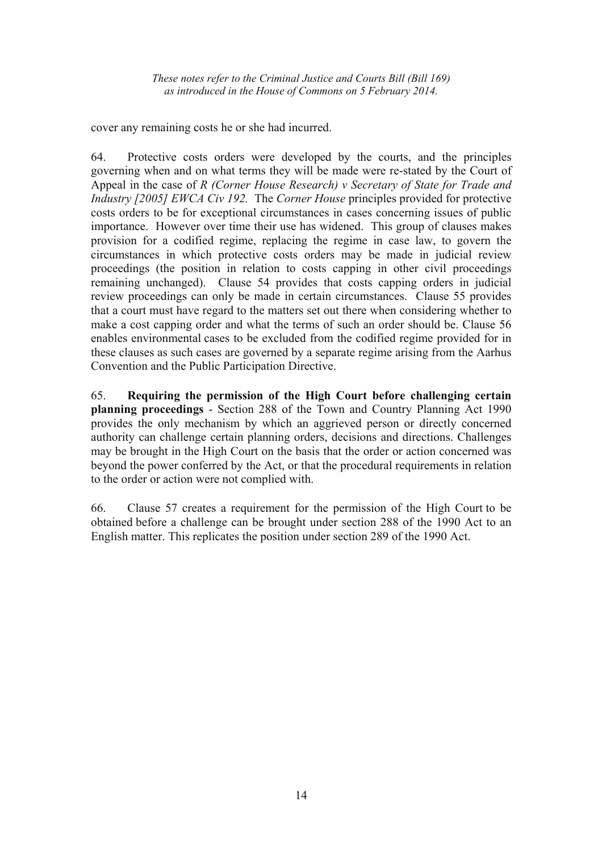cover any remaining costs he or she had incurred.

64. Protective costs orders were developed by the courts, and the principles governing when and on what terms they will be made were re-stated by the Court of Appeal in the case of *R (Corner House Research) v Secretary of State for Trade and Industry [2005] EWCA Civ 192.* The *Corner House* principles provided for protective costs orders to be for exceptional circumstances in cases concerning issues of public importance. However over time their use has widened. This group of clauses makes provision for a codified regime, replacing the regime in case law, to govern the circumstances in which protective costs orders may be made in judicial review proceedings (the position in relation to costs capping in other civil proceedings remaining unchanged). Clause 54 provides that costs capping orders in judicial review proceedings can only be made in certain circumstances. Clause 55 provides that a court must have regard to the matters set out there when considering whether to make a cost capping order and what the terms of such an order should be. Clause 56 enables environmental cases to be excluded from the codified regime provided for in these clauses as such cases are governed by a separate regime arising from the Aarhus Convention and the Public Participation Directive.

65. **Requiring the permission of the High Court before challenging certain planning proceedings** - Section 288 of the Town and Country Planning Act 1990 provides the only mechanism by which an aggrieved person or directly concerned authority can challenge certain planning orders, decisions and directions. Challenges may be brought in the High Court on the basis that the order or action concerned was beyond the power conferred by the Act, or that the procedural requirements in relation to the order or action were not complied with.

66. Clause 57 creates a requirement for the permission of the High Court to be obtained before a challenge can be brought under section 288 of the 1990 Act to an English matter. This replicates the position under section 289 of the 1990 Act.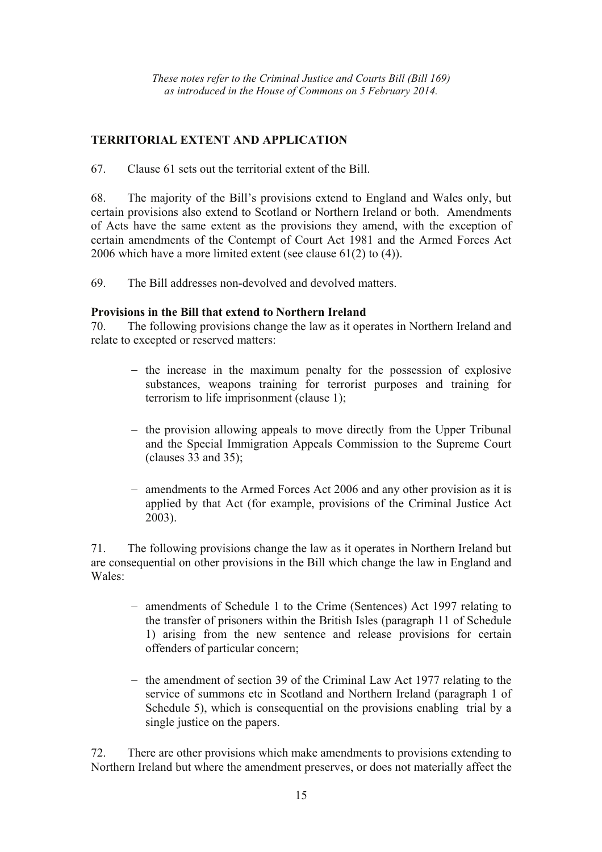# **TERRITORIAL EXTENT AND APPLICATION**

67. Clause 61 sets out the territorial extent of the Bill.

68. The majority of the Bill's provisions extend to England and Wales only, but certain provisions also extend to Scotland or Northern Ireland or both. Amendments of Acts have the same extent as the provisions they amend, with the exception of certain amendments of the Contempt of Court Act 1981 and the Armed Forces Act 2006 which have a more limited extent (see clause 61(2) to (4)).

69. The Bill addresses non-devolved and devolved matters.

## **Provisions in the Bill that extend to Northern Ireland**

70. The following provisions change the law as it operates in Northern Ireland and relate to excepted or reserved matters:

- − the increase in the maximum penalty for the possession of explosive substances, weapons training for terrorist purposes and training for terrorism to life imprisonment (clause 1);
- − the provision allowing appeals to move directly from the Upper Tribunal and the Special Immigration Appeals Commission to the Supreme Court (clauses 33 and 35);
- − amendments to the Armed Forces Act 2006 and any other provision as it is applied by that Act (for example, provisions of the Criminal Justice Act 2003).

71. The following provisions change the law as it operates in Northern Ireland but are consequential on other provisions in the Bill which change the law in England and Wales:

- − amendments of Schedule 1 to the Crime (Sentences) Act 1997 relating to the transfer of prisoners within the British Isles (paragraph 11 of Schedule 1) arising from the new sentence and release provisions for certain offenders of particular concern;
- − the amendment of section 39 of the Criminal Law Act 1977 relating to the service of summons etc in Scotland and Northern Ireland (paragraph 1 of Schedule 5), which is consequential on the provisions enabling trial by a single justice on the papers.

72. There are other provisions which make amendments to provisions extending to Northern Ireland but where the amendment preserves, or does not materially affect the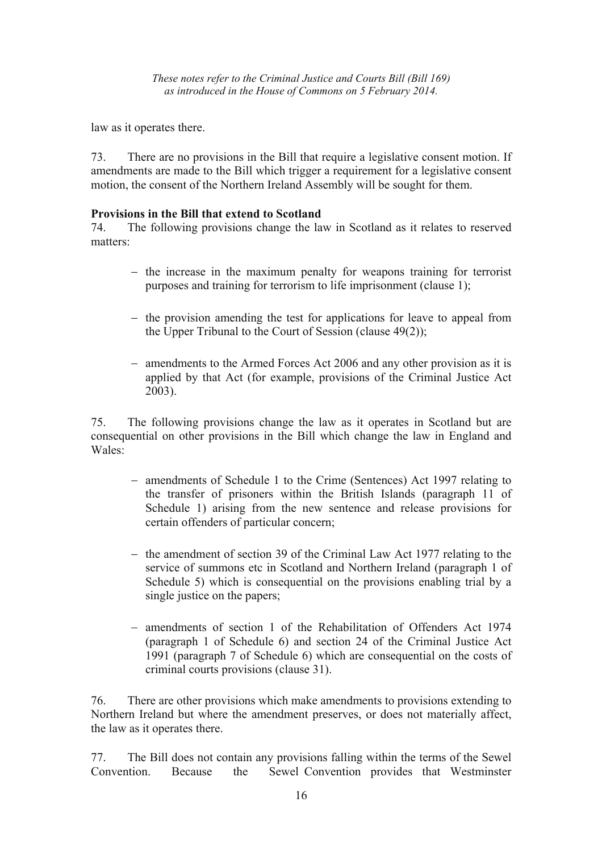law as it operates there.

73. There are no provisions in the Bill that require a legislative consent motion. If amendments are made to the Bill which trigger a requirement for a legislative consent motion, the consent of the Northern Ireland Assembly will be sought for them.

## **Provisions in the Bill that extend to Scotland**

74. The following provisions change the law in Scotland as it relates to reserved matters:

- − the increase in the maximum penalty for weapons training for terrorist purposes and training for terrorism to life imprisonment (clause 1);
- − the provision amending the test for applications for leave to appeal from the Upper Tribunal to the Court of Session (clause 49(2));
- − amendments to the Armed Forces Act 2006 and any other provision as it is applied by that Act (for example, provisions of the Criminal Justice Act 2003).

75. The following provisions change the law as it operates in Scotland but are consequential on other provisions in the Bill which change the law in England and Wales:

- − amendments of Schedule 1 to the Crime (Sentences) Act 1997 relating to the transfer of prisoners within the British Islands (paragraph 11 of Schedule 1) arising from the new sentence and release provisions for certain offenders of particular concern;
- − the amendment of section 39 of the Criminal Law Act 1977 relating to the service of summons etc in Scotland and Northern Ireland (paragraph 1 of Schedule 5) which is consequential on the provisions enabling trial by a single justice on the papers:
- − amendments of section 1 of the Rehabilitation of Offenders Act 1974 (paragraph 1 of Schedule 6) and section 24 of the Criminal Justice Act 1991 (paragraph 7 of Schedule 6) which are consequential on the costs of criminal courts provisions (clause 31).

76. There are other provisions which make amendments to provisions extending to Northern Ireland but where the amendment preserves, or does not materially affect, the law as it operates there.

77. The Bill does not contain any provisions falling within the terms of the Sewel Convention. Because the Sewel Convention provides that Westminster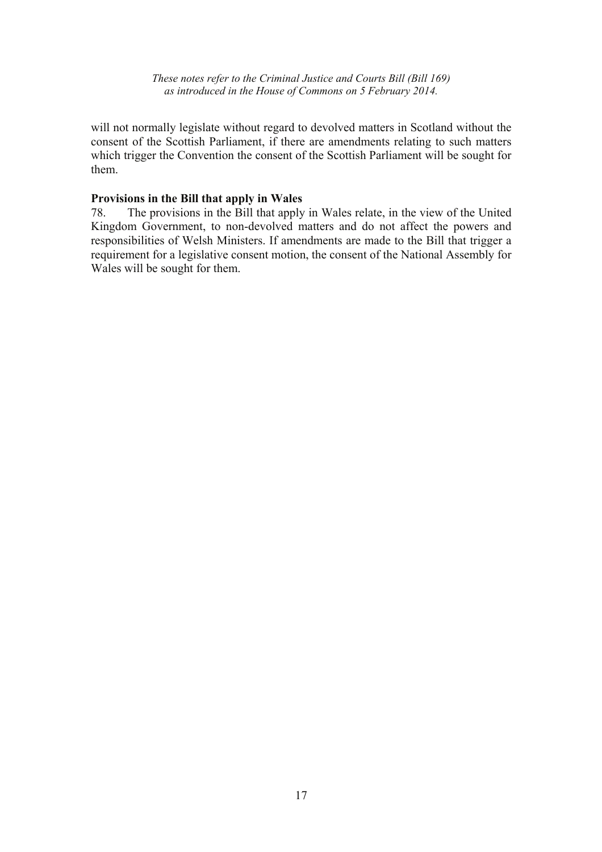will not normally legislate without regard to devolved matters in Scotland without the consent of the Scottish Parliament, if there are amendments relating to such matters which trigger the Convention the consent of the Scottish Parliament will be sought for them.

#### **Provisions in the Bill that apply in Wales**

78. The provisions in the Bill that apply in Wales relate, in the view of the United Kingdom Government, to non-devolved matters and do not affect the powers and responsibilities of Welsh Ministers. If amendments are made to the Bill that trigger a requirement for a legislative consent motion, the consent of the National Assembly for Wales will be sought for them.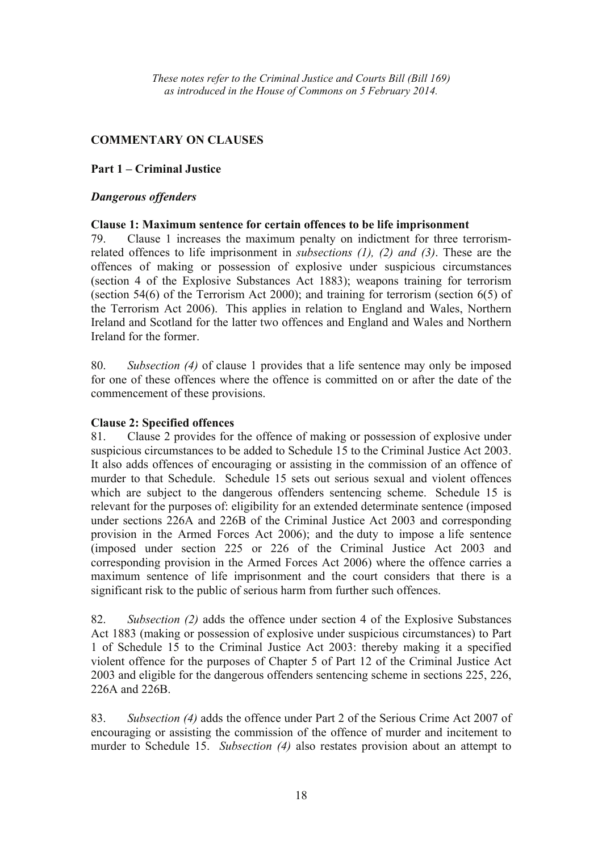## **COMMENTARY ON CLAUSES**

## **Part 1 – Criminal Justice**

#### *Dangerous offenders*

#### **Clause 1: Maximum sentence for certain offences to be life imprisonment**

79. Clause 1 increases the maximum penalty on indictment for three terrorismrelated offences to life imprisonment in *subsections (1), (2) and (3)*. These are the offences of making or possession of explosive under suspicious circumstances (section 4 of the Explosive Substances Act 1883); weapons training for terrorism (section 54(6) of the Terrorism Act 2000); and training for terrorism (section 6(5) of the Terrorism Act 2006). This applies in relation to England and Wales, Northern Ireland and Scotland for the latter two offences and England and Wales and Northern Ireland for the former.

80. *Subsection (4)* of clause 1 provides that a life sentence may only be imposed for one of these offences where the offence is committed on or after the date of the commencement of these provisions.

#### **Clause 2: Specified offences**

81. Clause 2 provides for the offence of making or possession of explosive under suspicious circumstances to be added to Schedule 15 to the Criminal Justice Act 2003. It also adds offences of encouraging or assisting in the commission of an offence of murder to that Schedule. Schedule 15 sets out serious sexual and violent offences which are subject to the dangerous offenders sentencing scheme. Schedule 15 is relevant for the purposes of: eligibility for an extended determinate sentence (imposed under sections 226A and 226B of the Criminal Justice Act 2003 and corresponding provision in the Armed Forces Act 2006); and the duty to impose a life sentence (imposed under section 225 or 226 of the Criminal Justice Act 2003 and corresponding provision in the Armed Forces Act 2006) where the offence carries a maximum sentence of life imprisonment and the court considers that there is a significant risk to the public of serious harm from further such offences.

82. *Subsection (2)* adds the offence under section 4 of the Explosive Substances Act 1883 (making or possession of explosive under suspicious circumstances) to Part 1 of Schedule 15 to the Criminal Justice Act 2003: thereby making it a specified violent offence for the purposes of Chapter 5 of Part 12 of the Criminal Justice Act 2003 and eligible for the dangerous offenders sentencing scheme in sections 225, 226, 226A and 226B.

83. *Subsection (4)* adds the offence under Part 2 of the Serious Crime Act 2007 of encouraging or assisting the commission of the offence of murder and incitement to murder to Schedule 15. *Subsection (4)* also restates provision about an attempt to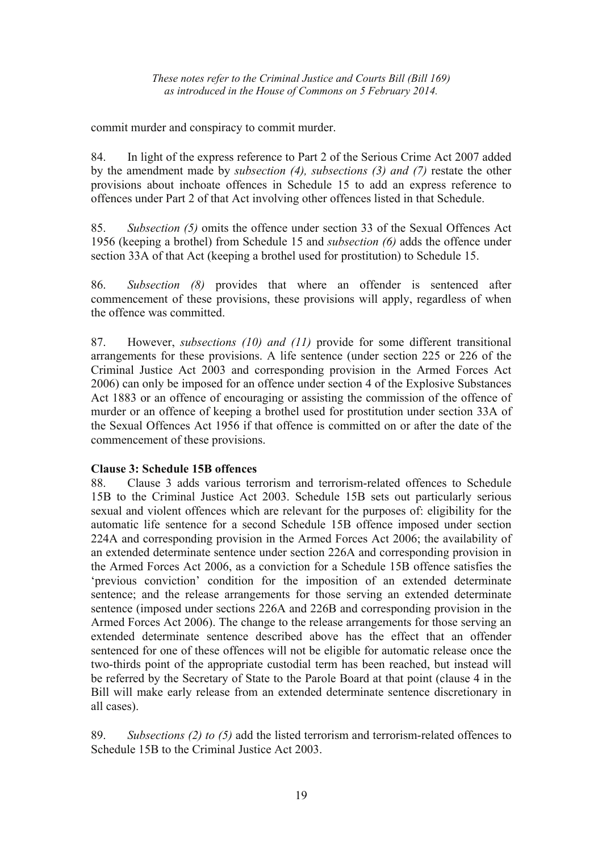commit murder and conspiracy to commit murder.

84. In light of the express reference to Part 2 of the Serious Crime Act 2007 added by the amendment made by *subsection (4), subsections (3) and (7)* restate the other provisions about inchoate offences in Schedule 15 to add an express reference to offences under Part 2 of that Act involving other offences listed in that Schedule.

85. *Subsection (5)* omits the offence under section 33 of the Sexual Offences Act 1956 (keeping a brothel) from Schedule 15 and *subsection (6)* adds the offence under section 33A of that Act (keeping a brothel used for prostitution) to Schedule 15.

86. *Subsection (8)* provides that where an offender is sentenced after commencement of these provisions, these provisions will apply, regardless of when the offence was committed.

87. However, *subsections (10) and (11)* provide for some different transitional arrangements for these provisions. A life sentence (under section 225 or 226 of the Criminal Justice Act 2003 and corresponding provision in the Armed Forces Act 2006) can only be imposed for an offence under section 4 of the Explosive Substances Act 1883 or an offence of encouraging or assisting the commission of the offence of murder or an offence of keeping a brothel used for prostitution under section 33A of the Sexual Offences Act 1956 if that offence is committed on or after the date of the commencement of these provisions.

## **Clause 3: Schedule 15B offences**

88. Clause 3 adds various terrorism and terrorism-related offences to Schedule 15B to the Criminal Justice Act 2003. Schedule 15B sets out particularly serious sexual and violent offences which are relevant for the purposes of: eligibility for the automatic life sentence for a second Schedule 15B offence imposed under section 224A and corresponding provision in the Armed Forces Act 2006; the availability of an extended determinate sentence under section 226A and corresponding provision in the Armed Forces Act 2006, as a conviction for a Schedule 15B offence satisfies the 'previous conviction' condition for the imposition of an extended determinate sentence; and the release arrangements for those serving an extended determinate sentence (imposed under sections 226A and 226B and corresponding provision in the Armed Forces Act 2006). The change to the release arrangements for those serving an extended determinate sentence described above has the effect that an offender sentenced for one of these offences will not be eligible for automatic release once the two-thirds point of the appropriate custodial term has been reached, but instead will be referred by the Secretary of State to the Parole Board at that point (clause 4 in the Bill will make early release from an extended determinate sentence discretionary in all cases).

89. *Subsections (2) to (5)* add the listed terrorism and terrorism-related offences to Schedule 15B to the Criminal Justice Act 2003.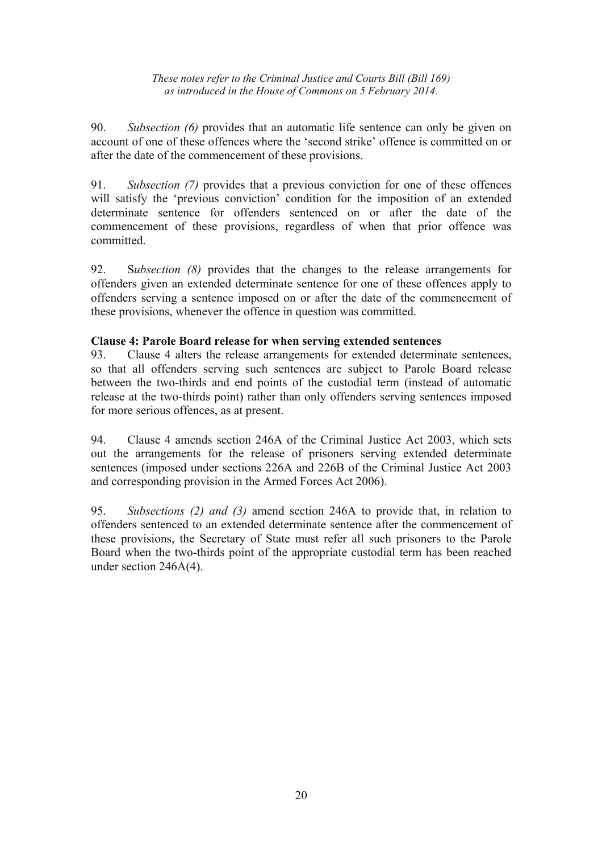90. *Subsection (6)* provides that an automatic life sentence can only be given on account of one of these offences where the 'second strike' offence is committed on or after the date of the commencement of these provisions.

91. *Subsection (7)* provides that a previous conviction for one of these offences will satisfy the 'previous conviction' condition for the imposition of an extended determinate sentence for offenders sentenced on or after the date of the commencement of these provisions, regardless of when that prior offence was committed.

92. S*ubsection (8)* provides that the changes to the release arrangements for offenders given an extended determinate sentence for one of these offences apply to offenders serving a sentence imposed on or after the date of the commencement of these provisions, whenever the offence in question was committed.

#### **Clause 4: Parole Board release for when serving extended sentences**

93. Clause 4 alters the release arrangements for extended determinate sentences, so that all offenders serving such sentences are subject to Parole Board release between the two-thirds and end points of the custodial term (instead of automatic release at the two-thirds point) rather than only offenders serving sentences imposed for more serious offences, as at present.

94. Clause 4 amends section 246A of the Criminal Justice Act 2003, which sets out the arrangements for the release of prisoners serving extended determinate sentences (imposed under sections 226A and 226B of the Criminal Justice Act 2003 and corresponding provision in the Armed Forces Act 2006).

95. *Subsections (2) and (3)* amend section 246A to provide that, in relation to offenders sentenced to an extended determinate sentence after the commencement of these provisions, the Secretary of State must refer all such prisoners to the Parole Board when the two-thirds point of the appropriate custodial term has been reached under section 246A(4).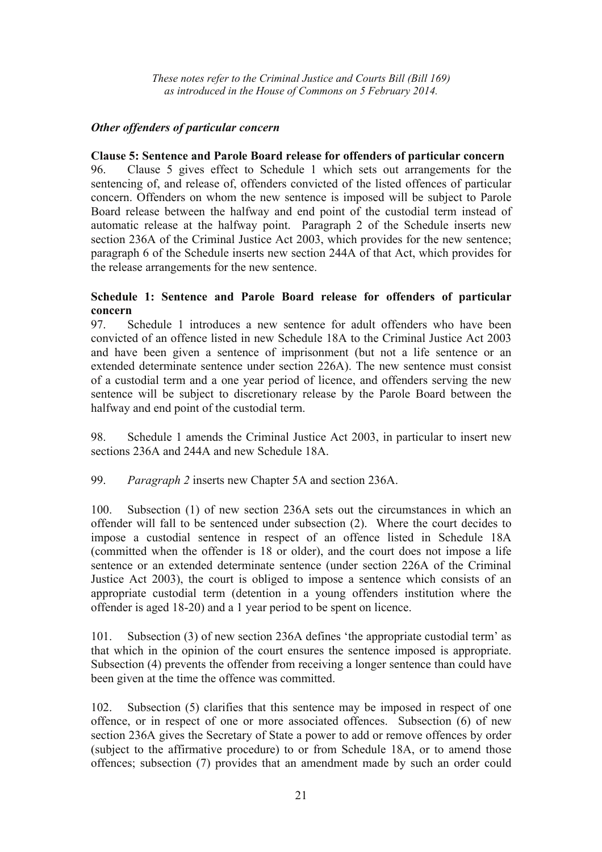## *Other offenders of particular concern*

## **Clause 5: Sentence and Parole Board release for offenders of particular concern**

96. Clause 5 gives effect to Schedule 1 which sets out arrangements for the sentencing of, and release of, offenders convicted of the listed offences of particular concern. Offenders on whom the new sentence is imposed will be subject to Parole Board release between the halfway and end point of the custodial term instead of automatic release at the halfway point. Paragraph 2 of the Schedule inserts new section 236A of the Criminal Justice Act 2003, which provides for the new sentence; paragraph 6 of the Schedule inserts new section 244A of that Act, which provides for the release arrangements for the new sentence.

## **Schedule 1: Sentence and Parole Board release for offenders of particular concern**

97. Schedule 1 introduces a new sentence for adult offenders who have been convicted of an offence listed in new Schedule 18A to the Criminal Justice Act 2003 and have been given a sentence of imprisonment (but not a life sentence or an extended determinate sentence under section 226A). The new sentence must consist of a custodial term and a one year period of licence, and offenders serving the new sentence will be subject to discretionary release by the Parole Board between the halfway and end point of the custodial term.

98. Schedule 1 amends the Criminal Justice Act 2003, in particular to insert new sections 236A and 244A and new Schedule 18A.

99. *Paragraph 2* inserts new Chapter 5A and section 236A.

100. Subsection (1) of new section 236A sets out the circumstances in which an offender will fall to be sentenced under subsection (2). Where the court decides to impose a custodial sentence in respect of an offence listed in Schedule 18A (committed when the offender is 18 or older), and the court does not impose a life sentence or an extended determinate sentence (under section 226A of the Criminal Justice Act 2003), the court is obliged to impose a sentence which consists of an appropriate custodial term (detention in a young offenders institution where the offender is aged 18-20) and a 1 year period to be spent on licence.

101. Subsection (3) of new section 236A defines 'the appropriate custodial term' as that which in the opinion of the court ensures the sentence imposed is appropriate. Subsection (4) prevents the offender from receiving a longer sentence than could have been given at the time the offence was committed.

102. Subsection (5) clarifies that this sentence may be imposed in respect of one offence, or in respect of one or more associated offences. Subsection (6) of new section 236A gives the Secretary of State a power to add or remove offences by order (subject to the affirmative procedure) to or from Schedule 18A, or to amend those offences; subsection (7) provides that an amendment made by such an order could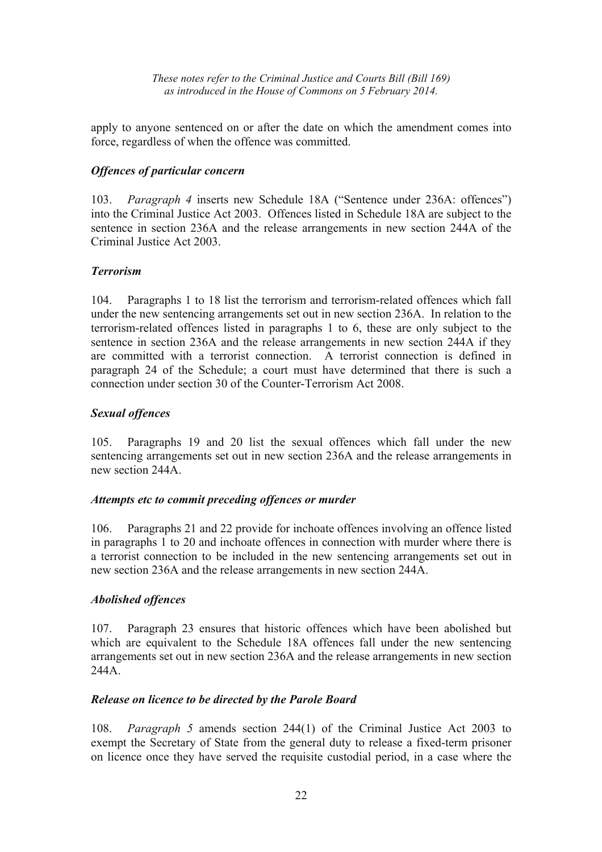apply to anyone sentenced on or after the date on which the amendment comes into force, regardless of when the offence was committed.

#### *Offences of particular concern*

103. *Paragraph 4* inserts new Schedule 18A ("Sentence under 236A: offences") into the Criminal Justice Act 2003. Offences listed in Schedule 18A are subject to the sentence in section 236A and the release arrangements in new section 244A of the Criminal Justice Act 2003.

#### *Terrorism*

104. Paragraphs 1 to 18 list the terrorism and terrorism-related offences which fall under the new sentencing arrangements set out in new section 236A. In relation to the terrorism-related offences listed in paragraphs 1 to 6, these are only subject to the sentence in section 236A and the release arrangements in new section 244A if they are committed with a terrorist connection. A terrorist connection is defined in paragraph 24 of the Schedule; a court must have determined that there is such a connection under section 30 of the Counter-Terrorism Act 2008.

#### *Sexual offences*

105. Paragraphs 19 and 20 list the sexual offences which fall under the new sentencing arrangements set out in new section 236A and the release arrangements in new section 244A.

#### *Attempts etc to commit preceding offences or murder*

106. Paragraphs 21 and 22 provide for inchoate offences involving an offence listed in paragraphs 1 to 20 and inchoate offences in connection with murder where there is a terrorist connection to be included in the new sentencing arrangements set out in new section 236A and the release arrangements in new section 244A.

## *Abolished offences*

107. Paragraph 23 ensures that historic offences which have been abolished but which are equivalent to the Schedule 18A offences fall under the new sentencing arrangements set out in new section 236A and the release arrangements in new section 244A.

#### *Release on licence to be directed by the Parole Board*

108. *Paragraph 5* amends section 244(1) of the Criminal Justice Act 2003 to exempt the Secretary of State from the general duty to release a fixed-term prisoner on licence once they have served the requisite custodial period, in a case where the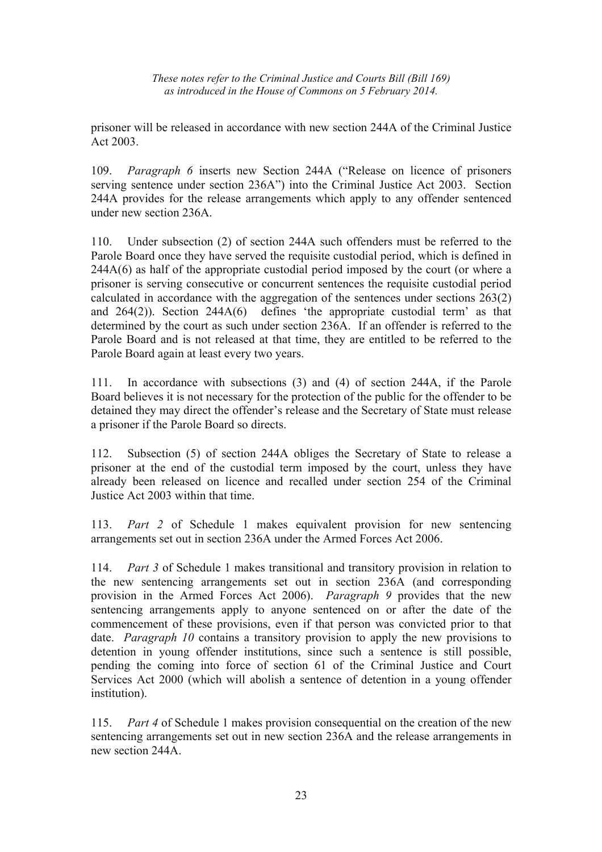prisoner will be released in accordance with new section 244A of the Criminal Justice Act 2003.

109. *Paragraph 6* inserts new Section 244A ("Release on licence of prisoners serving sentence under section 236A") into the Criminal Justice Act 2003. Section 244A provides for the release arrangements which apply to any offender sentenced under new section 236A.

110. Under subsection (2) of section 244A such offenders must be referred to the Parole Board once they have served the requisite custodial period, which is defined in 244A(6) as half of the appropriate custodial period imposed by the court (or where a prisoner is serving consecutive or concurrent sentences the requisite custodial period calculated in accordance with the aggregation of the sentences under sections 263(2) and 264(2)). Section 244A(6) defines 'the appropriate custodial term' as that determined by the court as such under section 236A. If an offender is referred to the Parole Board and is not released at that time, they are entitled to be referred to the Parole Board again at least every two years.

111. In accordance with subsections (3) and (4) of section 244A, if the Parole Board believes it is not necessary for the protection of the public for the offender to be detained they may direct the offender's release and the Secretary of State must release a prisoner if the Parole Board so directs.

112. Subsection (5) of section 244A obliges the Secretary of State to release a prisoner at the end of the custodial term imposed by the court, unless they have already been released on licence and recalled under section 254 of the Criminal Justice Act 2003 within that time.

113. *Part 2* of Schedule 1 makes equivalent provision for new sentencing arrangements set out in section 236A under the Armed Forces Act 2006.

114. *Part 3* of Schedule 1 makes transitional and transitory provision in relation to the new sentencing arrangements set out in section 236A (and corresponding provision in the Armed Forces Act 2006). *Paragraph 9* provides that the new sentencing arrangements apply to anyone sentenced on or after the date of the commencement of these provisions, even if that person was convicted prior to that date. *Paragraph 10* contains a transitory provision to apply the new provisions to detention in young offender institutions, since such a sentence is still possible, pending the coming into force of section 61 of the Criminal Justice and Court Services Act 2000 (which will abolish a sentence of detention in a young offender institution).

115. *Part 4* of Schedule 1 makes provision consequential on the creation of the new sentencing arrangements set out in new section 236A and the release arrangements in new section 244A.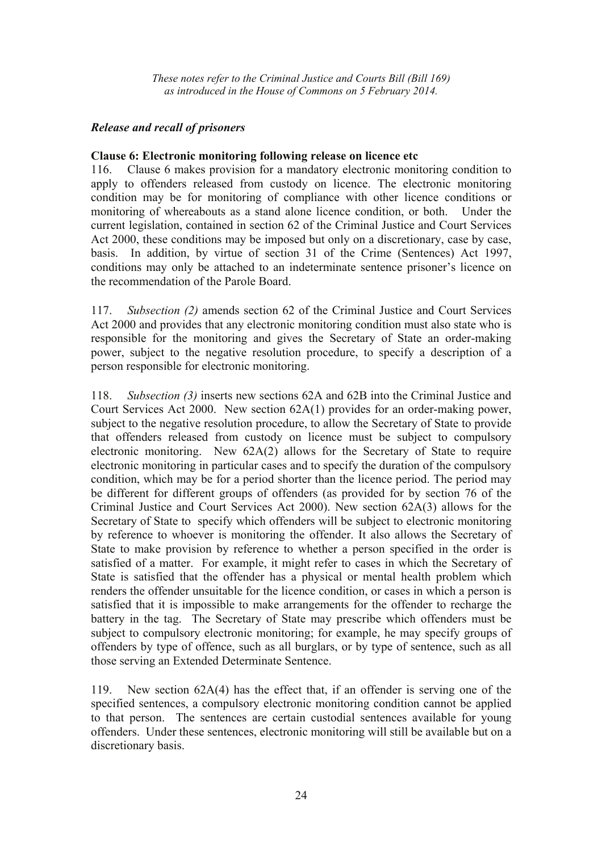## *Release and recall of prisoners*

#### **Clause 6: Electronic monitoring following release on licence etc**

116. Clause 6 makes provision for a mandatory electronic monitoring condition to apply to offenders released from custody on licence. The electronic monitoring condition may be for monitoring of compliance with other licence conditions or monitoring of whereabouts as a stand alone licence condition, or both. Under the current legislation, contained in section 62 of the Criminal Justice and Court Services Act 2000, these conditions may be imposed but only on a discretionary, case by case, basis. In addition, by virtue of section 31 of the Crime (Sentences) Act 1997, conditions may only be attached to an indeterminate sentence prisoner's licence on the recommendation of the Parole Board.

117. *Subsection (2)* amends section 62 of the Criminal Justice and Court Services Act 2000 and provides that any electronic monitoring condition must also state who is responsible for the monitoring and gives the Secretary of State an order-making power, subject to the negative resolution procedure, to specify a description of a person responsible for electronic monitoring.

118. *Subsection (3)* inserts new sections 62A and 62B into the Criminal Justice and Court Services Act 2000. New section 62A(1) provides for an order-making power, subject to the negative resolution procedure, to allow the Secretary of State to provide that offenders released from custody on licence must be subject to compulsory electronic monitoring. New 62A(2) allows for the Secretary of State to require electronic monitoring in particular cases and to specify the duration of the compulsory condition, which may be for a period shorter than the licence period. The period may be different for different groups of offenders (as provided for by section 76 of the Criminal Justice and Court Services Act 2000). New section 62A(3) allows for the Secretary of State to specify which offenders will be subject to electronic monitoring by reference to whoever is monitoring the offender. It also allows the Secretary of State to make provision by reference to whether a person specified in the order is satisfied of a matter. For example, it might refer to cases in which the Secretary of State is satisfied that the offender has a physical or mental health problem which renders the offender unsuitable for the licence condition, or cases in which a person is satisfied that it is impossible to make arrangements for the offender to recharge the battery in the tag. The Secretary of State may prescribe which offenders must be subject to compulsory electronic monitoring; for example, he may specify groups of offenders by type of offence, such as all burglars, or by type of sentence, such as all those serving an Extended Determinate Sentence.

119. New section 62A(4) has the effect that, if an offender is serving one of the specified sentences, a compulsory electronic monitoring condition cannot be applied to that person. The sentences are certain custodial sentences available for young offenders. Under these sentences, electronic monitoring will still be available but on a discretionary basis.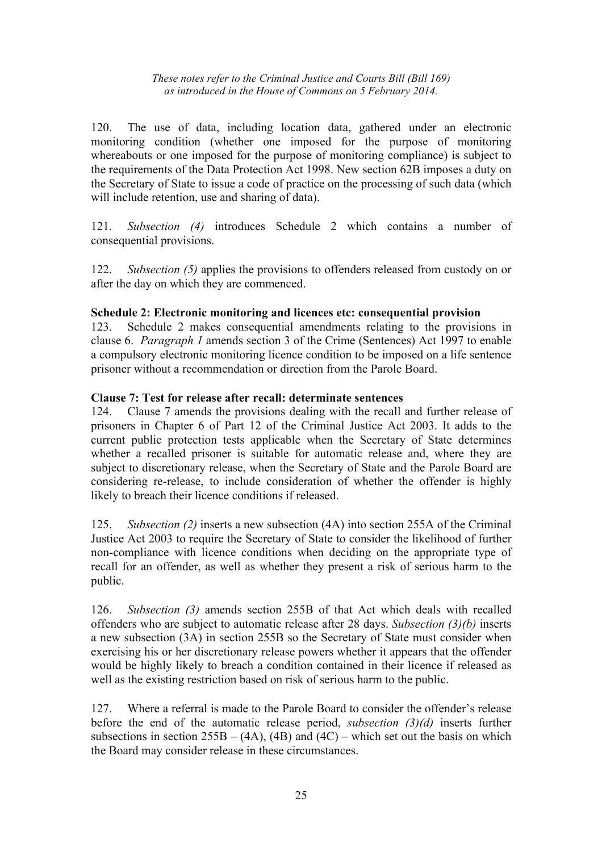120. The use of data, including location data, gathered under an electronic monitoring condition (whether one imposed for the purpose of monitoring whereabouts or one imposed for the purpose of monitoring compliance) is subject to the requirements of the Data Protection Act 1998. New section 62B imposes a duty on the Secretary of State to issue a code of practice on the processing of such data (which will include retention, use and sharing of data).

121. *Subsection (4)* introduces Schedule 2 which contains a number of consequential provisions.

122. *Subsection (5)* applies the provisions to offenders released from custody on or after the day on which they are commenced.

#### **Schedule 2: Electronic monitoring and licences etc: consequential provision**

123. Schedule 2 makes consequential amendments relating to the provisions in clause 6. *Paragraph 1* amends section 3 of the Crime (Sentences) Act 1997 to enable a compulsory electronic monitoring licence condition to be imposed on a life sentence prisoner without a recommendation or direction from the Parole Board.

#### **Clause 7: Test for release after recall: determinate sentences**

124. Clause 7 amends the provisions dealing with the recall and further release of prisoners in Chapter 6 of Part 12 of the Criminal Justice Act 2003. It adds to the current public protection tests applicable when the Secretary of State determines whether a recalled prisoner is suitable for automatic release and, where they are subject to discretionary release, when the Secretary of State and the Parole Board are considering re-release, to include consideration of whether the offender is highly likely to breach their licence conditions if released.

125. *Subsection (2)* inserts a new subsection (4A) into section 255A of the Criminal Justice Act 2003 to require the Secretary of State to consider the likelihood of further non-compliance with licence conditions when deciding on the appropriate type of recall for an offender, as well as whether they present a risk of serious harm to the public.

126. *Subsection (3)* amends section 255B of that Act which deals with recalled offenders who are subject to automatic release after 28 days. *Subsection (3)(b)* inserts a new subsection (3A) in section 255B so the Secretary of State must consider when exercising his or her discretionary release powers whether it appears that the offender would be highly likely to breach a condition contained in their licence if released as well as the existing restriction based on risk of serious harm to the public.

127. Where a referral is made to the Parole Board to consider the offender's release before the end of the automatic release period, *subsection (3)(d)* inserts further subsections in section  $255B - (4A)$ ,  $(4B)$  and  $(4C)$  – which set out the basis on which the Board may consider release in these circumstances.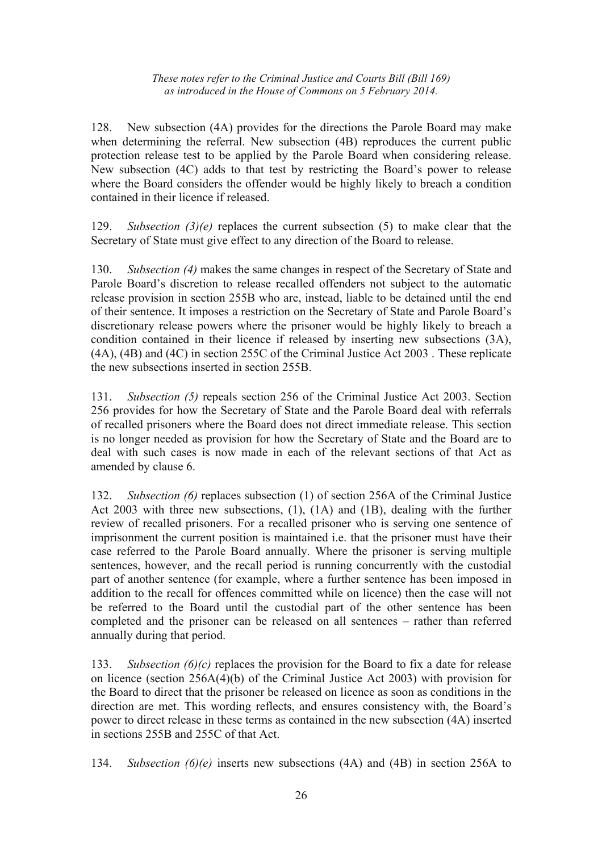128. New subsection (4A) provides for the directions the Parole Board may make when determining the referral. New subsection (4B) reproduces the current public protection release test to be applied by the Parole Board when considering release. New subsection (4C) adds to that test by restricting the Board's power to release where the Board considers the offender would be highly likely to breach a condition contained in their licence if released.

129. *Subsection (3)(e)* replaces the current subsection (5) to make clear that the Secretary of State must give effect to any direction of the Board to release.

130. *Subsection (4)* makes the same changes in respect of the Secretary of State and Parole Board's discretion to release recalled offenders not subject to the automatic release provision in section 255B who are, instead, liable to be detained until the end of their sentence. It imposes a restriction on the Secretary of State and Parole Board's discretionary release powers where the prisoner would be highly likely to breach a condition contained in their licence if released by inserting new subsections (3A), (4A), (4B) and (4C) in section 255C of the Criminal Justice Act 2003 . These replicate the new subsections inserted in section 255B.

131. *Subsection (5)* repeals section 256 of the Criminal Justice Act 2003. Section 256 provides for how the Secretary of State and the Parole Board deal with referrals of recalled prisoners where the Board does not direct immediate release. This section is no longer needed as provision for how the Secretary of State and the Board are to deal with such cases is now made in each of the relevant sections of that Act as amended by clause 6.

132. *Subsection (6)* replaces subsection (1) of section 256A of the Criminal Justice Act 2003 with three new subsections, (1), (1A) and (1B), dealing with the further review of recalled prisoners. For a recalled prisoner who is serving one sentence of imprisonment the current position is maintained i.e. that the prisoner must have their case referred to the Parole Board annually. Where the prisoner is serving multiple sentences, however, and the recall period is running concurrently with the custodial part of another sentence (for example, where a further sentence has been imposed in addition to the recall for offences committed while on licence) then the case will not be referred to the Board until the custodial part of the other sentence has been completed and the prisoner can be released on all sentences – rather than referred annually during that period.

133. *Subsection (6)(c)* replaces the provision for the Board to fix a date for release on licence (section 256A(4)(b) of the Criminal Justice Act 2003) with provision for the Board to direct that the prisoner be released on licence as soon as conditions in the direction are met. This wording reflects, and ensures consistency with, the Board's power to direct release in these terms as contained in the new subsection (4A) inserted in sections 255B and 255C of that Act.

134. *Subsection (6)(e)* inserts new subsections (4A) and (4B) in section 256A to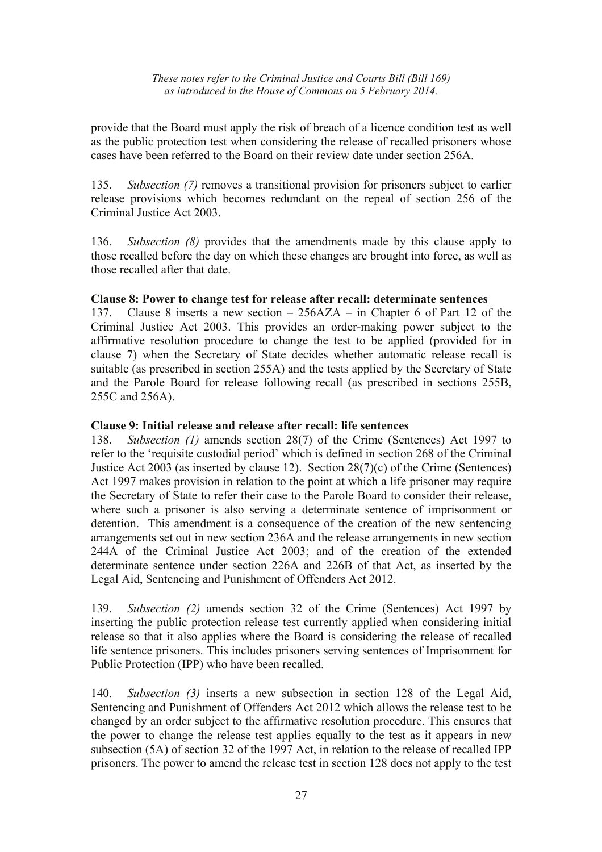provide that the Board must apply the risk of breach of a licence condition test as well as the public protection test when considering the release of recalled prisoners whose cases have been referred to the Board on their review date under section 256A.

135. *Subsection (7)* removes a transitional provision for prisoners subject to earlier release provisions which becomes redundant on the repeal of section 256 of the Criminal Justice Act 2003.

136. *Subsection (8)* provides that the amendments made by this clause apply to those recalled before the day on which these changes are brought into force, as well as those recalled after that date.

## **Clause 8: Power to change test for release after recall: determinate sentences**

137. Clause 8 inserts a new section – 256AZA – in Chapter 6 of Part 12 of the Criminal Justice Act 2003. This provides an order-making power subject to the affirmative resolution procedure to change the test to be applied (provided for in clause 7) when the Secretary of State decides whether automatic release recall is suitable (as prescribed in section 255A) and the tests applied by the Secretary of State and the Parole Board for release following recall (as prescribed in sections 255B, 255C and 256A).

## **Clause 9: Initial release and release after recall: life sentences**

138. *Subsection (1)* amends section 28(7) of the Crime (Sentences) Act 1997 to refer to the 'requisite custodial period' which is defined in section 268 of the Criminal Justice Act 2003 (as inserted by clause 12). Section 28(7)(c) of the Crime (Sentences) Act 1997 makes provision in relation to the point at which a life prisoner may require the Secretary of State to refer their case to the Parole Board to consider their release, where such a prisoner is also serving a determinate sentence of imprisonment or detention. This amendment is a consequence of the creation of the new sentencing arrangements set out in new section 236A and the release arrangements in new section 244A of the Criminal Justice Act 2003; and of the creation of the extended determinate sentence under section 226A and 226B of that Act, as inserted by the Legal Aid, Sentencing and Punishment of Offenders Act 2012.

139. *Subsection (2)* amends section 32 of the Crime (Sentences) Act 1997 by inserting the public protection release test currently applied when considering initial release so that it also applies where the Board is considering the release of recalled life sentence prisoners. This includes prisoners serving sentences of Imprisonment for Public Protection (IPP) who have been recalled.

140. *Subsection (3)* inserts a new subsection in section 128 of the Legal Aid, Sentencing and Punishment of Offenders Act 2012 which allows the release test to be changed by an order subject to the affirmative resolution procedure. This ensures that the power to change the release test applies equally to the test as it appears in new subsection (5A) of section 32 of the 1997 Act, in relation to the release of recalled IPP prisoners. The power to amend the release test in section 128 does not apply to the test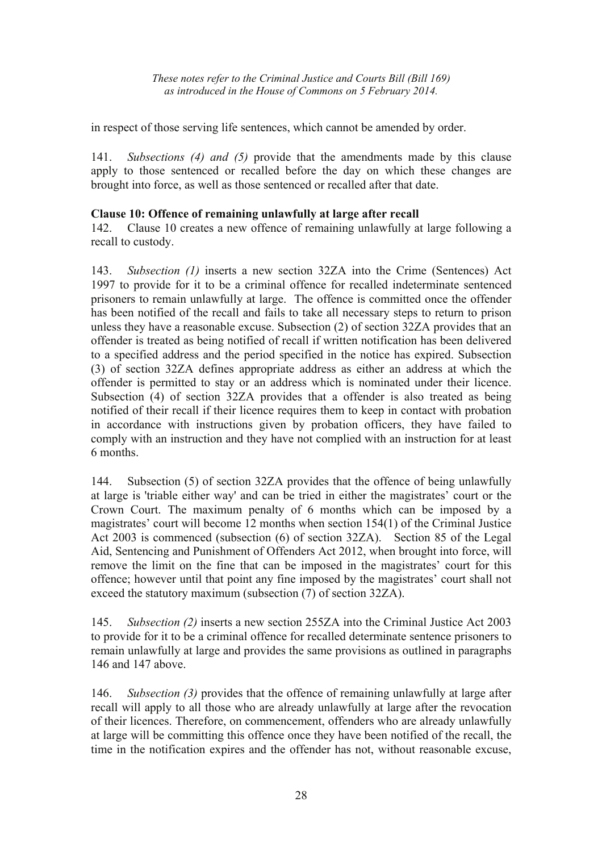in respect of those serving life sentences, which cannot be amended by order.

141. *Subsections (4) and (5)* provide that the amendments made by this clause apply to those sentenced or recalled before the day on which these changes are brought into force, as well as those sentenced or recalled after that date.

## **Clause 10: Offence of remaining unlawfully at large after recall**

142. Clause 10 creates a new offence of remaining unlawfully at large following a recall to custody.

143. *Subsection (1)* inserts a new section 32ZA into the Crime (Sentences) Act 1997 to provide for it to be a criminal offence for recalled indeterminate sentenced prisoners to remain unlawfully at large. The offence is committed once the offender has been notified of the recall and fails to take all necessary steps to return to prison unless they have a reasonable excuse. Subsection (2) of section 32ZA provides that an offender is treated as being notified of recall if written notification has been delivered to a specified address and the period specified in the notice has expired. Subsection (3) of section 32ZA defines appropriate address as either an address at which the offender is permitted to stay or an address which is nominated under their licence. Subsection (4) of section 32ZA provides that a offender is also treated as being notified of their recall if their licence requires them to keep in contact with probation in accordance with instructions given by probation officers, they have failed to comply with an instruction and they have not complied with an instruction for at least 6 months.

144. Subsection (5) of section 32ZA provides that the offence of being unlawfully at large is 'triable either way' and can be tried in either the magistrates' court or the Crown Court. The maximum penalty of 6 months which can be imposed by a magistrates' court will become 12 months when section 154(1) of the Criminal Justice Act 2003 is commenced (subsection (6) of section 32ZA). Section 85 of the Legal Aid, Sentencing and Punishment of Offenders Act 2012, when brought into force, will remove the limit on the fine that can be imposed in the magistrates' court for this offence; however until that point any fine imposed by the magistrates' court shall not exceed the statutory maximum (subsection (7) of section 32ZA).

145. *Subsection (2)* inserts a new section 255ZA into the Criminal Justice Act 2003 to provide for it to be a criminal offence for recalled determinate sentence prisoners to remain unlawfully at large and provides the same provisions as outlined in paragraphs 146 and 147 above.

146. *Subsection (3)* provides that the offence of remaining unlawfully at large after recall will apply to all those who are already unlawfully at large after the revocation of their licences. Therefore, on commencement, offenders who are already unlawfully at large will be committing this offence once they have been notified of the recall, the time in the notification expires and the offender has not, without reasonable excuse,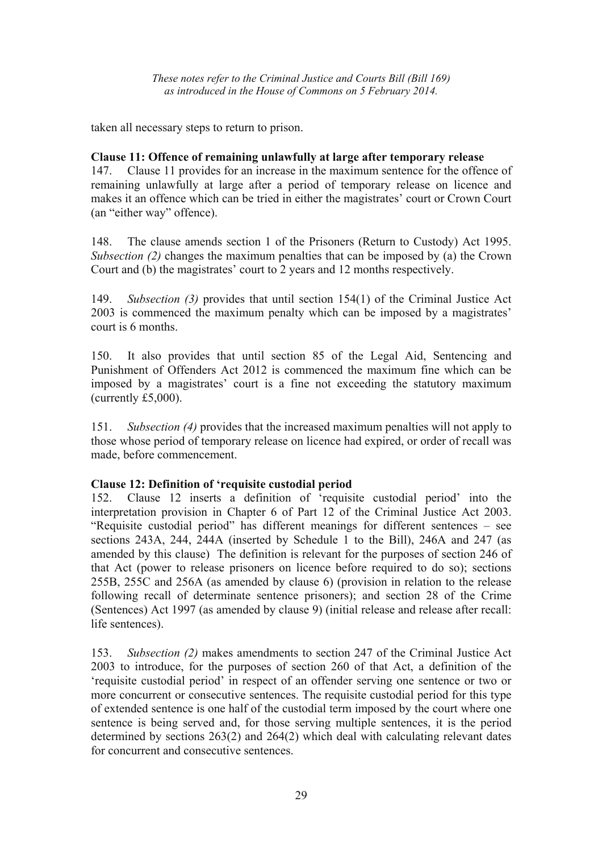taken all necessary steps to return to prison.

#### **Clause 11: Offence of remaining unlawfully at large after temporary release**

147. Clause 11 provides for an increase in the maximum sentence for the offence of remaining unlawfully at large after a period of temporary release on licence and makes it an offence which can be tried in either the magistrates' court or Crown Court (an "either way" offence).

148. The clause amends section 1 of the Prisoners (Return to Custody) Act 1995. *Subsection (2)* changes the maximum penalties that can be imposed by (a) the Crown Court and (b) the magistrates' court to 2 years and 12 months respectively.

149. *Subsection (3)* provides that until section 154(1) of the Criminal Justice Act 2003 is commenced the maximum penalty which can be imposed by a magistrates' court is 6 months.

150. It also provides that until section 85 of the Legal Aid, Sentencing and Punishment of Offenders Act 2012 is commenced the maximum fine which can be imposed by a magistrates' court is a fine not exceeding the statutory maximum (currently £5,000).

151. *Subsection (4)* provides that the increased maximum penalties will not apply to those whose period of temporary release on licence had expired, or order of recall was made, before commencement.

## **Clause 12: Definition of 'requisite custodial period**

152. Clause 12 inserts a definition of 'requisite custodial period' into the interpretation provision in Chapter 6 of Part 12 of the Criminal Justice Act 2003. "Requisite custodial period" has different meanings for different sentences – see sections 243A, 244, 244A (inserted by Schedule 1 to the Bill), 246A and 247 (as amended by this clause) The definition is relevant for the purposes of section 246 of that Act (power to release prisoners on licence before required to do so); sections 255B, 255C and 256A (as amended by clause 6) (provision in relation to the release following recall of determinate sentence prisoners); and section 28 of the Crime (Sentences) Act 1997 (as amended by clause 9) (initial release and release after recall: life sentences).

153. *Subsection (2)* makes amendments to section 247 of the Criminal Justice Act 2003 to introduce, for the purposes of section 260 of that Act, a definition of the 'requisite custodial period' in respect of an offender serving one sentence or two or more concurrent or consecutive sentences. The requisite custodial period for this type of extended sentence is one half of the custodial term imposed by the court where one sentence is being served and, for those serving multiple sentences, it is the period determined by sections 263(2) and 264(2) which deal with calculating relevant dates for concurrent and consecutive sentences.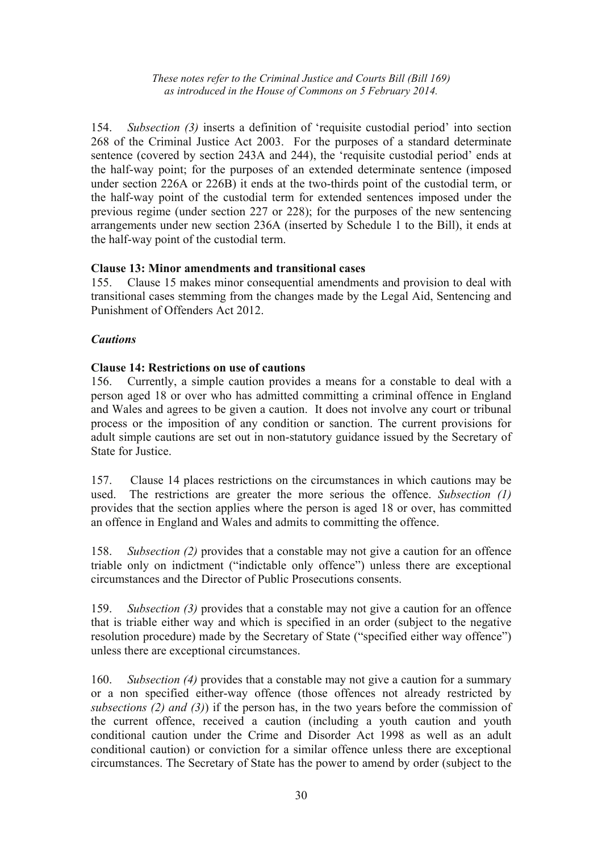154. *Subsection (3)* inserts a definition of 'requisite custodial period' into section 268 of the Criminal Justice Act 2003. For the purposes of a standard determinate sentence (covered by section 243A and 244), the 'requisite custodial period' ends at the half-way point; for the purposes of an extended determinate sentence (imposed under section 226A or 226B) it ends at the two-thirds point of the custodial term, or the half-way point of the custodial term for extended sentences imposed under the previous regime (under section 227 or 228); for the purposes of the new sentencing arrangements under new section 236A (inserted by Schedule 1 to the Bill), it ends at the half-way point of the custodial term.

## **Clause 13: Minor amendments and transitional cases**

155. Clause 15 makes minor consequential amendments and provision to deal with transitional cases stemming from the changes made by the Legal Aid, Sentencing and Punishment of Offenders Act 2012.

#### *Cautions*

#### **Clause 14: Restrictions on use of cautions**

156. Currently, a simple caution provides a means for a constable to deal with a person aged 18 or over who has admitted committing a criminal offence in England and Wales and agrees to be given a caution. It does not involve any court or tribunal process or the imposition of any condition or sanction. The current provisions for adult simple cautions are set out in non-statutory guidance issued by the Secretary of State for Justice.

157. Clause 14 places restrictions on the circumstances in which cautions may be used. The restrictions are greater the more serious the offence. *Subsection (1)* provides that the section applies where the person is aged 18 or over, has committed an offence in England and Wales and admits to committing the offence.

158. *Subsection (2)* provides that a constable may not give a caution for an offence triable only on indictment ("indictable only offence") unless there are exceptional circumstances and the Director of Public Prosecutions consents.

159. *Subsection (3)* provides that a constable may not give a caution for an offence that is triable either way and which is specified in an order (subject to the negative resolution procedure) made by the Secretary of State ("specified either way offence") unless there are exceptional circumstances.

160. *Subsection (4)* provides that a constable may not give a caution for a summary or a non specified either-way offence (those offences not already restricted by *subsections (2) and (3)*) if the person has, in the two years before the commission of the current offence, received a caution (including a youth caution and youth conditional caution under the Crime and Disorder Act 1998 as well as an adult conditional caution) or conviction for a similar offence unless there are exceptional circumstances. The Secretary of State has the power to amend by order (subject to the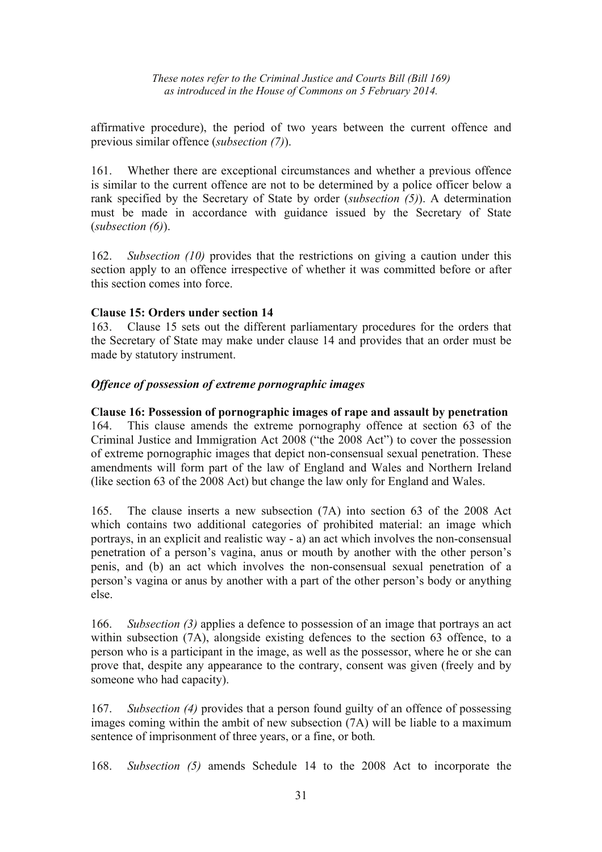affirmative procedure), the period of two years between the current offence and previous similar offence (*subsection (7)*).

161. Whether there are exceptional circumstances and whether a previous offence is similar to the current offence are not to be determined by a police officer below a rank specified by the Secretary of State by order (*subsection (5)*). A determination must be made in accordance with guidance issued by the Secretary of State (*subsection (6)*).

162. *Subsection (10)* provides that the restrictions on giving a caution under this section apply to an offence irrespective of whether it was committed before or after this section comes into force.

## **Clause 15: Orders under section 14**

163. Clause 15 sets out the different parliamentary procedures for the orders that the Secretary of State may make under clause 14 and provides that an order must be made by statutory instrument.

#### *Offence of possession of extreme pornographic images*

#### **Clause 16: Possession of pornographic images of rape and assault by penetration**

164. This clause amends the extreme pornography offence at section 63 of the Criminal Justice and Immigration Act 2008 ("the 2008 Act") to cover the possession of extreme pornographic images that depict non-consensual sexual penetration. These amendments will form part of the law of England and Wales and Northern Ireland (like section 63 of the 2008 Act) but change the law only for England and Wales.

165. The clause inserts a new subsection (7A) into section 63 of the 2008 Act which contains two additional categories of prohibited material: an image which portrays, in an explicit and realistic way - a) an act which involves the non-consensual penetration of a person's vagina, anus or mouth by another with the other person's penis, and (b) an act which involves the non-consensual sexual penetration of a person's vagina or anus by another with a part of the other person's body or anything else.

166. *Subsection (3)* applies a defence to possession of an image that portrays an act within subsection (7A), alongside existing defences to the section 63 offence, to a person who is a participant in the image, as well as the possessor, where he or she can prove that, despite any appearance to the contrary, consent was given (freely and by someone who had capacity).

167. *Subsection (4)* provides that a person found guilty of an offence of possessing images coming within the ambit of new subsection (7A) will be liable to a maximum sentence of imprisonment of three years, or a fine, or both*.*

168. *Subsection (5)* amends Schedule 14 to the 2008 Act to incorporate the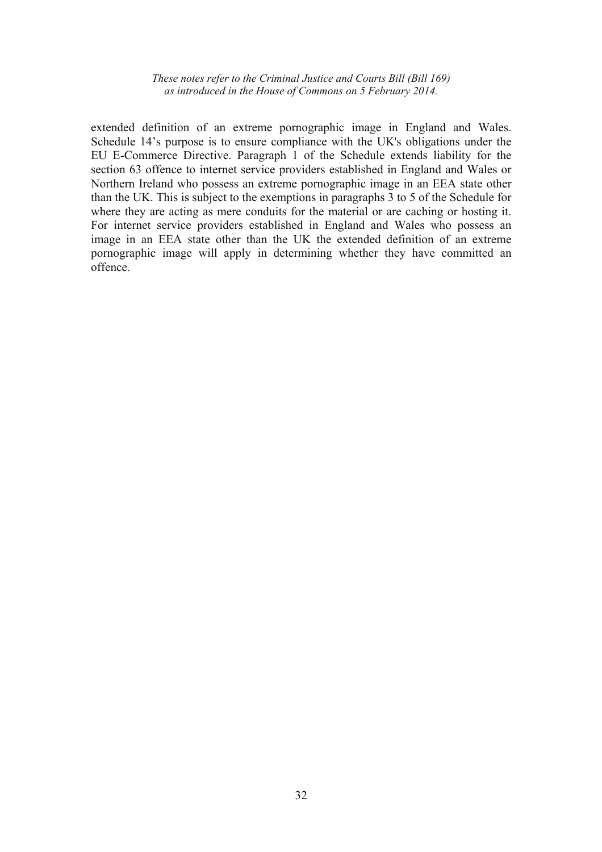extended definition of an extreme pornographic image in England and Wales. Schedule 14's purpose is to ensure compliance with the UK's obligations under the EU E-Commerce Directive. Paragraph 1 of the Schedule extends liability for the section 63 offence to internet service providers established in England and Wales or Northern Ireland who possess an extreme pornographic image in an EEA state other than the UK. This is subject to the exemptions in paragraphs 3 to 5 of the Schedule for where they are acting as mere conduits for the material or are caching or hosting it. For internet service providers established in England and Wales who possess an image in an EEA state other than the UK the extended definition of an extreme pornographic image will apply in determining whether they have committed an offence.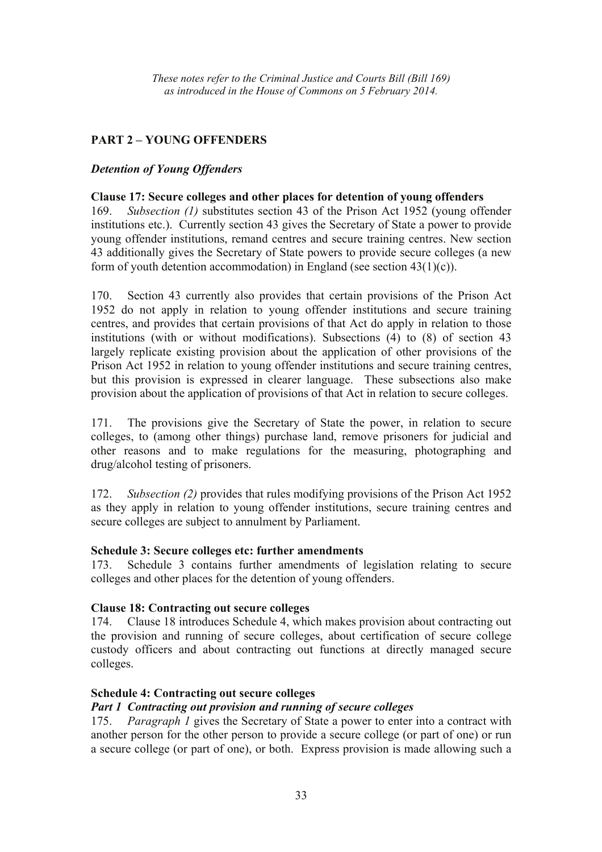# **PART 2 – YOUNG OFFENDERS**

## *Detention of Young Offenders*

#### **Clause 17: Secure colleges and other places for detention of young offenders**

169. *Subsection (1)* substitutes section 43 of the Prison Act 1952 (young offender institutions etc.). Currently section 43 gives the Secretary of State a power to provide young offender institutions, remand centres and secure training centres. New section 43 additionally gives the Secretary of State powers to provide secure colleges (a new form of youth detention accommodation) in England (see section 43(1)(c)).

170. Section 43 currently also provides that certain provisions of the Prison Act 1952 do not apply in relation to young offender institutions and secure training centres, and provides that certain provisions of that Act do apply in relation to those institutions (with or without modifications). Subsections (4) to (8) of section 43 largely replicate existing provision about the application of other provisions of the Prison Act 1952 in relation to young offender institutions and secure training centres, but this provision is expressed in clearer language. These subsections also make provision about the application of provisions of that Act in relation to secure colleges.

171. The provisions give the Secretary of State the power, in relation to secure colleges, to (among other things) purchase land, remove prisoners for judicial and other reasons and to make regulations for the measuring, photographing and drug/alcohol testing of prisoners.

172. *Subsection (2)* provides that rules modifying provisions of the Prison Act 1952 as they apply in relation to young offender institutions, secure training centres and secure colleges are subject to annulment by Parliament.

## **Schedule 3: Secure colleges etc: further amendments**

173. Schedule 3 contains further amendments of legislation relating to secure colleges and other places for the detention of young offenders.

## **Clause 18: Contracting out secure colleges**

174. Clause 18 introduces Schedule 4, which makes provision about contracting out the provision and running of secure colleges, about certification of secure college custody officers and about contracting out functions at directly managed secure colleges.

## **Schedule 4: Contracting out secure colleges**

## *Part 1 Contracting out provision and running of secure colleges*

175. *Paragraph 1* gives the Secretary of State a power to enter into a contract with another person for the other person to provide a secure college (or part of one) or run a secure college (or part of one), or both. Express provision is made allowing such a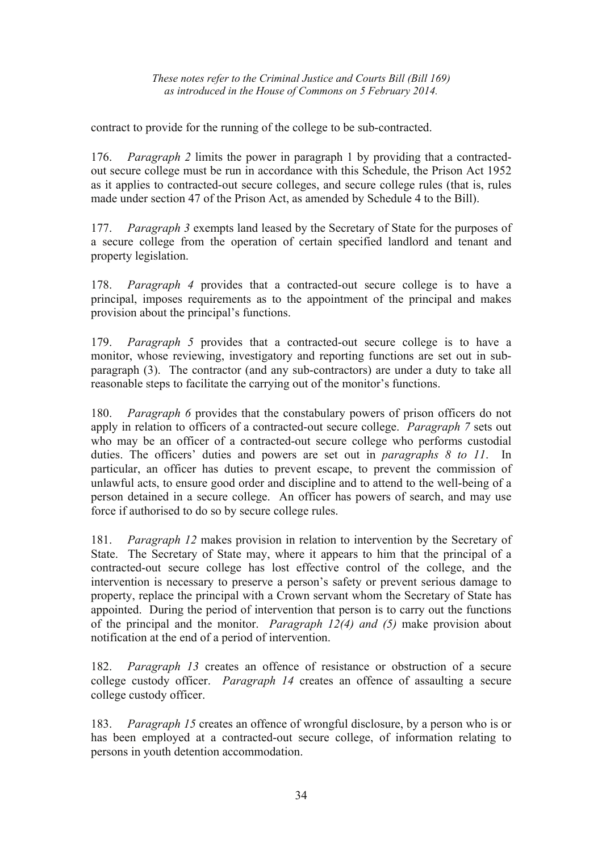contract to provide for the running of the college to be sub-contracted.

176. *Paragraph 2* limits the power in paragraph 1 by providing that a contractedout secure college must be run in accordance with this Schedule, the Prison Act 1952 as it applies to contracted-out secure colleges, and secure college rules (that is, rules made under section 47 of the Prison Act, as amended by Schedule 4 to the Bill).

177. *Paragraph 3* exempts land leased by the Secretary of State for the purposes of a secure college from the operation of certain specified landlord and tenant and property legislation.

178. *Paragraph 4* provides that a contracted-out secure college is to have a principal, imposes requirements as to the appointment of the principal and makes provision about the principal's functions.

179. *Paragraph 5* provides that a contracted-out secure college is to have a monitor, whose reviewing, investigatory and reporting functions are set out in subparagraph (3). The contractor (and any sub-contractors) are under a duty to take all reasonable steps to facilitate the carrying out of the monitor's functions.

180. *Paragraph 6* provides that the constabulary powers of prison officers do not apply in relation to officers of a contracted-out secure college. *Paragraph 7* sets out who may be an officer of a contracted-out secure college who performs custodial duties. The officers' duties and powers are set out in *paragraphs 8 to 11*. In particular, an officer has duties to prevent escape, to prevent the commission of unlawful acts, to ensure good order and discipline and to attend to the well-being of a person detained in a secure college. An officer has powers of search, and may use force if authorised to do so by secure college rules.

181. *Paragraph 12* makes provision in relation to intervention by the Secretary of State. The Secretary of State may, where it appears to him that the principal of a contracted-out secure college has lost effective control of the college, and the intervention is necessary to preserve a person's safety or prevent serious damage to property, replace the principal with a Crown servant whom the Secretary of State has appointed. During the period of intervention that person is to carry out the functions of the principal and the monitor. *Paragraph 12(4) and (5)* make provision about notification at the end of a period of intervention.

182. *Paragraph 13* creates an offence of resistance or obstruction of a secure college custody officer. *Paragraph 14* creates an offence of assaulting a secure college custody officer.

183. *Paragraph 15* creates an offence of wrongful disclosure, by a person who is or has been employed at a contracted-out secure college, of information relating to persons in youth detention accommodation.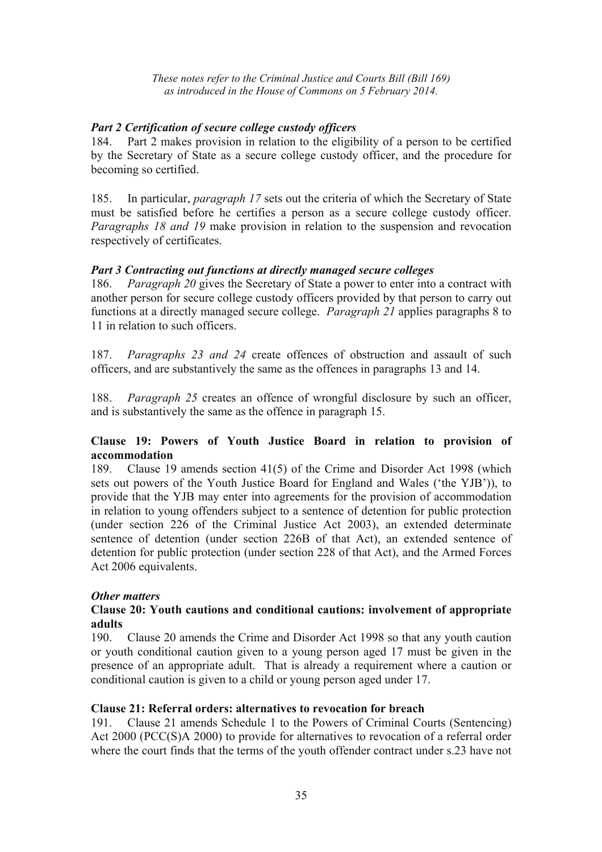## *Part 2 Certification of secure college custody officers*

184. Part 2 makes provision in relation to the eligibility of a person to be certified by the Secretary of State as a secure college custody officer, and the procedure for becoming so certified.

185. In particular, *paragraph 17* sets out the criteria of which the Secretary of State must be satisfied before he certifies a person as a secure college custody officer. *Paragraphs 18 and 19* make provision in relation to the suspension and revocation respectively of certificates.

## *Part 3 Contracting out functions at directly managed secure colleges*

186. *Paragraph 20* gives the Secretary of State a power to enter into a contract with another person for secure college custody officers provided by that person to carry out functions at a directly managed secure college. *Paragraph 21* applies paragraphs 8 to 11 in relation to such officers.

187. *Paragraphs 23 and 24* create offences of obstruction and assault of such officers, and are substantively the same as the offences in paragraphs 13 and 14.

188. *Paragraph 25* creates an offence of wrongful disclosure by such an officer, and is substantively the same as the offence in paragraph 15.

#### **Clause 19: Powers of Youth Justice Board in relation to provision of accommodation**

189. Clause 19 amends section 41(5) of the Crime and Disorder Act 1998 (which sets out powers of the Youth Justice Board for England and Wales ('the YJB')), to provide that the YJB may enter into agreements for the provision of accommodation in relation to young offenders subject to a sentence of detention for public protection (under section 226 of the Criminal Justice Act 2003), an extended determinate sentence of detention (under section 226B of that Act), an extended sentence of detention for public protection (under section 228 of that Act), and the Armed Forces Act 2006 equivalents.

## *Other matters*

#### **Clause 20: Youth cautions and conditional cautions: involvement of appropriate adults**

190. Clause 20 amends the Crime and Disorder Act 1998 so that any youth caution or youth conditional caution given to a young person aged 17 must be given in the presence of an appropriate adult. That is already a requirement where a caution or conditional caution is given to a child or young person aged under 17.

## **Clause 21: Referral orders: alternatives to revocation for breach**

191. Clause 21 amends Schedule 1 to the Powers of Criminal Courts (Sentencing) Act 2000 (PCC(S)A 2000) to provide for alternatives to revocation of a referral order where the court finds that the terms of the youth offender contract under s.23 have not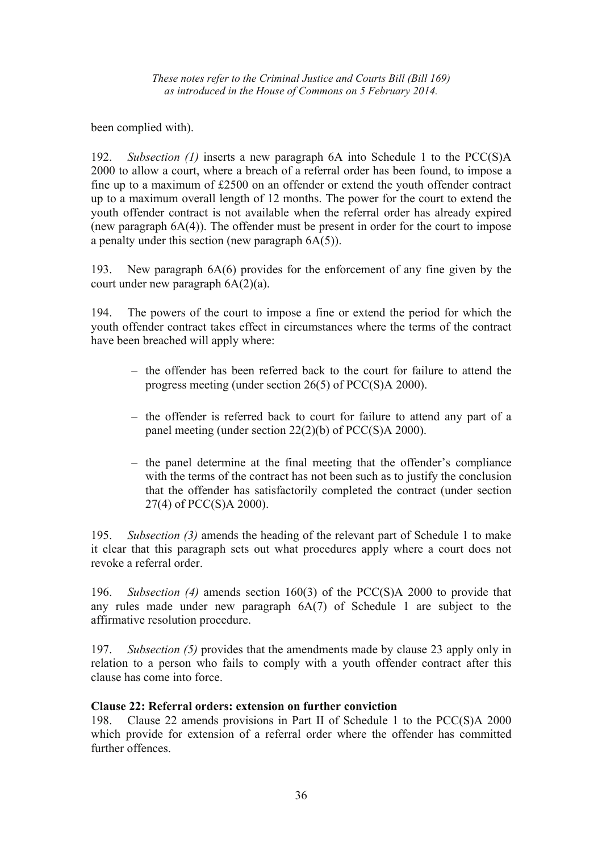been complied with).

192. *Subsection (1)* inserts a new paragraph 6A into Schedule 1 to the PCC(S)A 2000 to allow a court, where a breach of a referral order has been found, to impose a fine up to a maximum of £2500 on an offender or extend the youth offender contract up to a maximum overall length of 12 months. The power for the court to extend the youth offender contract is not available when the referral order has already expired (new paragraph 6A(4)). The offender must be present in order for the court to impose a penalty under this section (new paragraph  $6A(5)$ ).

193. New paragraph 6A(6) provides for the enforcement of any fine given by the court under new paragraph 6A(2)(a).

194. The powers of the court to impose a fine or extend the period for which the youth offender contract takes effect in circumstances where the terms of the contract have been breached will apply where:

- − the offender has been referred back to the court for failure to attend the progress meeting (under section 26(5) of PCC(S)A 2000).
- − the offender is referred back to court for failure to attend any part of a panel meeting (under section 22(2)(b) of PCC(S)A 2000).
- − the panel determine at the final meeting that the offender's compliance with the terms of the contract has not been such as to justify the conclusion that the offender has satisfactorily completed the contract (under section 27(4) of PCC(S)A 2000).

195. *Subsection (3)* amends the heading of the relevant part of Schedule 1 to make it clear that this paragraph sets out what procedures apply where a court does not revoke a referral order.

196. *Subsection (4)* amends section 160(3) of the PCC(S)A 2000 to provide that any rules made under new paragraph 6A(7) of Schedule 1 are subject to the affirmative resolution procedure.

197. *Subsection (5)* provides that the amendments made by clause 23 apply only in relation to a person who fails to comply with a youth offender contract after this clause has come into force.

#### **Clause 22: Referral orders: extension on further conviction**

198. Clause 22 amends provisions in Part II of Schedule 1 to the PCC(S)A 2000 which provide for extension of a referral order where the offender has committed further offences.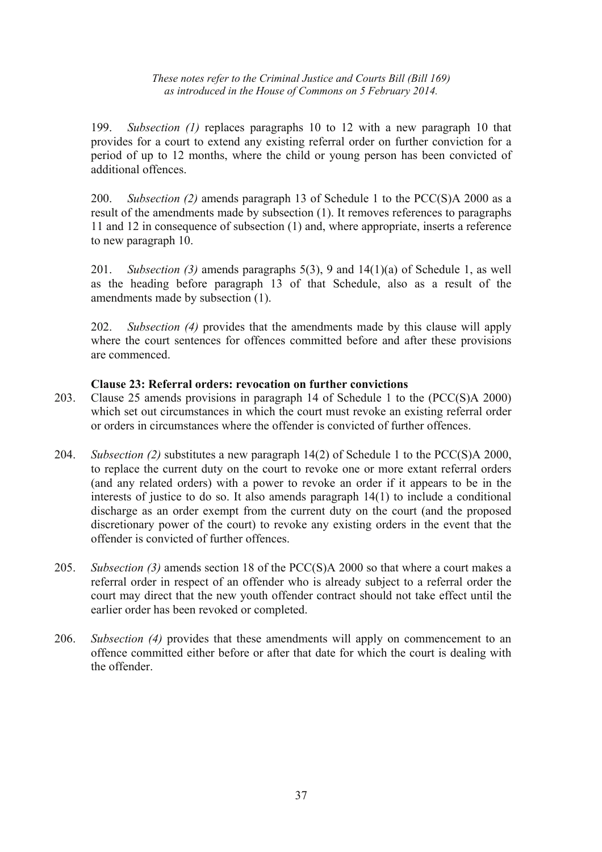199. *Subsection (1)* replaces paragraphs 10 to 12 with a new paragraph 10 that provides for a court to extend any existing referral order on further conviction for a period of up to 12 months, where the child or young person has been convicted of additional offences.

200. *Subsection (2)* amends paragraph 13 of Schedule 1 to the PCC(S)A 2000 as a result of the amendments made by subsection (1). It removes references to paragraphs 11 and 12 in consequence of subsection (1) and, where appropriate, inserts a reference to new paragraph 10.

201. *Subsection (3)* amends paragraphs 5(3), 9 and 14(1)(a) of Schedule 1, as well as the heading before paragraph 13 of that Schedule, also as a result of the amendments made by subsection (1).

202. *Subsection (4)* provides that the amendments made by this clause will apply where the court sentences for offences committed before and after these provisions are commenced.

## **Clause 23: Referral orders: revocation on further convictions**

- 203. Clause 25 amends provisions in paragraph 14 of Schedule 1 to the (PCC(S)A 2000) which set out circumstances in which the court must revoke an existing referral order or orders in circumstances where the offender is convicted of further offences.
- 204. *Subsection (2)* substitutes a new paragraph 14(2) of Schedule 1 to the PCC(S)A 2000, to replace the current duty on the court to revoke one or more extant referral orders (and any related orders) with a power to revoke an order if it appears to be in the interests of justice to do so. It also amends paragraph 14(1) to include a conditional discharge as an order exempt from the current duty on the court (and the proposed discretionary power of the court) to revoke any existing orders in the event that the offender is convicted of further offences.
- 205. *Subsection (3)* amends section 18 of the PCC(S)A 2000 so that where a court makes a referral order in respect of an offender who is already subject to a referral order the court may direct that the new youth offender contract should not take effect until the earlier order has been revoked or completed.
- 206. *Subsection (4)* provides that these amendments will apply on commencement to an offence committed either before or after that date for which the court is dealing with the offender.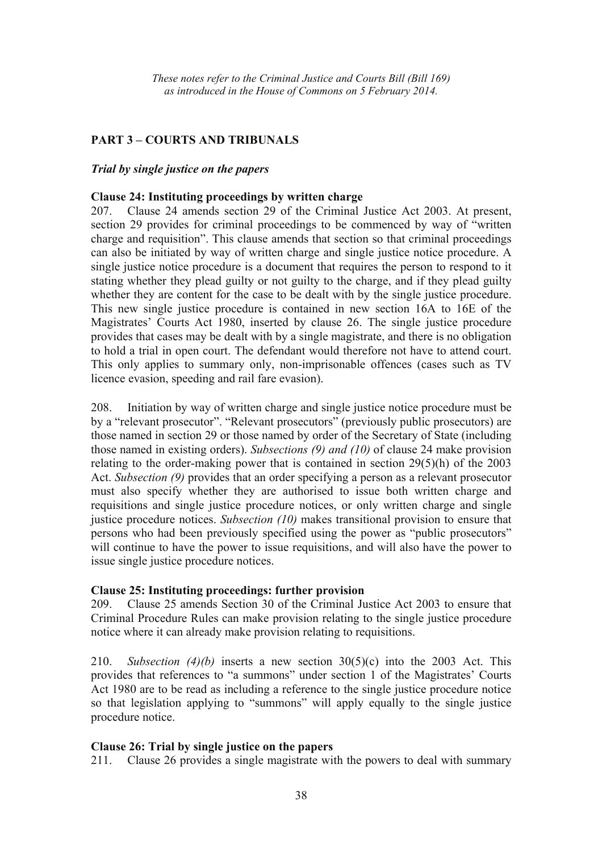## **PART 3 – COURTS AND TRIBUNALS**

#### *Trial by single justice on the papers*

#### **Clause 24: Instituting proceedings by written charge**

207. Clause 24 amends section 29 of the Criminal Justice Act 2003. At present, section 29 provides for criminal proceedings to be commenced by way of "written charge and requisition". This clause amends that section so that criminal proceedings can also be initiated by way of written charge and single justice notice procedure. A single justice notice procedure is a document that requires the person to respond to it stating whether they plead guilty or not guilty to the charge, and if they plead guilty whether they are content for the case to be dealt with by the single justice procedure. This new single justice procedure is contained in new section 16A to 16E of the Magistrates' Courts Act 1980, inserted by clause 26. The single justice procedure provides that cases may be dealt with by a single magistrate, and there is no obligation to hold a trial in open court. The defendant would therefore not have to attend court. This only applies to summary only, non-imprisonable offences (cases such as TV licence evasion, speeding and rail fare evasion).

208. Initiation by way of written charge and single justice notice procedure must be by a "relevant prosecutor". "Relevant prosecutors" (previously public prosecutors) are those named in section 29 or those named by order of the Secretary of State (including those named in existing orders). *Subsections (9) and (10)* of clause 24 make provision relating to the order-making power that is contained in section 29(5)(h) of the 2003 Act. *Subsection (9)* provides that an order specifying a person as a relevant prosecutor must also specify whether they are authorised to issue both written charge and requisitions and single justice procedure notices, or only written charge and single justice procedure notices. *Subsection (10)* makes transitional provision to ensure that persons who had been previously specified using the power as "public prosecutors" will continue to have the power to issue requisitions, and will also have the power to issue single justice procedure notices.

## **Clause 25: Instituting proceedings: further provision**

209. Clause 25 amends Section 30 of the Criminal Justice Act 2003 to ensure that Criminal Procedure Rules can make provision relating to the single justice procedure notice where it can already make provision relating to requisitions.

210. *Subsection (4)(b)* inserts a new section 30(5)(c) into the 2003 Act. This provides that references to "a summons" under section 1 of the Magistrates' Courts Act 1980 are to be read as including a reference to the single justice procedure notice so that legislation applying to "summons" will apply equally to the single justice procedure notice.

#### **Clause 26: Trial by single justice on the papers**

211. Clause 26 provides a single magistrate with the powers to deal with summary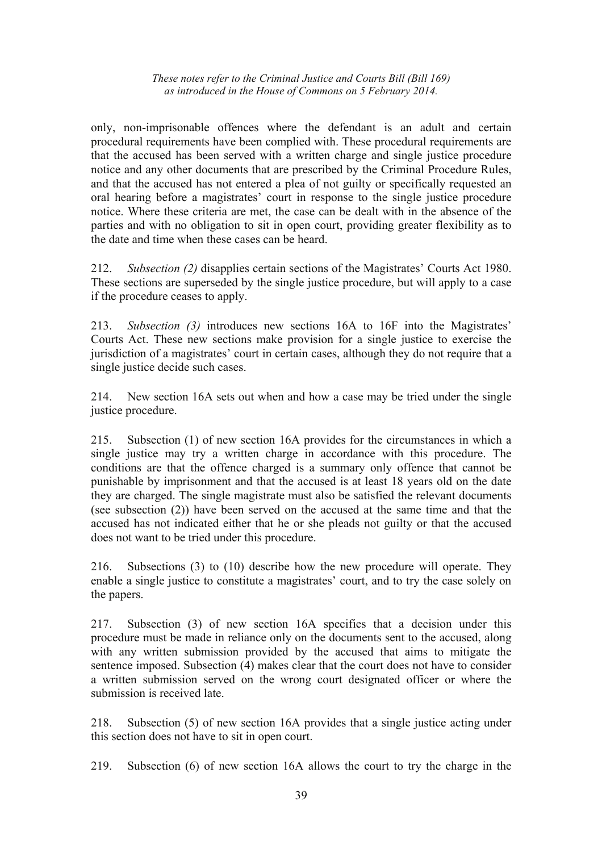only, non-imprisonable offences where the defendant is an adult and certain procedural requirements have been complied with. These procedural requirements are that the accused has been served with a written charge and single justice procedure notice and any other documents that are prescribed by the Criminal Procedure Rules, and that the accused has not entered a plea of not guilty or specifically requested an oral hearing before a magistrates' court in response to the single justice procedure notice. Where these criteria are met, the case can be dealt with in the absence of the parties and with no obligation to sit in open court, providing greater flexibility as to the date and time when these cases can be heard.

212. *Subsection (2)* disapplies certain sections of the Magistrates' Courts Act 1980. These sections are superseded by the single justice procedure, but will apply to a case if the procedure ceases to apply.

213. *Subsection (3)* introduces new sections 16A to 16F into the Magistrates' Courts Act. These new sections make provision for a single justice to exercise the jurisdiction of a magistrates' court in certain cases, although they do not require that a single justice decide such cases.

214. New section 16A sets out when and how a case may be tried under the single justice procedure.

215. Subsection (1) of new section 16A provides for the circumstances in which a single justice may try a written charge in accordance with this procedure. The conditions are that the offence charged is a summary only offence that cannot be punishable by imprisonment and that the accused is at least 18 years old on the date they are charged. The single magistrate must also be satisfied the relevant documents (see subsection (2)) have been served on the accused at the same time and that the accused has not indicated either that he or she pleads not guilty or that the accused does not want to be tried under this procedure.

216. Subsections (3) to (10) describe how the new procedure will operate. They enable a single justice to constitute a magistrates' court, and to try the case solely on the papers.

217. Subsection (3) of new section 16A specifies that a decision under this procedure must be made in reliance only on the documents sent to the accused, along with any written submission provided by the accused that aims to mitigate the sentence imposed. Subsection (4) makes clear that the court does not have to consider a written submission served on the wrong court designated officer or where the submission is received late

218. Subsection (5) of new section 16A provides that a single justice acting under this section does not have to sit in open court.

219. Subsection (6) of new section 16A allows the court to try the charge in the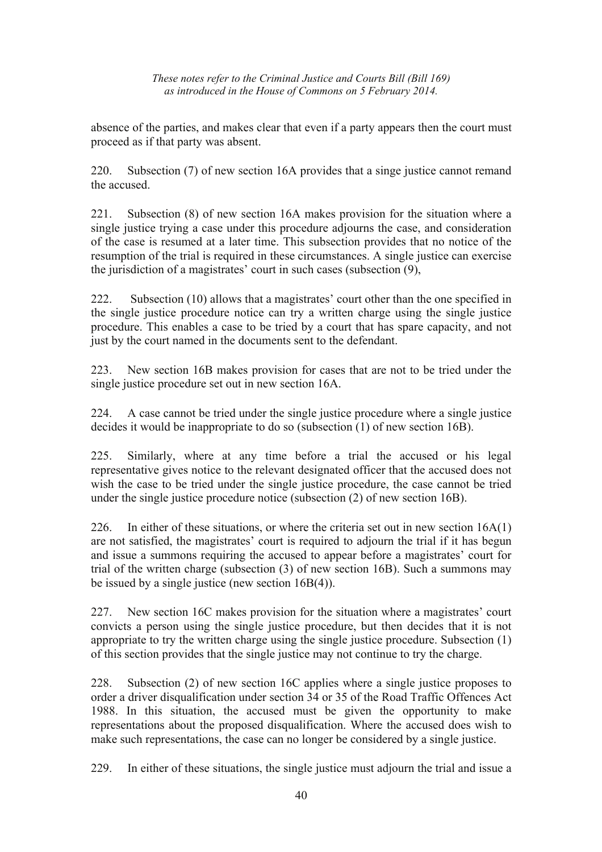absence of the parties, and makes clear that even if a party appears then the court must proceed as if that party was absent.

220. Subsection (7) of new section 16A provides that a singe justice cannot remand the accused.

221. Subsection (8) of new section 16A makes provision for the situation where a single justice trying a case under this procedure adjourns the case, and consideration of the case is resumed at a later time. This subsection provides that no notice of the resumption of the trial is required in these circumstances. A single justice can exercise the jurisdiction of a magistrates' court in such cases (subsection (9),

222. Subsection (10) allows that a magistrates' court other than the one specified in the single justice procedure notice can try a written charge using the single justice procedure. This enables a case to be tried by a court that has spare capacity, and not just by the court named in the documents sent to the defendant.

223. New section 16B makes provision for cases that are not to be tried under the single justice procedure set out in new section 16A.

224. A case cannot be tried under the single justice procedure where a single justice decides it would be inappropriate to do so (subsection (1) of new section 16B).

225. Similarly, where at any time before a trial the accused or his legal representative gives notice to the relevant designated officer that the accused does not wish the case to be tried under the single justice procedure, the case cannot be tried under the single justice procedure notice (subsection (2) of new section 16B).

226. In either of these situations, or where the criteria set out in new section 16A(1) are not satisfied, the magistrates' court is required to adjourn the trial if it has begun and issue a summons requiring the accused to appear before a magistrates' court for trial of the written charge (subsection (3) of new section 16B). Such a summons may be issued by a single justice (new section 16B(4)).

227. New section 16C makes provision for the situation where a magistrates' court convicts a person using the single justice procedure, but then decides that it is not appropriate to try the written charge using the single justice procedure. Subsection (1) of this section provides that the single justice may not continue to try the charge.

228. Subsection (2) of new section 16C applies where a single justice proposes to order a driver disqualification under section 34 or 35 of the Road Traffic Offences Act 1988. In this situation, the accused must be given the opportunity to make representations about the proposed disqualification. Where the accused does wish to make such representations, the case can no longer be considered by a single justice.

229. In either of these situations, the single justice must adjourn the trial and issue a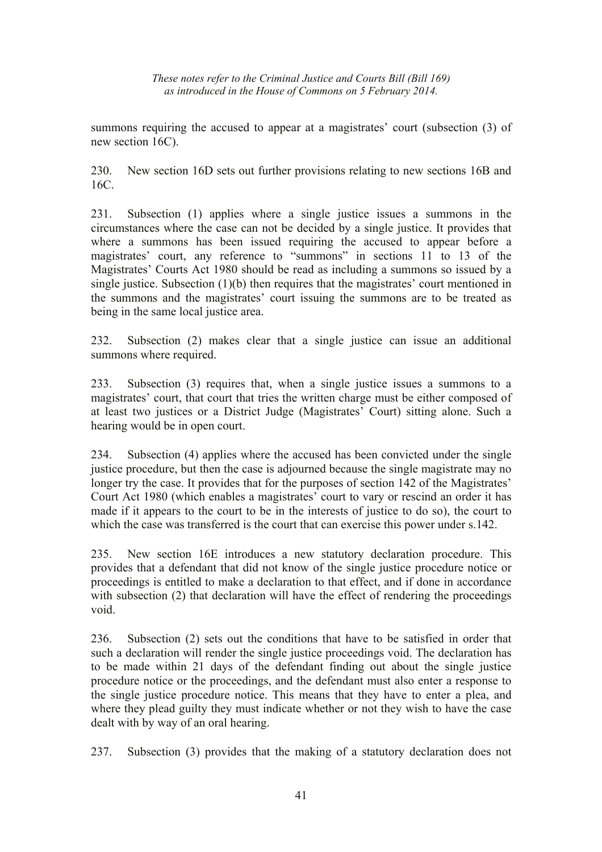summons requiring the accused to appear at a magistrates' court (subsection  $(3)$ ) of new section 16C).

230. New section 16D sets out further provisions relating to new sections 16B and 16C.

231. Subsection (1) applies where a single justice issues a summons in the circumstances where the case can not be decided by a single justice. It provides that where a summons has been issued requiring the accused to appear before a magistrates' court, any reference to "summons" in sections 11 to 13 of the Magistrates' Courts Act 1980 should be read as including a summons so issued by a single justice. Subsection (1)(b) then requires that the magistrates' court mentioned in the summons and the magistrates' court issuing the summons are to be treated as being in the same local justice area.

232. Subsection (2) makes clear that a single justice can issue an additional summons where required.

233. Subsection (3) requires that, when a single justice issues a summons to a magistrates' court, that court that tries the written charge must be either composed of at least two justices or a District Judge (Magistrates' Court) sitting alone. Such a hearing would be in open court.

234. Subsection (4) applies where the accused has been convicted under the single justice procedure, but then the case is adjourned because the single magistrate may no longer try the case. It provides that for the purposes of section 142 of the Magistrates' Court Act 1980 (which enables a magistrates' court to vary or rescind an order it has made if it appears to the court to be in the interests of justice to do so), the court to which the case was transferred is the court that can exercise this power under s.142.

235. New section 16E introduces a new statutory declaration procedure. This provides that a defendant that did not know of the single justice procedure notice or proceedings is entitled to make a declaration to that effect, and if done in accordance with subsection (2) that declaration will have the effect of rendering the proceedings void.

236. Subsection (2) sets out the conditions that have to be satisfied in order that such a declaration will render the single justice proceedings void. The declaration has to be made within 21 days of the defendant finding out about the single justice procedure notice or the proceedings, and the defendant must also enter a response to the single justice procedure notice. This means that they have to enter a plea, and where they plead guilty they must indicate whether or not they wish to have the case dealt with by way of an oral hearing.

237. Subsection (3) provides that the making of a statutory declaration does not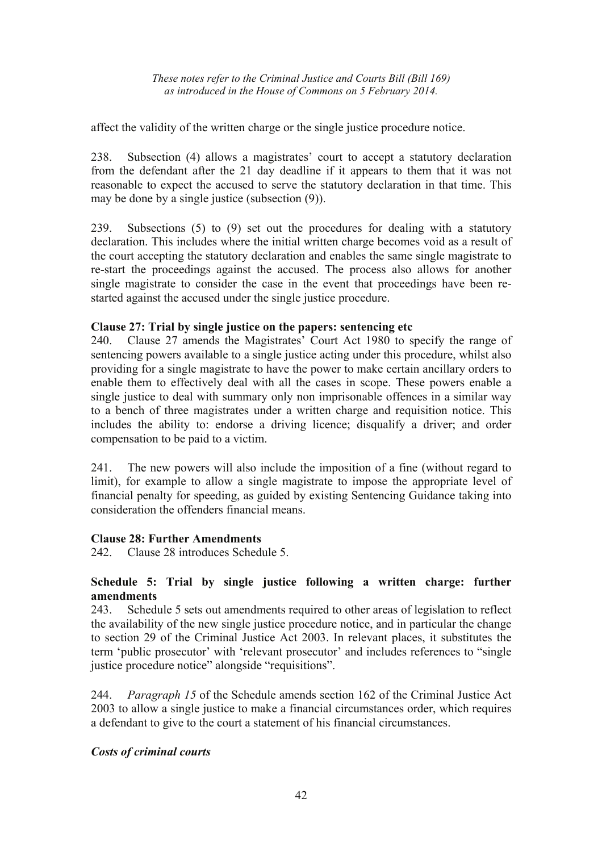affect the validity of the written charge or the single justice procedure notice.

238. Subsection (4) allows a magistrates' court to accept a statutory declaration from the defendant after the 21 day deadline if it appears to them that it was not reasonable to expect the accused to serve the statutory declaration in that time. This may be done by a single justice (subsection (9)).

239. Subsections (5) to (9) set out the procedures for dealing with a statutory declaration. This includes where the initial written charge becomes void as a result of the court accepting the statutory declaration and enables the same single magistrate to re-start the proceedings against the accused. The process also allows for another single magistrate to consider the case in the event that proceedings have been restarted against the accused under the single justice procedure.

#### **Clause 27: Trial by single justice on the papers: sentencing etc**

240. Clause 27 amends the Magistrates' Court Act 1980 to specify the range of sentencing powers available to a single justice acting under this procedure, whilst also providing for a single magistrate to have the power to make certain ancillary orders to enable them to effectively deal with all the cases in scope. These powers enable a single justice to deal with summary only non imprisonable offences in a similar way to a bench of three magistrates under a written charge and requisition notice. This includes the ability to: endorse a driving licence; disqualify a driver; and order compensation to be paid to a victim.

241. The new powers will also include the imposition of a fine (without regard to limit), for example to allow a single magistrate to impose the appropriate level of financial penalty for speeding, as guided by existing Sentencing Guidance taking into consideration the offenders financial means.

## **Clause 28: Further Amendments**

242. Clause 28 introduces Schedule 5.

#### **Schedule 5: Trial by single justice following a written charge: further amendments**

243. Schedule 5 sets out amendments required to other areas of legislation to reflect the availability of the new single justice procedure notice, and in particular the change to section 29 of the Criminal Justice Act 2003. In relevant places, it substitutes the term 'public prosecutor' with 'relevant prosecutor' and includes references to "single justice procedure notice" alongside "requisitions".

244. *Paragraph 15* of the Schedule amends section 162 of the Criminal Justice Act 2003 to allow a single justice to make a financial circumstances order, which requires a defendant to give to the court a statement of his financial circumstances.

#### *Costs of criminal courts*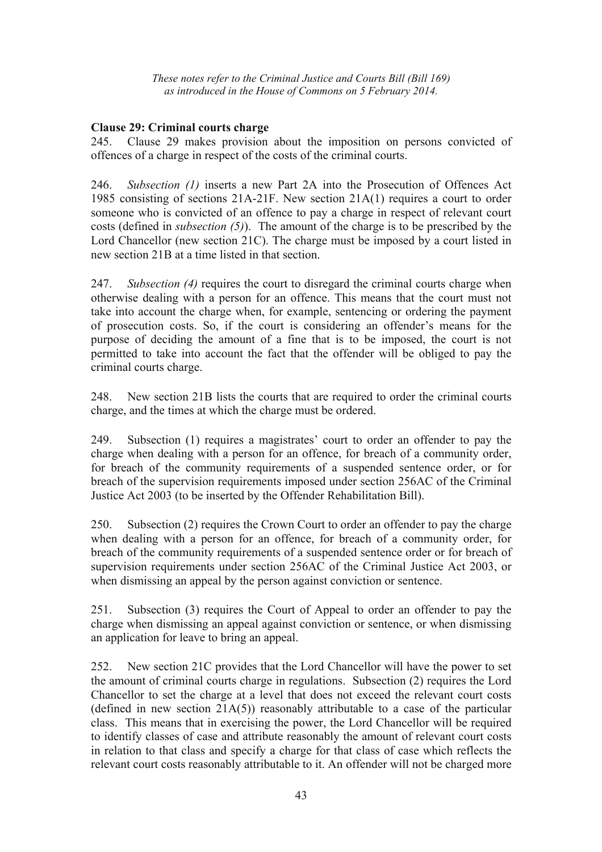## **Clause 29: Criminal courts charge**

245. Clause 29 makes provision about the imposition on persons convicted of offences of a charge in respect of the costs of the criminal courts.

246. *Subsection (1)* inserts a new Part 2A into the Prosecution of Offences Act 1985 consisting of sections 21A-21F. New section 21A(1) requires a court to order someone who is convicted of an offence to pay a charge in respect of relevant court costs (defined in *subsection (5)*). The amount of the charge is to be prescribed by the Lord Chancellor (new section 21C). The charge must be imposed by a court listed in new section 21B at a time listed in that section.

247. *Subsection (4)* requires the court to disregard the criminal courts charge when otherwise dealing with a person for an offence. This means that the court must not take into account the charge when, for example, sentencing or ordering the payment of prosecution costs. So, if the court is considering an offender's means for the purpose of deciding the amount of a fine that is to be imposed, the court is not permitted to take into account the fact that the offender will be obliged to pay the criminal courts charge.

248. New section 21B lists the courts that are required to order the criminal courts charge, and the times at which the charge must be ordered.

249. Subsection (1) requires a magistrates' court to order an offender to pay the charge when dealing with a person for an offence, for breach of a community order, for breach of the community requirements of a suspended sentence order, or for breach of the supervision requirements imposed under section 256AC of the Criminal Justice Act 2003 (to be inserted by the Offender Rehabilitation Bill).

250. Subsection (2) requires the Crown Court to order an offender to pay the charge when dealing with a person for an offence, for breach of a community order, for breach of the community requirements of a suspended sentence order or for breach of supervision requirements under section 256AC of the Criminal Justice Act 2003, or when dismissing an appeal by the person against conviction or sentence.

251. Subsection (3) requires the Court of Appeal to order an offender to pay the charge when dismissing an appeal against conviction or sentence, or when dismissing an application for leave to bring an appeal.

252. New section 21C provides that the Lord Chancellor will have the power to set the amount of criminal courts charge in regulations. Subsection (2) requires the Lord Chancellor to set the charge at a level that does not exceed the relevant court costs (defined in new section  $21A(5)$ ) reasonably attributable to a case of the particular class. This means that in exercising the power, the Lord Chancellor will be required to identify classes of case and attribute reasonably the amount of relevant court costs in relation to that class and specify a charge for that class of case which reflects the relevant court costs reasonably attributable to it. An offender will not be charged more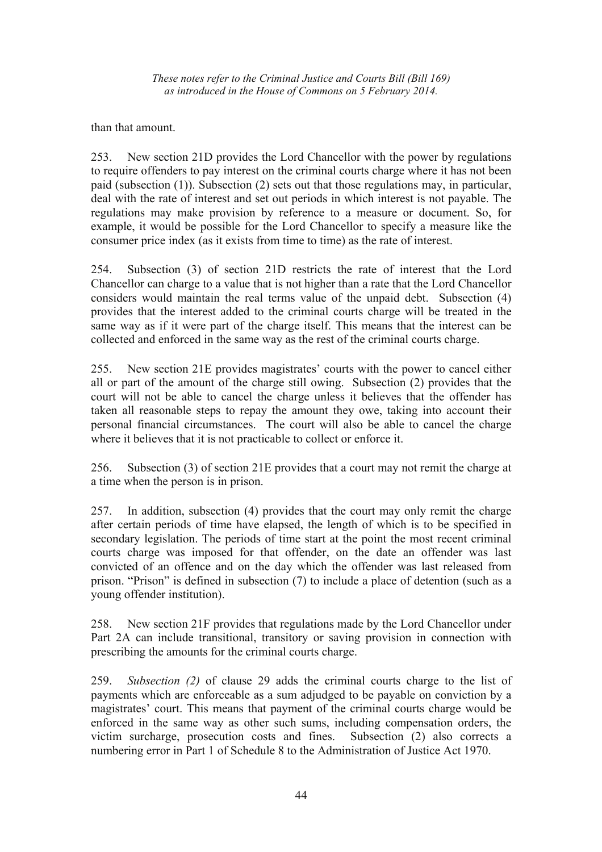than that amount.

253. New section 21D provides the Lord Chancellor with the power by regulations to require offenders to pay interest on the criminal courts charge where it has not been paid (subsection (1)). Subsection (2) sets out that those regulations may, in particular, deal with the rate of interest and set out periods in which interest is not payable. The regulations may make provision by reference to a measure or document. So, for example, it would be possible for the Lord Chancellor to specify a measure like the consumer price index (as it exists from time to time) as the rate of interest.

254. Subsection (3) of section 21D restricts the rate of interest that the Lord Chancellor can charge to a value that is not higher than a rate that the Lord Chancellor considers would maintain the real terms value of the unpaid debt. Subsection (4) provides that the interest added to the criminal courts charge will be treated in the same way as if it were part of the charge itself. This means that the interest can be collected and enforced in the same way as the rest of the criminal courts charge.

255. New section 21E provides magistrates' courts with the power to cancel either all or part of the amount of the charge still owing. Subsection (2) provides that the court will not be able to cancel the charge unless it believes that the offender has taken all reasonable steps to repay the amount they owe, taking into account their personal financial circumstances. The court will also be able to cancel the charge where it believes that it is not practicable to collect or enforce it.

256. Subsection (3) of section 21E provides that a court may not remit the charge at a time when the person is in prison.

257. In addition, subsection (4) provides that the court may only remit the charge after certain periods of time have elapsed, the length of which is to be specified in secondary legislation. The periods of time start at the point the most recent criminal courts charge was imposed for that offender, on the date an offender was last convicted of an offence and on the day which the offender was last released from prison. "Prison" is defined in subsection (7) to include a place of detention (such as a young offender institution).

258. New section 21F provides that regulations made by the Lord Chancellor under Part 2A can include transitional, transitory or saving provision in connection with prescribing the amounts for the criminal courts charge.

259. *Subsection (2)* of clause 29 adds the criminal courts charge to the list of payments which are enforceable as a sum adjudged to be payable on conviction by a magistrates' court. This means that payment of the criminal courts charge would be enforced in the same way as other such sums, including compensation orders, the victim surcharge, prosecution costs and fines. Subsection (2) also corrects a numbering error in Part 1 of Schedule 8 to the Administration of Justice Act 1970.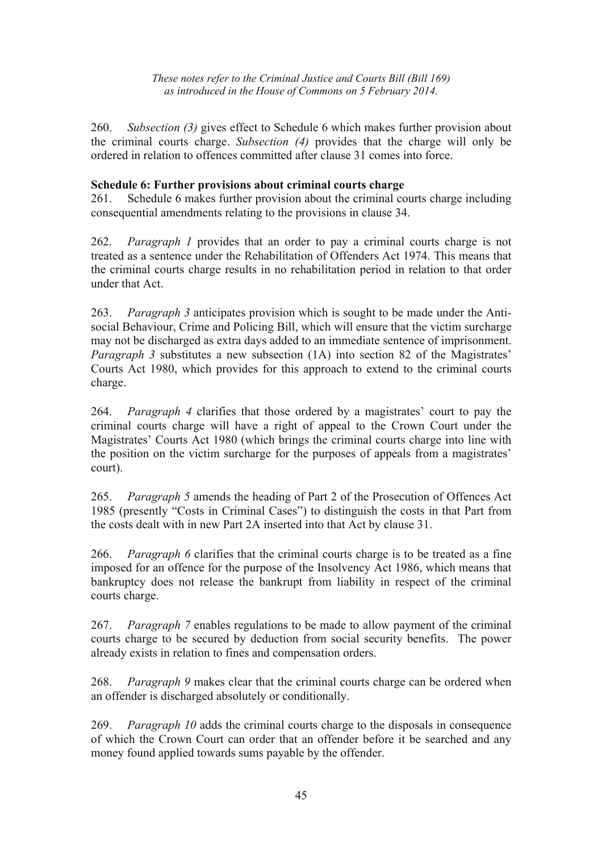260. *Subsection (3)* gives effect to Schedule 6 which makes further provision about the criminal courts charge. *Subsection (4)* provides that the charge will only be ordered in relation to offences committed after clause 31 comes into force.

## **Schedule 6: Further provisions about criminal courts charge**

261. Schedule 6 makes further provision about the criminal courts charge including consequential amendments relating to the provisions in clause 34.

262. *Paragraph 1* provides that an order to pay a criminal courts charge is not treated as a sentence under the Rehabilitation of Offenders Act 1974. This means that the criminal courts charge results in no rehabilitation period in relation to that order under that Act.

263. *Paragraph 3* anticipates provision which is sought to be made under the Antisocial Behaviour, Crime and Policing Bill, which will ensure that the victim surcharge may not be discharged as extra days added to an immediate sentence of imprisonment. *Paragraph 3* substitutes a new subsection (1A) into section 82 of the Magistrates' Courts Act 1980, which provides for this approach to extend to the criminal courts charge.

264. *Paragraph 4* clarifies that those ordered by a magistrates' court to pay the criminal courts charge will have a right of appeal to the Crown Court under the Magistrates' Courts Act 1980 (which brings the criminal courts charge into line with the position on the victim surcharge for the purposes of appeals from a magistrates' court).

265. *Paragraph 5* amends the heading of Part 2 of the Prosecution of Offences Act 1985 (presently "Costs in Criminal Cases") to distinguish the costs in that Part from the costs dealt with in new Part 2A inserted into that Act by clause 31.

266. *Paragraph 6* clarifies that the criminal courts charge is to be treated as a fine imposed for an offence for the purpose of the Insolvency Act 1986, which means that bankruptcy does not release the bankrupt from liability in respect of the criminal courts charge.

267. *Paragraph 7* enables regulations to be made to allow payment of the criminal courts charge to be secured by deduction from social security benefits. The power already exists in relation to fines and compensation orders.

268. *Paragraph 9* makes clear that the criminal courts charge can be ordered when an offender is discharged absolutely or conditionally.

269. *Paragraph 10* adds the criminal courts charge to the disposals in consequence of which the Crown Court can order that an offender before it be searched and any money found applied towards sums payable by the offender.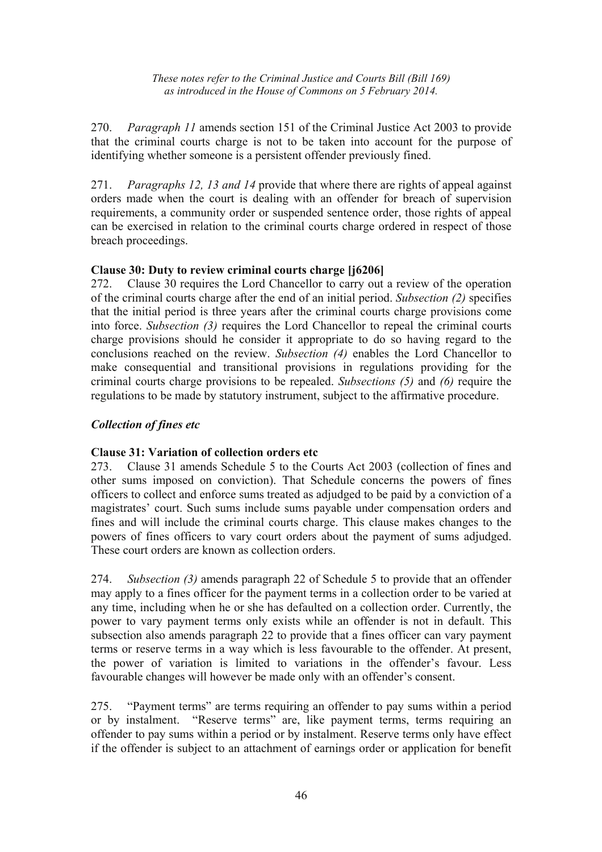270. *Paragraph 11* amends section 151 of the Criminal Justice Act 2003 to provide that the criminal courts charge is not to be taken into account for the purpose of identifying whether someone is a persistent offender previously fined.

271. *Paragraphs 12, 13 and 14* provide that where there are rights of appeal against orders made when the court is dealing with an offender for breach of supervision requirements, a community order or suspended sentence order, those rights of appeal can be exercised in relation to the criminal courts charge ordered in respect of those breach proceedings.

# **Clause 30: Duty to review criminal courts charge [j6206]**

272. Clause 30 requires the Lord Chancellor to carry out a review of the operation of the criminal courts charge after the end of an initial period. *Subsection (2)* specifies that the initial period is three years after the criminal courts charge provisions come into force. *Subsection (3)* requires the Lord Chancellor to repeal the criminal courts charge provisions should he consider it appropriate to do so having regard to the conclusions reached on the review. *Subsection (4)* enables the Lord Chancellor to make consequential and transitional provisions in regulations providing for the criminal courts charge provisions to be repealed. *Subsections (5)* and *(6)* require the regulations to be made by statutory instrument, subject to the affirmative procedure.

# *Collection of fines etc*

# **Clause 31: Variation of collection orders etc**

273. Clause 31 amends Schedule 5 to the Courts Act 2003 (collection of fines and other sums imposed on conviction). That Schedule concerns the powers of fines officers to collect and enforce sums treated as adjudged to be paid by a conviction of a magistrates' court. Such sums include sums payable under compensation orders and fines and will include the criminal courts charge. This clause makes changes to the powers of fines officers to vary court orders about the payment of sums adjudged. These court orders are known as collection orders.

274. *Subsection (3)* amends paragraph 22 of Schedule 5 to provide that an offender may apply to a fines officer for the payment terms in a collection order to be varied at any time, including when he or she has defaulted on a collection order. Currently, the power to vary payment terms only exists while an offender is not in default. This subsection also amends paragraph 22 to provide that a fines officer can vary payment terms or reserve terms in a way which is less favourable to the offender. At present, the power of variation is limited to variations in the offender's favour. Less favourable changes will however be made only with an offender's consent.

275. "Payment terms" are terms requiring an offender to pay sums within a period or by instalment. "Reserve terms" are, like payment terms, terms requiring an offender to pay sums within a period or by instalment. Reserve terms only have effect if the offender is subject to an attachment of earnings order or application for benefit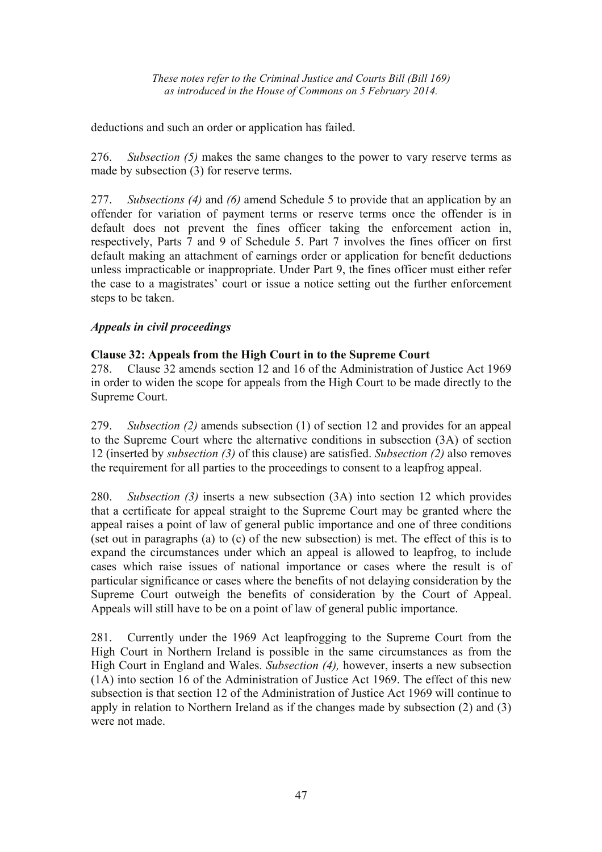deductions and such an order or application has failed.

276. *Subsection (5)* makes the same changes to the power to vary reserve terms as made by subsection (3) for reserve terms.

277. *Subsections (4)* and *(6)* amend Schedule 5 to provide that an application by an offender for variation of payment terms or reserve terms once the offender is in default does not prevent the fines officer taking the enforcement action in, respectively, Parts 7 and 9 of Schedule 5. Part 7 involves the fines officer on first default making an attachment of earnings order or application for benefit deductions unless impracticable or inappropriate. Under Part 9, the fines officer must either refer the case to a magistrates' court or issue a notice setting out the further enforcement steps to be taken.

## *Appeals in civil proceedings*

## **Clause 32: Appeals from the High Court in to the Supreme Court**

278. Clause 32 amends section 12 and 16 of the Administration of Justice Act 1969 in order to widen the scope for appeals from the High Court to be made directly to the Supreme Court.

279. *Subsection (2)* amends subsection (1) of section 12 and provides for an appeal to the Supreme Court where the alternative conditions in subsection (3A) of section 12 (inserted by *subsection (3)* of this clause) are satisfied. *Subsection (2)* also removes the requirement for all parties to the proceedings to consent to a leapfrog appeal.

280. *Subsection (3)* inserts a new subsection (3A) into section 12 which provides that a certificate for appeal straight to the Supreme Court may be granted where the appeal raises a point of law of general public importance and one of three conditions (set out in paragraphs (a) to (c) of the new subsection) is met. The effect of this is to expand the circumstances under which an appeal is allowed to leapfrog, to include cases which raise issues of national importance or cases where the result is of particular significance or cases where the benefits of not delaying consideration by the Supreme Court outweigh the benefits of consideration by the Court of Appeal. Appeals will still have to be on a point of law of general public importance.

281. Currently under the 1969 Act leapfrogging to the Supreme Court from the High Court in Northern Ireland is possible in the same circumstances as from the High Court in England and Wales. *Subsection (4),* however, inserts a new subsection (1A) into section 16 of the Administration of Justice Act 1969. The effect of this new subsection is that section 12 of the Administration of Justice Act 1969 will continue to apply in relation to Northern Ireland as if the changes made by subsection (2) and (3) were not made.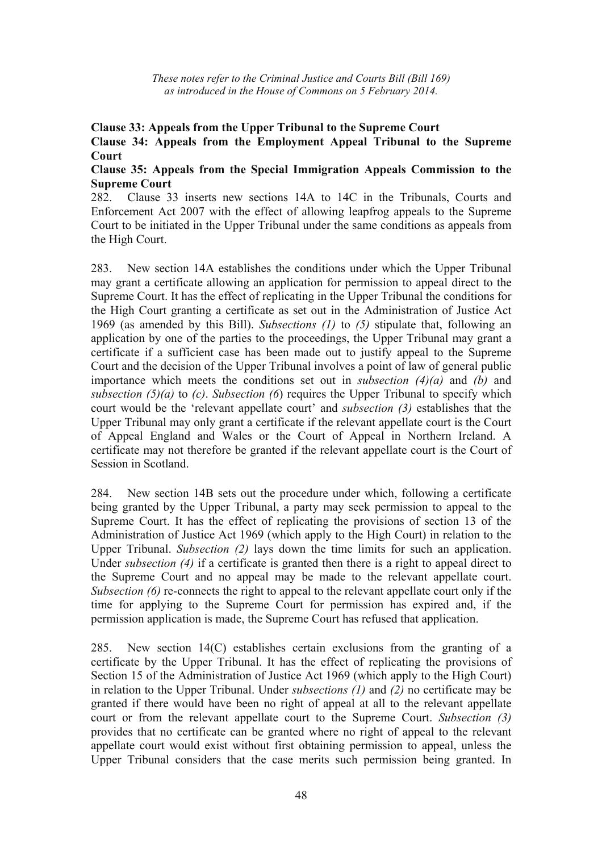#### **Clause 33: Appeals from the Upper Tribunal to the Supreme Court Clause 34: Appeals from the Employment Appeal Tribunal to the Supreme Court**

#### **Clause 35: Appeals from the Special Immigration Appeals Commission to the Supreme Court**

282. Clause 33 inserts new sections 14A to 14C in the Tribunals, Courts and Enforcement Act 2007 with the effect of allowing leapfrog appeals to the Supreme Court to be initiated in the Upper Tribunal under the same conditions as appeals from the High Court.

283. New section 14A establishes the conditions under which the Upper Tribunal may grant a certificate allowing an application for permission to appeal direct to the Supreme Court. It has the effect of replicating in the Upper Tribunal the conditions for the High Court granting a certificate as set out in the Administration of Justice Act 1969 (as amended by this Bill). *Subsections (1)* to *(5)* stipulate that, following an application by one of the parties to the proceedings, the Upper Tribunal may grant a certificate if a sufficient case has been made out to justify appeal to the Supreme Court and the decision of the Upper Tribunal involves a point of law of general public importance which meets the conditions set out in *subsection (4)(a)* and *(b)* and *subsection (5)(a)* to *(c)*. *Subsection (6*) requires the Upper Tribunal to specify which court would be the 'relevant appellate court' and *subsection (3)* establishes that the Upper Tribunal may only grant a certificate if the relevant appellate court is the Court of Appeal England and Wales or the Court of Appeal in Northern Ireland. A certificate may not therefore be granted if the relevant appellate court is the Court of Session in Scotland.

284. New section 14B sets out the procedure under which, following a certificate being granted by the Upper Tribunal, a party may seek permission to appeal to the Supreme Court. It has the effect of replicating the provisions of section 13 of the Administration of Justice Act 1969 (which apply to the High Court) in relation to the Upper Tribunal. *Subsection (2)* lays down the time limits for such an application. Under *subsection (4)* if a certificate is granted then there is a right to appeal direct to the Supreme Court and no appeal may be made to the relevant appellate court. *Subsection (6)* re-connects the right to appeal to the relevant appellate court only if the time for applying to the Supreme Court for permission has expired and, if the permission application is made, the Supreme Court has refused that application.

285. New section 14(C) establishes certain exclusions from the granting of a certificate by the Upper Tribunal. It has the effect of replicating the provisions of Section 15 of the Administration of Justice Act 1969 (which apply to the High Court) in relation to the Upper Tribunal. Under *subsections (1)* and *(2)* no certificate may be granted if there would have been no right of appeal at all to the relevant appellate court or from the relevant appellate court to the Supreme Court. *Subsection (3)* provides that no certificate can be granted where no right of appeal to the relevant appellate court would exist without first obtaining permission to appeal, unless the Upper Tribunal considers that the case merits such permission being granted. In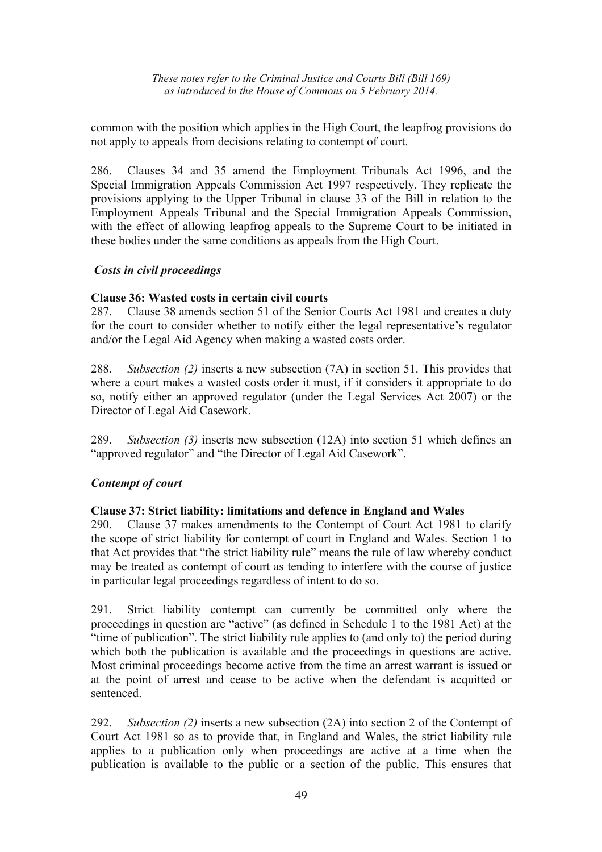common with the position which applies in the High Court, the leapfrog provisions do not apply to appeals from decisions relating to contempt of court.

286. Clauses 34 and 35 amend the Employment Tribunals Act 1996, and the Special Immigration Appeals Commission Act 1997 respectively. They replicate the provisions applying to the Upper Tribunal in clause 33 of the Bill in relation to the Employment Appeals Tribunal and the Special Immigration Appeals Commission, with the effect of allowing leapfrog appeals to the Supreme Court to be initiated in these bodies under the same conditions as appeals from the High Court.

## *Costs in civil proceedings*

## **Clause 36: Wasted costs in certain civil courts**

287. Clause 38 amends section 51 of the Senior Courts Act 1981 and creates a duty for the court to consider whether to notify either the legal representative's regulator and/or the Legal Aid Agency when making a wasted costs order.

288. *Subsection (2)* inserts a new subsection (7A) in section 51. This provides that where a court makes a wasted costs order it must, if it considers it appropriate to do so, notify either an approved regulator (under the Legal Services Act 2007) or the Director of Legal Aid Casework.

289. *Subsection (3)* inserts new subsection (12A) into section 51 which defines an "approved regulator" and "the Director of Legal Aid Casework".

## *Contempt of court*

#### **Clause 37: Strict liability: limitations and defence in England and Wales**

290. Clause 37 makes amendments to the Contempt of Court Act 1981 to clarify the scope of strict liability for contempt of court in England and Wales. Section 1 to that Act provides that "the strict liability rule" means the rule of law whereby conduct may be treated as contempt of court as tending to interfere with the course of justice in particular legal proceedings regardless of intent to do so.

291. Strict liability contempt can currently be committed only where the proceedings in question are "active" (as defined in Schedule 1 to the 1981 Act) at the "time of publication". The strict liability rule applies to (and only to) the period during which both the publication is available and the proceedings in questions are active. Most criminal proceedings become active from the time an arrest warrant is issued or at the point of arrest and cease to be active when the defendant is acquitted or sentenced.

292. *Subsection (2)* inserts a new subsection (2A) into section 2 of the Contempt of Court Act 1981 so as to provide that, in England and Wales, the strict liability rule applies to a publication only when proceedings are active at a time when the publication is available to the public or a section of the public. This ensures that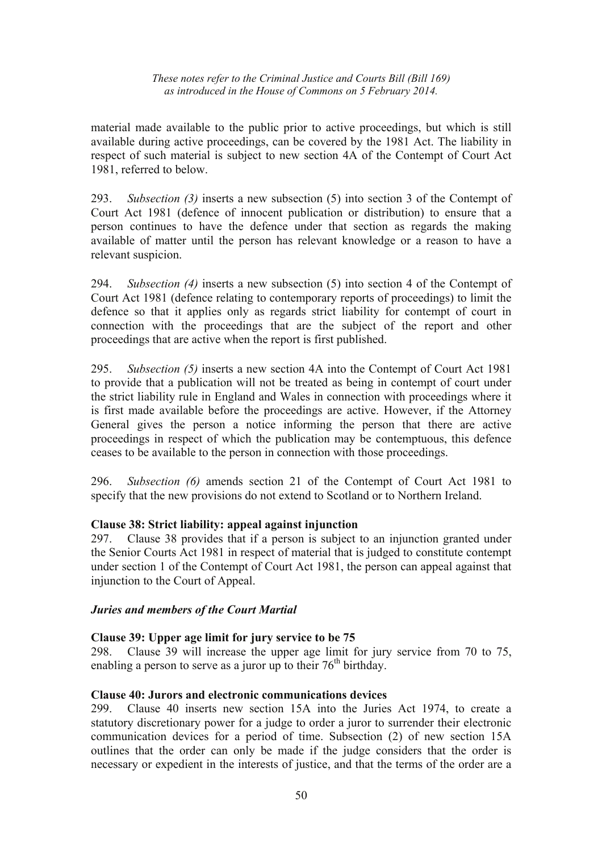material made available to the public prior to active proceedings, but which is still available during active proceedings, can be covered by the 1981 Act. The liability in respect of such material is subject to new section 4A of the Contempt of Court Act 1981, referred to below.

293. *Subsection (3)* inserts a new subsection (5) into section 3 of the Contempt of Court Act 1981 (defence of innocent publication or distribution) to ensure that a person continues to have the defence under that section as regards the making available of matter until the person has relevant knowledge or a reason to have a relevant suspicion.

294. *Subsection (4)* inserts a new subsection (5) into section 4 of the Contempt of Court Act 1981 (defence relating to contemporary reports of proceedings) to limit the defence so that it applies only as regards strict liability for contempt of court in connection with the proceedings that are the subject of the report and other proceedings that are active when the report is first published.

295. *Subsection (5)* inserts a new section 4A into the Contempt of Court Act 1981 to provide that a publication will not be treated as being in contempt of court under the strict liability rule in England and Wales in connection with proceedings where it is first made available before the proceedings are active. However, if the Attorney General gives the person a notice informing the person that there are active proceedings in respect of which the publication may be contemptuous, this defence ceases to be available to the person in connection with those proceedings.

296. *Subsection (6)* amends section 21 of the Contempt of Court Act 1981 to specify that the new provisions do not extend to Scotland or to Northern Ireland.

## **Clause 38: Strict liability: appeal against injunction**

297. Clause 38 provides that if a person is subject to an injunction granted under the Senior Courts Act 1981 in respect of material that is judged to constitute contempt under section 1 of the Contempt of Court Act 1981, the person can appeal against that injunction to the Court of Appeal.

#### *Juries and members of the Court Martial*

#### **Clause 39: Upper age limit for jury service to be 75**

298. Clause 39 will increase the upper age limit for jury service from 70 to 75, enabling a person to serve as a juror up to their  $76<sup>th</sup>$  birthday.

#### **Clause 40: Jurors and electronic communications devices**

299. Clause 40 inserts new section 15A into the Juries Act 1974, to create a statutory discretionary power for a judge to order a juror to surrender their electronic communication devices for a period of time. Subsection (2) of new section 15A outlines that the order can only be made if the judge considers that the order is necessary or expedient in the interests of justice, and that the terms of the order are a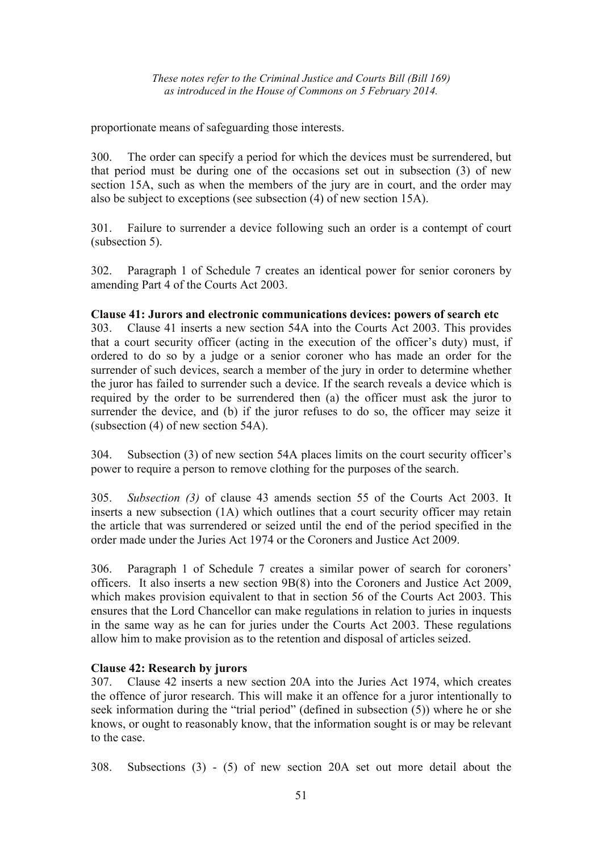proportionate means of safeguarding those interests.

300. The order can specify a period for which the devices must be surrendered, but that period must be during one of the occasions set out in subsection (3) of new section 15A, such as when the members of the jury are in court, and the order may also be subject to exceptions (see subsection (4) of new section 15A).

301. Failure to surrender a device following such an order is a contempt of court (subsection 5).

302. Paragraph 1 of Schedule 7 creates an identical power for senior coroners by amending Part 4 of the Courts Act 2003.

## **Clause 41: Jurors and electronic communications devices: powers of search etc**

303. Clause 41 inserts a new section 54A into the Courts Act 2003. This provides that a court security officer (acting in the execution of the officer's duty) must, if ordered to do so by a judge or a senior coroner who has made an order for the surrender of such devices, search a member of the jury in order to determine whether the juror has failed to surrender such a device. If the search reveals a device which is required by the order to be surrendered then (a) the officer must ask the juror to surrender the device, and (b) if the juror refuses to do so, the officer may seize it (subsection (4) of new section 54A).

304. Subsection (3) of new section 54A places limits on the court security officer's power to require a person to remove clothing for the purposes of the search.

305. *Subsection (3)* of clause 43 amends section 55 of the Courts Act 2003. It inserts a new subsection (1A) which outlines that a court security officer may retain the article that was surrendered or seized until the end of the period specified in the order made under the Juries Act 1974 or the Coroners and Justice Act 2009.

306. Paragraph 1 of Schedule 7 creates a similar power of search for coroners' officers. It also inserts a new section 9B(8) into the Coroners and Justice Act 2009, which makes provision equivalent to that in section 56 of the Courts Act 2003. This ensures that the Lord Chancellor can make regulations in relation to juries in inquests in the same way as he can for juries under the Courts Act 2003. These regulations allow him to make provision as to the retention and disposal of articles seized.

## **Clause 42: Research by jurors**

307. Clause 42 inserts a new section 20A into the Juries Act 1974, which creates the offence of juror research. This will make it an offence for a juror intentionally to seek information during the "trial period" (defined in subsection (5)) where he or she knows, or ought to reasonably know, that the information sought is or may be relevant to the case.

308. Subsections (3) - (5) of new section 20A set out more detail about the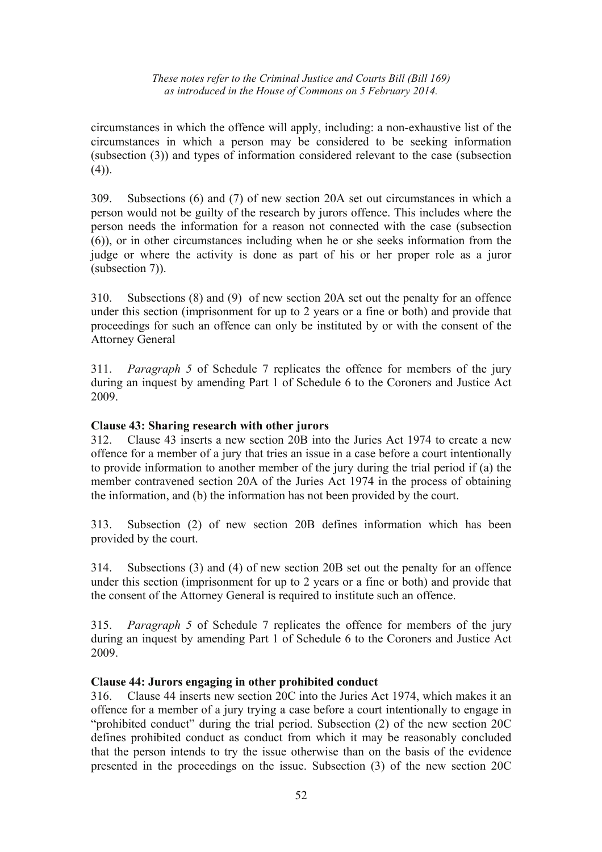circumstances in which the offence will apply, including: a non-exhaustive list of the circumstances in which a person may be considered to be seeking information (subsection (3)) and types of information considered relevant to the case (subsection (4)).

309. Subsections (6) and (7) of new section 20A set out circumstances in which a person would not be guilty of the research by jurors offence. This includes where the person needs the information for a reason not connected with the case (subsection (6)), or in other circumstances including when he or she seeks information from the judge or where the activity is done as part of his or her proper role as a juror (subsection 7)).

310. Subsections (8) and (9) of new section 20A set out the penalty for an offence under this section (imprisonment for up to 2 years or a fine or both) and provide that proceedings for such an offence can only be instituted by or with the consent of the Attorney General

311. *Paragraph 5* of Schedule 7 replicates the offence for members of the jury during an inquest by amending Part 1 of Schedule 6 to the Coroners and Justice Act 2009.

#### **Clause 43: Sharing research with other jurors**

312. Clause 43 inserts a new section 20B into the Juries Act 1974 to create a new offence for a member of a jury that tries an issue in a case before a court intentionally to provide information to another member of the jury during the trial period if (a) the member contravened section 20A of the Juries Act 1974 in the process of obtaining the information, and (b) the information has not been provided by the court.

313. Subsection (2) of new section 20B defines information which has been provided by the court.

314. Subsections (3) and (4) of new section 20B set out the penalty for an offence under this section (imprisonment for up to 2 years or a fine or both) and provide that the consent of the Attorney General is required to institute such an offence.

315. *Paragraph 5* of Schedule 7 replicates the offence for members of the jury during an inquest by amending Part 1 of Schedule 6 to the Coroners and Justice Act 2009.

#### **Clause 44: Jurors engaging in other prohibited conduct**

316. Clause 44 inserts new section 20C into the Juries Act 1974, which makes it an offence for a member of a jury trying a case before a court intentionally to engage in "prohibited conduct" during the trial period. Subsection (2) of the new section 20C defines prohibited conduct as conduct from which it may be reasonably concluded that the person intends to try the issue otherwise than on the basis of the evidence presented in the proceedings on the issue. Subsection (3) of the new section 20C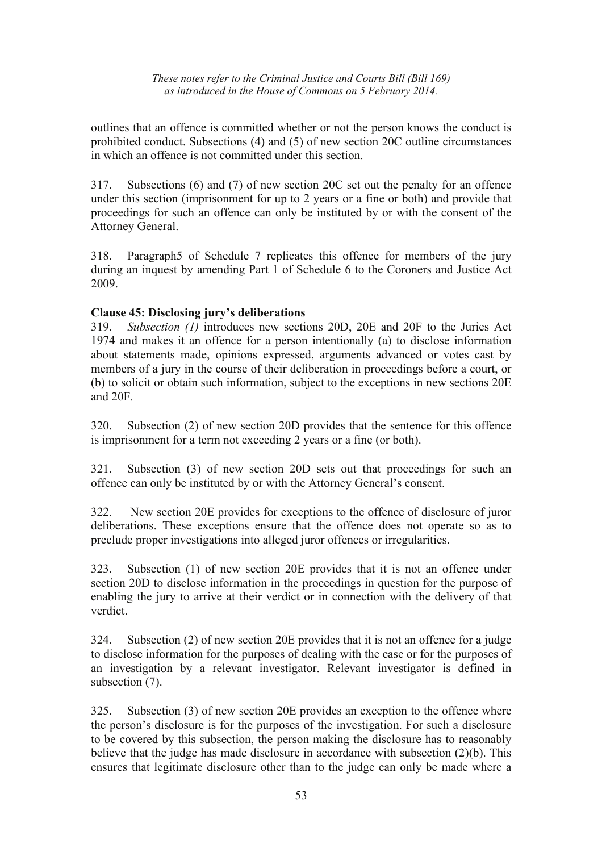outlines that an offence is committed whether or not the person knows the conduct is prohibited conduct. Subsections (4) and (5) of new section 20C outline circumstances in which an offence is not committed under this section.

317. Subsections (6) and (7) of new section 20C set out the penalty for an offence under this section (imprisonment for up to 2 years or a fine or both) and provide that proceedings for such an offence can only be instituted by or with the consent of the Attorney General.

318. Paragraph5 of Schedule 7 replicates this offence for members of the jury during an inquest by amending Part 1 of Schedule 6 to the Coroners and Justice Act 2009.

## **Clause 45: Disclosing jury's deliberations**

319. *Subsection (1)* introduces new sections 20D, 20E and 20F to the Juries Act 1974 and makes it an offence for a person intentionally (a) to disclose information about statements made, opinions expressed, arguments advanced or votes cast by members of a jury in the course of their deliberation in proceedings before a court, or (b) to solicit or obtain such information, subject to the exceptions in new sections 20E and 20F*.* 

320. Subsection (2) of new section 20D provides that the sentence for this offence is imprisonment for a term not exceeding 2 years or a fine (or both).

321. Subsection (3) of new section 20D sets out that proceedings for such an offence can only be instituted by or with the Attorney General's consent.

322. New section 20E provides for exceptions to the offence of disclosure of juror deliberations. These exceptions ensure that the offence does not operate so as to preclude proper investigations into alleged juror offences or irregularities.

323. Subsection (1) of new section 20E provides that it is not an offence under section 20D to disclose information in the proceedings in question for the purpose of enabling the jury to arrive at their verdict or in connection with the delivery of that verdict.

324. Subsection (2) of new section 20E provides that it is not an offence for a judge to disclose information for the purposes of dealing with the case or for the purposes of an investigation by a relevant investigator. Relevant investigator is defined in subsection (7).

325. Subsection (3) of new section 20E provides an exception to the offence where the person's disclosure is for the purposes of the investigation. For such a disclosure to be covered by this subsection, the person making the disclosure has to reasonably believe that the judge has made disclosure in accordance with subsection (2)(b). This ensures that legitimate disclosure other than to the judge can only be made where a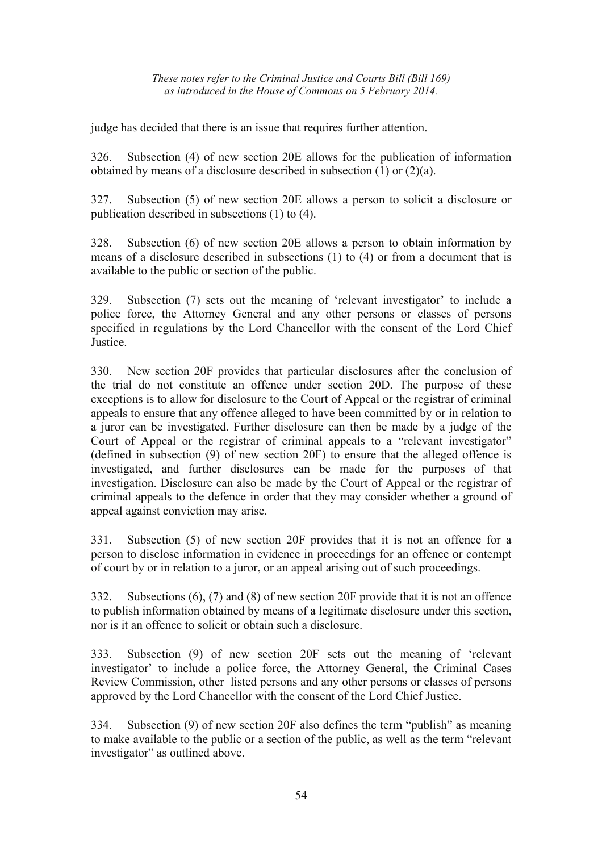judge has decided that there is an issue that requires further attention.

326. Subsection (4) of new section 20E allows for the publication of information obtained by means of a disclosure described in subsection (1) or (2)(a).

327. Subsection (5) of new section 20E allows a person to solicit a disclosure or publication described in subsections (1) to (4).

328. Subsection (6) of new section 20E allows a person to obtain information by means of a disclosure described in subsections (1) to (4) or from a document that is available to the public or section of the public.

329. Subsection (7) sets out the meaning of 'relevant investigator' to include a police force, the Attorney General and any other persons or classes of persons specified in regulations by the Lord Chancellor with the consent of the Lord Chief **Justice** 

330. New section 20F provides that particular disclosures after the conclusion of the trial do not constitute an offence under section 20D. The purpose of these exceptions is to allow for disclosure to the Court of Appeal or the registrar of criminal appeals to ensure that any offence alleged to have been committed by or in relation to a juror can be investigated. Further disclosure can then be made by a judge of the Court of Appeal or the registrar of criminal appeals to a "relevant investigator" (defined in subsection (9) of new section 20F) to ensure that the alleged offence is investigated, and further disclosures can be made for the purposes of that investigation. Disclosure can also be made by the Court of Appeal or the registrar of criminal appeals to the defence in order that they may consider whether a ground of appeal against conviction may arise.

331. Subsection (5) of new section 20F provides that it is not an offence for a person to disclose information in evidence in proceedings for an offence or contempt of court by or in relation to a juror, or an appeal arising out of such proceedings.

332. Subsections (6), (7) and (8) of new section 20F provide that it is not an offence to publish information obtained by means of a legitimate disclosure under this section, nor is it an offence to solicit or obtain such a disclosure.

333. Subsection (9) of new section 20F sets out the meaning of 'relevant investigator' to include a police force, the Attorney General, the Criminal Cases Review Commission, other listed persons and any other persons or classes of persons approved by the Lord Chancellor with the consent of the Lord Chief Justice.

334. Subsection (9) of new section 20F also defines the term "publish" as meaning to make available to the public or a section of the public, as well as the term "relevant investigator" as outlined above.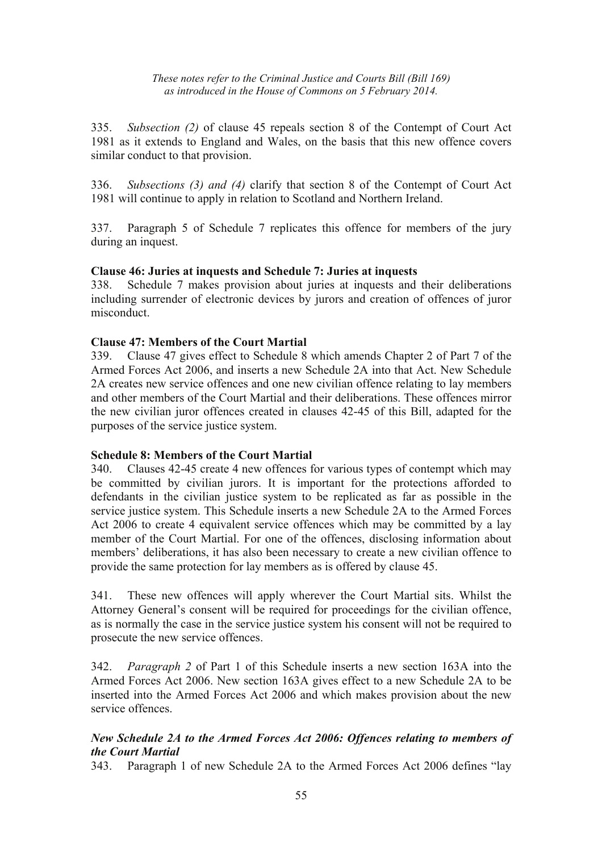335. *Subsection (2)* of clause 45 repeals section 8 of the Contempt of Court Act 1981 as it extends to England and Wales, on the basis that this new offence covers similar conduct to that provision.

336. *Subsections (3) and (4)* clarify that section 8 of the Contempt of Court Act 1981 will continue to apply in relation to Scotland and Northern Ireland.

337. Paragraph 5 of Schedule 7 replicates this offence for members of the jury during an inquest.

#### **Clause 46: Juries at inquests and Schedule 7: Juries at inquests**

338. Schedule 7 makes provision about juries at inquests and their deliberations including surrender of electronic devices by jurors and creation of offences of juror misconduct.

#### **Clause 47: Members of the Court Martial**

339. Clause 47 gives effect to Schedule 8 which amends Chapter 2 of Part 7 of the Armed Forces Act 2006, and inserts a new Schedule 2A into that Act. New Schedule 2A creates new service offences and one new civilian offence relating to lay members and other members of the Court Martial and their deliberations. These offences mirror the new civilian juror offences created in clauses 42-45 of this Bill, adapted for the purposes of the service justice system.

## **Schedule 8: Members of the Court Martial**

340. Clauses 42-45 create 4 new offences for various types of contempt which may be committed by civilian jurors. It is important for the protections afforded to defendants in the civilian justice system to be replicated as far as possible in the service justice system. This Schedule inserts a new Schedule 2A to the Armed Forces Act 2006 to create 4 equivalent service offences which may be committed by a lay member of the Court Martial. For one of the offences, disclosing information about members' deliberations, it has also been necessary to create a new civilian offence to provide the same protection for lay members as is offered by clause 45.

341. These new offences will apply wherever the Court Martial sits. Whilst the Attorney General's consent will be required for proceedings for the civilian offence, as is normally the case in the service justice system his consent will not be required to prosecute the new service offences.

342. *Paragraph 2* of Part 1 of this Schedule inserts a new section 163A into the Armed Forces Act 2006. New section 163A gives effect to a new Schedule 2A to be inserted into the Armed Forces Act 2006 and which makes provision about the new service offences.

## *New Schedule 2A to the Armed Forces Act 2006: Offences relating to members of the Court Martial*

343. Paragraph 1 of new Schedule 2A to the Armed Forces Act 2006 defines "lay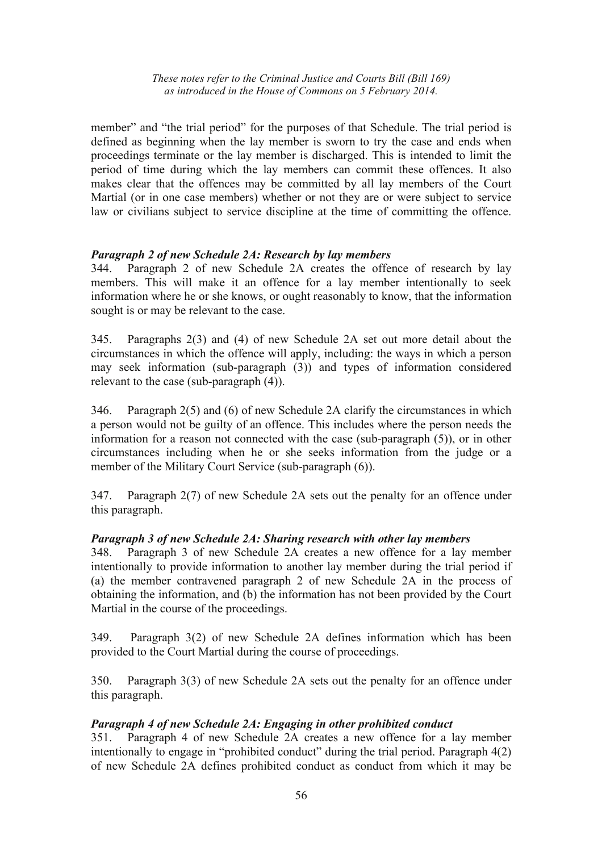member" and "the trial period" for the purposes of that Schedule. The trial period is defined as beginning when the lay member is sworn to try the case and ends when proceedings terminate or the lay member is discharged. This is intended to limit the period of time during which the lay members can commit these offences. It also makes clear that the offences may be committed by all lay members of the Court Martial (or in one case members) whether or not they are or were subject to service law or civilians subject to service discipline at the time of committing the offence.

#### *Paragraph 2 of new Schedule 2A: Research by lay members*

344. Paragraph 2 of new Schedule 2A creates the offence of research by lay members. This will make it an offence for a lay member intentionally to seek information where he or she knows, or ought reasonably to know, that the information sought is or may be relevant to the case.

345. Paragraphs 2(3) and (4) of new Schedule 2A set out more detail about the circumstances in which the offence will apply, including: the ways in which a person may seek information (sub-paragraph (3)) and types of information considered relevant to the case (sub-paragraph (4)).

346. Paragraph 2(5) and (6) of new Schedule 2A clarify the circumstances in which a person would not be guilty of an offence. This includes where the person needs the information for a reason not connected with the case (sub-paragraph (5)), or in other circumstances including when he or she seeks information from the judge or a member of the Military Court Service (sub-paragraph (6)).

347. Paragraph 2(7) of new Schedule 2A sets out the penalty for an offence under this paragraph.

## *Paragraph 3 of new Schedule 2A: Sharing research with other lay members*

348. Paragraph 3 of new Schedule 2A creates a new offence for a lay member intentionally to provide information to another lay member during the trial period if (a) the member contravened paragraph 2 of new Schedule 2A in the process of obtaining the information, and (b) the information has not been provided by the Court Martial in the course of the proceedings.

349. Paragraph 3(2) of new Schedule 2A defines information which has been provided to the Court Martial during the course of proceedings.

350. Paragraph 3(3) of new Schedule 2A sets out the penalty for an offence under this paragraph.

## *Paragraph 4 of new Schedule 2A: Engaging in other prohibited conduct*

351. Paragraph 4 of new Schedule 2A creates a new offence for a lay member intentionally to engage in "prohibited conduct" during the trial period. Paragraph 4(2) of new Schedule 2A defines prohibited conduct as conduct from which it may be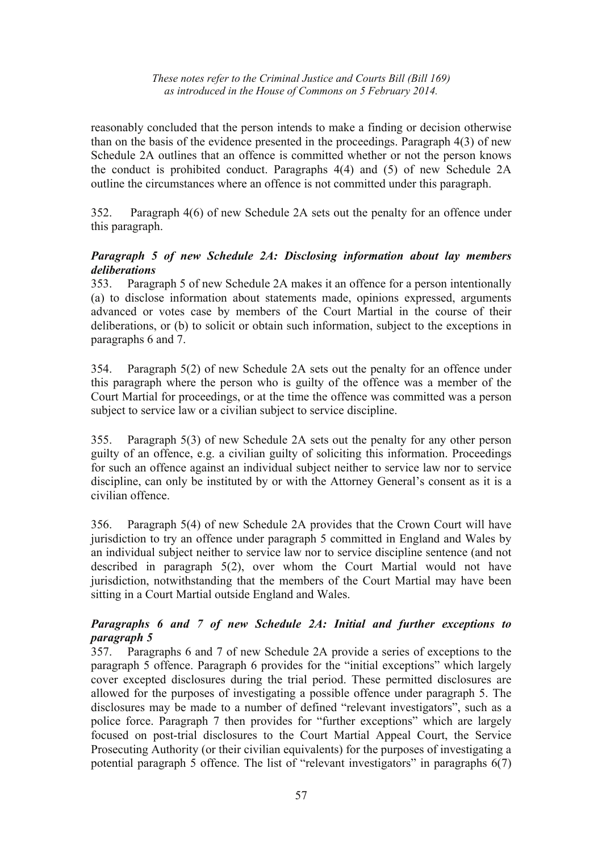reasonably concluded that the person intends to make a finding or decision otherwise than on the basis of the evidence presented in the proceedings. Paragraph 4(3) of new Schedule 2A outlines that an offence is committed whether or not the person knows the conduct is prohibited conduct. Paragraphs 4(4) and (5) of new Schedule 2A outline the circumstances where an offence is not committed under this paragraph.

352. Paragraph 4(6) of new Schedule 2A sets out the penalty for an offence under this paragraph.

## *Paragraph 5 of new Schedule 2A: Disclosing information about lay members deliberations*

353. Paragraph 5 of new Schedule 2A makes it an offence for a person intentionally (a) to disclose information about statements made, opinions expressed, arguments advanced or votes case by members of the Court Martial in the course of their deliberations, or (b) to solicit or obtain such information, subject to the exceptions in paragraphs 6 and 7.

354. Paragraph 5(2) of new Schedule 2A sets out the penalty for an offence under this paragraph where the person who is guilty of the offence was a member of the Court Martial for proceedings, or at the time the offence was committed was a person subject to service law or a civilian subject to service discipline.

355. Paragraph 5(3) of new Schedule 2A sets out the penalty for any other person guilty of an offence, e.g. a civilian guilty of soliciting this information. Proceedings for such an offence against an individual subject neither to service law nor to service discipline, can only be instituted by or with the Attorney General's consent as it is a civilian offence.

356. Paragraph 5(4) of new Schedule 2A provides that the Crown Court will have jurisdiction to try an offence under paragraph 5 committed in England and Wales by an individual subject neither to service law nor to service discipline sentence (and not described in paragraph 5(2), over whom the Court Martial would not have jurisdiction, notwithstanding that the members of the Court Martial may have been sitting in a Court Martial outside England and Wales.

## *Paragraphs 6 and 7 of new Schedule 2A: Initial and further exceptions to paragraph 5*

357. Paragraphs 6 and 7 of new Schedule 2A provide a series of exceptions to the paragraph 5 offence. Paragraph 6 provides for the "initial exceptions" which largely cover excepted disclosures during the trial period. These permitted disclosures are allowed for the purposes of investigating a possible offence under paragraph 5. The disclosures may be made to a number of defined "relevant investigators", such as a police force. Paragraph 7 then provides for "further exceptions" which are largely focused on post-trial disclosures to the Court Martial Appeal Court, the Service Prosecuting Authority (or their civilian equivalents) for the purposes of investigating a potential paragraph 5 offence. The list of "relevant investigators" in paragraphs 6(7)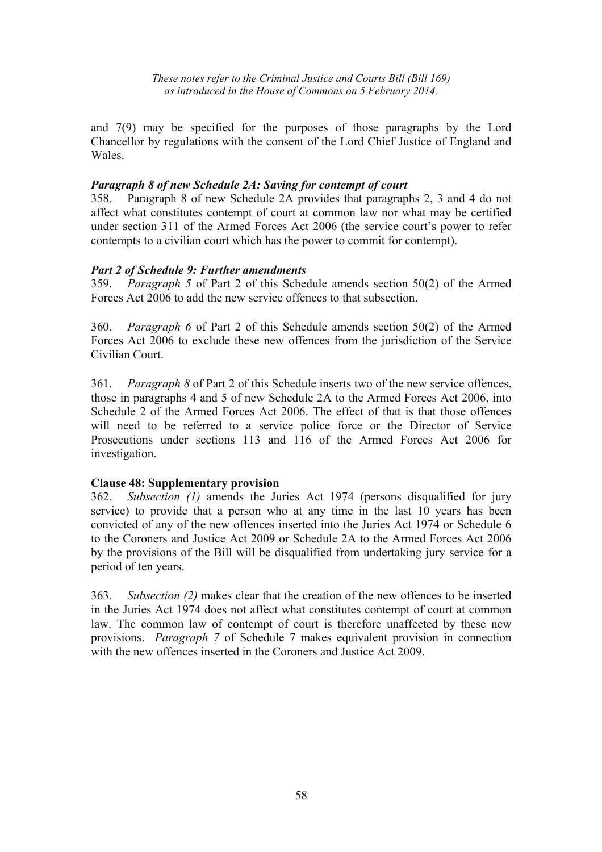and 7(9) may be specified for the purposes of those paragraphs by the Lord Chancellor by regulations with the consent of the Lord Chief Justice of England and Wales.

#### *Paragraph 8 of new Schedule 2A: Saving for contempt of court*

358. Paragraph 8 of new Schedule 2A provides that paragraphs 2, 3 and 4 do not affect what constitutes contempt of court at common law nor what may be certified under section 311 of the Armed Forces Act 2006 (the service court's power to refer contempts to a civilian court which has the power to commit for contempt).

## *Part 2 of Schedule 9: Further amendments*

359. *Paragraph 5* of Part 2 of this Schedule amends section 50(2) of the Armed Forces Act 2006 to add the new service offences to that subsection.

360. *Paragraph 6* of Part 2 of this Schedule amends section 50(2) of the Armed Forces Act 2006 to exclude these new offences from the jurisdiction of the Service Civilian Court.

361. *Paragraph 8* of Part 2 of this Schedule inserts two of the new service offences, those in paragraphs 4 and 5 of new Schedule 2A to the Armed Forces Act 2006, into Schedule 2 of the Armed Forces Act 2006. The effect of that is that those offences will need to be referred to a service police force or the Director of Service Prosecutions under sections 113 and 116 of the Armed Forces Act 2006 for investigation.

## **Clause 48: Supplementary provision**

362. *Subsection (1)* amends the Juries Act 1974 (persons disqualified for jury service) to provide that a person who at any time in the last 10 years has been convicted of any of the new offences inserted into the Juries Act 1974 or Schedule 6 to the Coroners and Justice Act 2009 or Schedule 2A to the Armed Forces Act 2006 by the provisions of the Bill will be disqualified from undertaking jury service for a period of ten years.

363. *Subsection (2)* makes clear that the creation of the new offences to be inserted in the Juries Act 1974 does not affect what constitutes contempt of court at common law. The common law of contempt of court is therefore unaffected by these new provisions. *Paragraph 7* of Schedule 7 makes equivalent provision in connection with the new offences inserted in the Coroners and Justice Act 2009.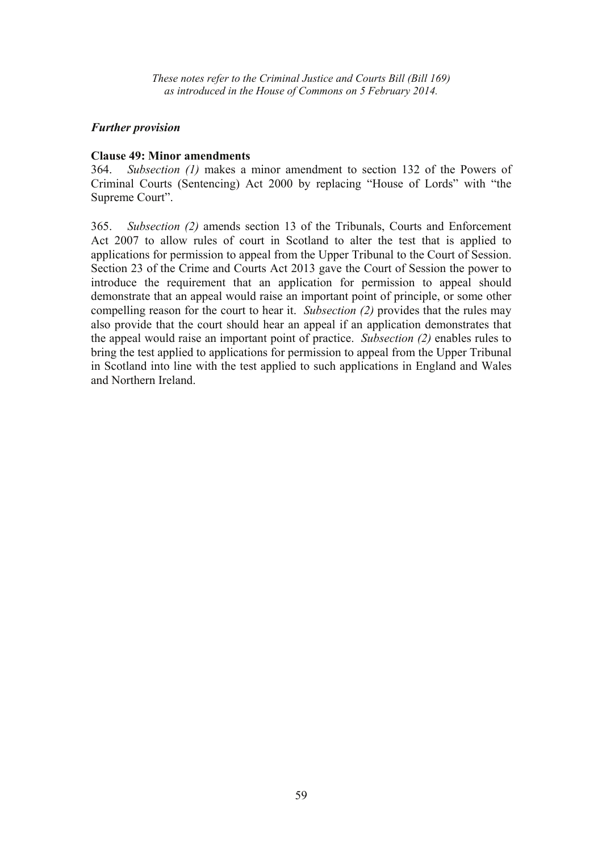#### *Further provision*

#### **Clause 49: Minor amendments**

364. *Subsection (1)* makes a minor amendment to section 132 of the Powers of Criminal Courts (Sentencing) Act 2000 by replacing "House of Lords" with "the Supreme Court".

365. *Subsection (2)* amends section 13 of the Tribunals, Courts and Enforcement Act 2007 to allow rules of court in Scotland to alter the test that is applied to applications for permission to appeal from the Upper Tribunal to the Court of Session. Section 23 of the Crime and Courts Act 2013 gave the Court of Session the power to introduce the requirement that an application for permission to appeal should demonstrate that an appeal would raise an important point of principle, or some other compelling reason for the court to hear it. *Subsection (2)* provides that the rules may also provide that the court should hear an appeal if an application demonstrates that the appeal would raise an important point of practice. *Subsection (2)* enables rules to bring the test applied to applications for permission to appeal from the Upper Tribunal in Scotland into line with the test applied to such applications in England and Wales and Northern Ireland.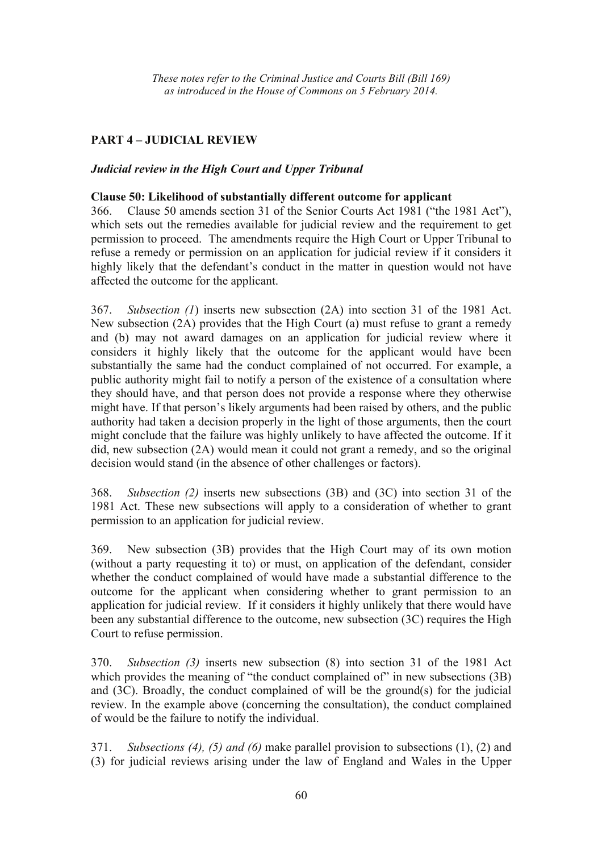## **PART 4 – JUDICIAL REVIEW**

#### *Judicial review in the High Court and Upper Tribunal*

#### **Clause 50: Likelihood of substantially different outcome for applicant**

366. Clause 50 amends section 31 of the Senior Courts Act 1981 ("the 1981 Act"), which sets out the remedies available for judicial review and the requirement to get permission to proceed. The amendments require the High Court or Upper Tribunal to refuse a remedy or permission on an application for judicial review if it considers it highly likely that the defendant's conduct in the matter in question would not have affected the outcome for the applicant.

367. *Subsection (1*) inserts new subsection (2A) into section 31 of the 1981 Act. New subsection (2A) provides that the High Court (a) must refuse to grant a remedy and (b) may not award damages on an application for judicial review where it considers it highly likely that the outcome for the applicant would have been substantially the same had the conduct complained of not occurred. For example, a public authority might fail to notify a person of the existence of a consultation where they should have, and that person does not provide a response where they otherwise might have. If that person's likely arguments had been raised by others, and the public authority had taken a decision properly in the light of those arguments, then the court might conclude that the failure was highly unlikely to have affected the outcome. If it did, new subsection (2A) would mean it could not grant a remedy, and so the original decision would stand (in the absence of other challenges or factors).

368. *Subsection (2)* inserts new subsections (3B) and (3C) into section 31 of the 1981 Act. These new subsections will apply to a consideration of whether to grant permission to an application for judicial review.

369. New subsection (3B) provides that the High Court may of its own motion (without a party requesting it to) or must, on application of the defendant, consider whether the conduct complained of would have made a substantial difference to the outcome for the applicant when considering whether to grant permission to an application for judicial review. If it considers it highly unlikely that there would have been any substantial difference to the outcome, new subsection (3C) requires the High Court to refuse permission.

370. *Subsection (3)* inserts new subsection (8) into section 31 of the 1981 Act which provides the meaning of "the conduct complained of" in new subsections (3B) and (3C). Broadly, the conduct complained of will be the ground(s) for the judicial review. In the example above (concerning the consultation), the conduct complained of would be the failure to notify the individual.

371. *Subsections (4), (5) and (6)* make parallel provision to subsections (1), (2) and (3) for judicial reviews arising under the law of England and Wales in the Upper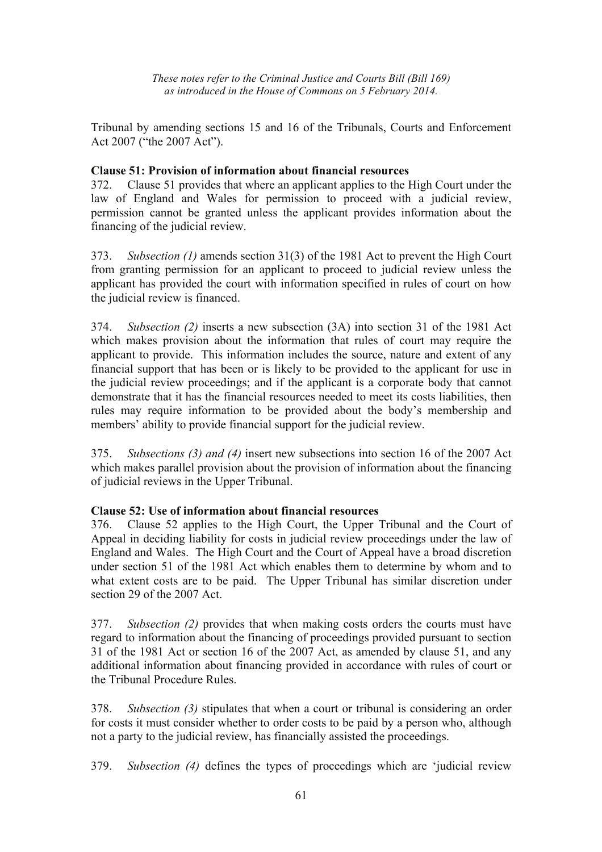Tribunal by amending sections 15 and 16 of the Tribunals, Courts and Enforcement Act 2007 ("the 2007 Act").

## **Clause 51: Provision of information about financial resources**

372. Clause 51 provides that where an applicant applies to the High Court under the law of England and Wales for permission to proceed with a judicial review, permission cannot be granted unless the applicant provides information about the financing of the judicial review.

373. *Subsection (1)* amends section 31(3) of the 1981 Act to prevent the High Court from granting permission for an applicant to proceed to judicial review unless the applicant has provided the court with information specified in rules of court on how the judicial review is financed.

374. *Subsection (2)* inserts a new subsection (3A) into section 31 of the 1981 Act which makes provision about the information that rules of court may require the applicant to provide. This information includes the source, nature and extent of any financial support that has been or is likely to be provided to the applicant for use in the judicial review proceedings; and if the applicant is a corporate body that cannot demonstrate that it has the financial resources needed to meet its costs liabilities, then rules may require information to be provided about the body's membership and members' ability to provide financial support for the judicial review.

375. *Subsections (3) and (4)* insert new subsections into section 16 of the 2007 Act which makes parallel provision about the provision of information about the financing of judicial reviews in the Upper Tribunal.

## **Clause 52: Use of information about financial resources**

376. Clause 52 applies to the High Court, the Upper Tribunal and the Court of Appeal in deciding liability for costs in judicial review proceedings under the law of England and Wales. The High Court and the Court of Appeal have a broad discretion under section 51 of the 1981 Act which enables them to determine by whom and to what extent costs are to be paid. The Upper Tribunal has similar discretion under section 29 of the 2007 Act.

377. *Subsection (2)* provides that when making costs orders the courts must have regard to information about the financing of proceedings provided pursuant to section 31 of the 1981 Act or section 16 of the 2007 Act, as amended by clause 51, and any additional information about financing provided in accordance with rules of court or the Tribunal Procedure Rules.

378. *Subsection (3)* stipulates that when a court or tribunal is considering an order for costs it must consider whether to order costs to be paid by a person who, although not a party to the judicial review, has financially assisted the proceedings.

379. *Subsection (4)* defines the types of proceedings which are 'judicial review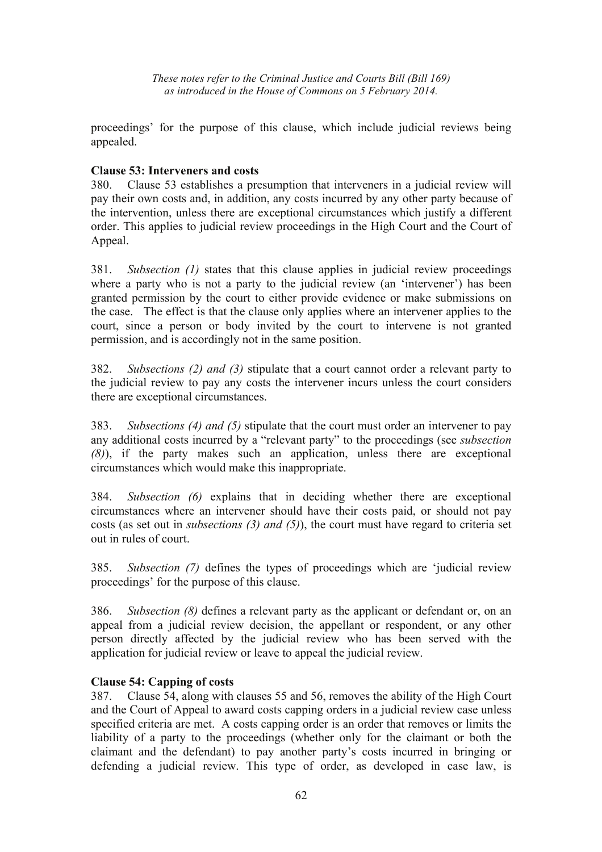proceedings' for the purpose of this clause, which include judicial reviews being appealed.

## **Clause 53: Interveners and costs**

380. Clause 53 establishes a presumption that interveners in a judicial review will pay their own costs and, in addition, any costs incurred by any other party because of the intervention, unless there are exceptional circumstances which justify a different order. This applies to judicial review proceedings in the High Court and the Court of Appeal.

381. *Subsection (1)* states that this clause applies in judicial review proceedings where a party who is not a party to the judicial review (an 'intervener') has been granted permission by the court to either provide evidence or make submissions on the case. The effect is that the clause only applies where an intervener applies to the court, since a person or body invited by the court to intervene is not granted permission, and is accordingly not in the same position.

382. *Subsections (2) and (3)* stipulate that a court cannot order a relevant party to the judicial review to pay any costs the intervener incurs unless the court considers there are exceptional circumstances.

383. *Subsections (4) and (5)* stipulate that the court must order an intervener to pay any additional costs incurred by a "relevant party" to the proceedings (see *subsection (8)*), if the party makes such an application, unless there are exceptional circumstances which would make this inappropriate.

384. *Subsection (6)* explains that in deciding whether there are exceptional circumstances where an intervener should have their costs paid, or should not pay costs (as set out in *subsections (3) and (5)*), the court must have regard to criteria set out in rules of court.

385. *Subsection (7)* defines the types of proceedings which are 'judicial review proceedings' for the purpose of this clause.

386. *Subsection (8)* defines a relevant party as the applicant or defendant or, on an appeal from a judicial review decision, the appellant or respondent, or any other person directly affected by the judicial review who has been served with the application for judicial review or leave to appeal the judicial review.

## **Clause 54: Capping of costs**

387. Clause 54, along with clauses 55 and 56, removes the ability of the High Court and the Court of Appeal to award costs capping orders in a judicial review case unless specified criteria are met. A costs capping order is an order that removes or limits the liability of a party to the proceedings (whether only for the claimant or both the claimant and the defendant) to pay another party's costs incurred in bringing or defending a judicial review. This type of order, as developed in case law, is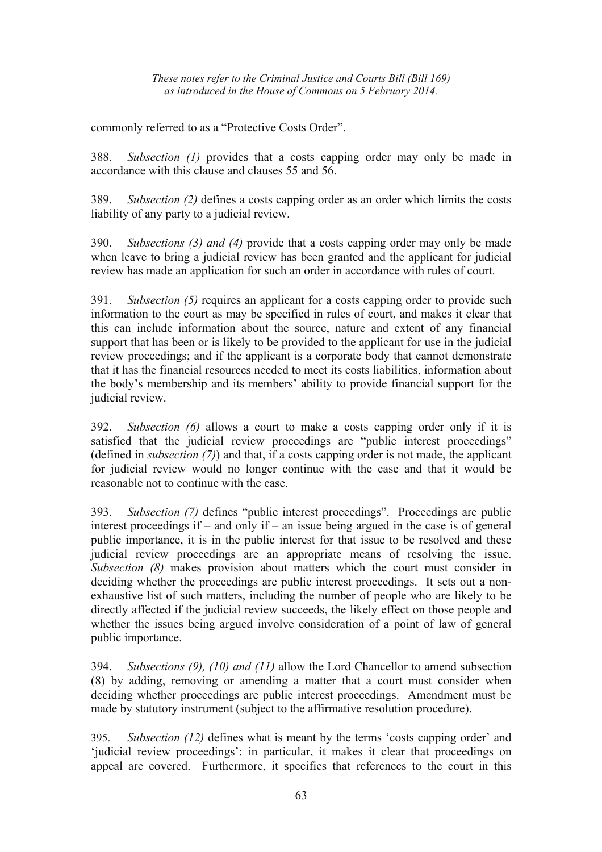commonly referred to as a "Protective Costs Order".

388. *Subsection (1)* provides that a costs capping order may only be made in accordance with this clause and clauses 55 and 56.

389. *Subsection (2)* defines a costs capping order as an order which limits the costs liability of any party to a judicial review.

390. *Subsections (3) and (4)* provide that a costs capping order may only be made when leave to bring a judicial review has been granted and the applicant for judicial review has made an application for such an order in accordance with rules of court.

391. *Subsection (5)* requires an applicant for a costs capping order to provide such information to the court as may be specified in rules of court, and makes it clear that this can include information about the source, nature and extent of any financial support that has been or is likely to be provided to the applicant for use in the judicial review proceedings; and if the applicant is a corporate body that cannot demonstrate that it has the financial resources needed to meet its costs liabilities, information about the body's membership and its members' ability to provide financial support for the judicial review.

392. *Subsection (6)* allows a court to make a costs capping order only if it is satisfied that the judicial review proceedings are "public interest proceedings" (defined in *subsection (7)*) and that, if a costs capping order is not made, the applicant for judicial review would no longer continue with the case and that it would be reasonable not to continue with the case.

393. *Subsection (7)* defines "public interest proceedings". Proceedings are public interest proceedings if – and only if – an issue being argued in the case is of general public importance, it is in the public interest for that issue to be resolved and these judicial review proceedings are an appropriate means of resolving the issue. *Subsection (8)* makes provision about matters which the court must consider in deciding whether the proceedings are public interest proceedings. It sets out a nonexhaustive list of such matters, including the number of people who are likely to be directly affected if the judicial review succeeds, the likely effect on those people and whether the issues being argued involve consideration of a point of law of general public importance.

394. *Subsections (9), (10) and (11)* allow the Lord Chancellor to amend subsection (8) by adding, removing or amending a matter that a court must consider when deciding whether proceedings are public interest proceedings. Amendment must be made by statutory instrument (subject to the affirmative resolution procedure).

395. *Subsection (12)* defines what is meant by the terms 'costs capping order' and 'judicial review proceedings': in particular, it makes it clear that proceedings on appeal are covered. Furthermore, it specifies that references to the court in this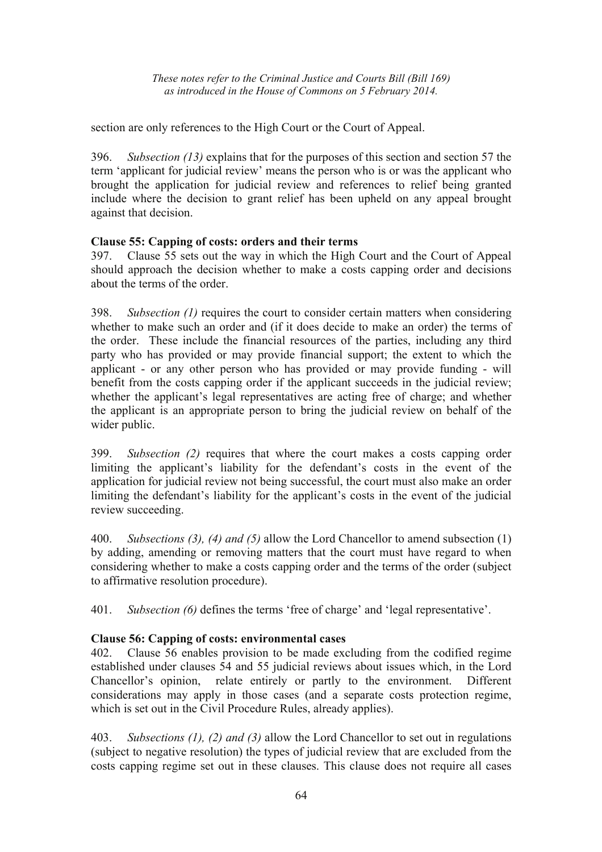section are only references to the High Court or the Court of Appeal.

396. *Subsection (13)* explains that for the purposes of this section and section 57 the term 'applicant for judicial review' means the person who is or was the applicant who brought the application for judicial review and references to relief being granted include where the decision to grant relief has been upheld on any appeal brought against that decision.

## **Clause 55: Capping of costs: orders and their terms**

397. Clause 55 sets out the way in which the High Court and the Court of Appeal should approach the decision whether to make a costs capping order and decisions about the terms of the order.

398. *Subsection (1)* requires the court to consider certain matters when considering whether to make such an order and (if it does decide to make an order) the terms of the order. These include the financial resources of the parties, including any third party who has provided or may provide financial support; the extent to which the applicant - or any other person who has provided or may provide funding - will benefit from the costs capping order if the applicant succeeds in the judicial review; whether the applicant's legal representatives are acting free of charge; and whether the applicant is an appropriate person to bring the judicial review on behalf of the wider public.

399. *Subsection (2)* requires that where the court makes a costs capping order limiting the applicant's liability for the defendant's costs in the event of the application for judicial review not being successful, the court must also make an order limiting the defendant's liability for the applicant's costs in the event of the judicial review succeeding.

400. *Subsections (3), (4) and (5)* allow the Lord Chancellor to amend subsection (1) by adding, amending or removing matters that the court must have regard to when considering whether to make a costs capping order and the terms of the order (subject to affirmative resolution procedure).

401. *Subsection (6)* defines the terms 'free of charge' and 'legal representative'.

# **Clause 56: Capping of costs: environmental cases**

402. Clause 56 enables provision to be made excluding from the codified regime established under clauses 54 and 55 judicial reviews about issues which, in the Lord Chancellor's opinion, relate entirely or partly to the environment. Different considerations may apply in those cases (and a separate costs protection regime, which is set out in the Civil Procedure Rules, already applies).

403. *Subsections (1), (2) and (3)* allow the Lord Chancellor to set out in regulations (subject to negative resolution) the types of judicial review that are excluded from the costs capping regime set out in these clauses. This clause does not require all cases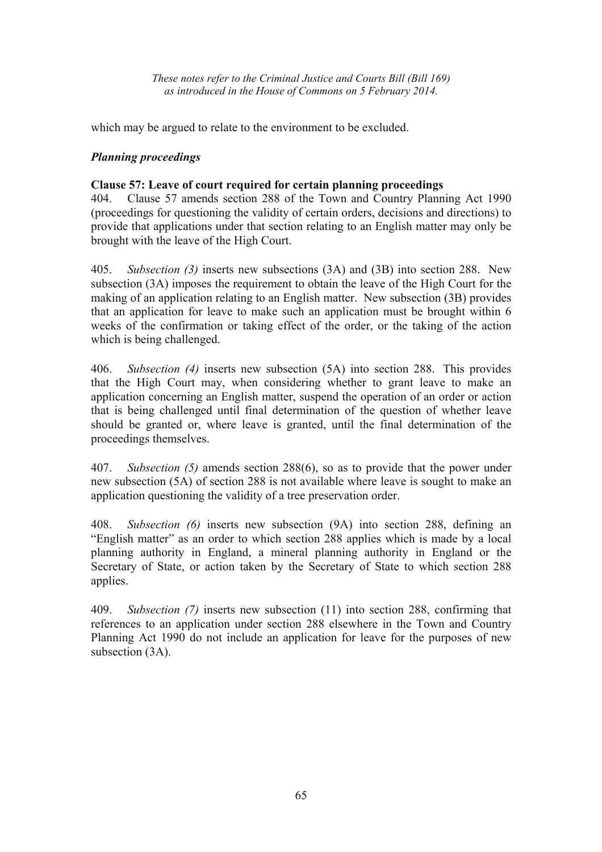which may be argued to relate to the environment to be excluded.

# *Planning proceedings*

# **Clause 57: Leave of court required for certain planning proceedings**

404. Clause 57 amends section 288 of the Town and Country Planning Act 1990 (proceedings for questioning the validity of certain orders, decisions and directions) to provide that applications under that section relating to an English matter may only be brought with the leave of the High Court.

405. *Subsection (3)* inserts new subsections (3A) and (3B) into section 288. New subsection (3A) imposes the requirement to obtain the leave of the High Court for the making of an application relating to an English matter. New subsection (3B) provides that an application for leave to make such an application must be brought within 6 weeks of the confirmation or taking effect of the order, or the taking of the action which is being challenged.

406. *Subsection (4)* inserts new subsection (5A) into section 288. This provides that the High Court may, when considering whether to grant leave to make an application concerning an English matter, suspend the operation of an order or action that is being challenged until final determination of the question of whether leave should be granted or, where leave is granted, until the final determination of the proceedings themselves.

407. *Subsection (5)* amends section 288(6), so as to provide that the power under new subsection (5A) of section 288 is not available where leave is sought to make an application questioning the validity of a tree preservation order.

408. *Subsection (6)* inserts new subsection (9A) into section 288, defining an "English matter" as an order to which section 288 applies which is made by a local planning authority in England, a mineral planning authority in England or the Secretary of State, or action taken by the Secretary of State to which section 288 applies.

409. *Subsection (7)* inserts new subsection (11) into section 288, confirming that references to an application under section 288 elsewhere in the Town and Country Planning Act 1990 do not include an application for leave for the purposes of new subsection  $(3A)$ .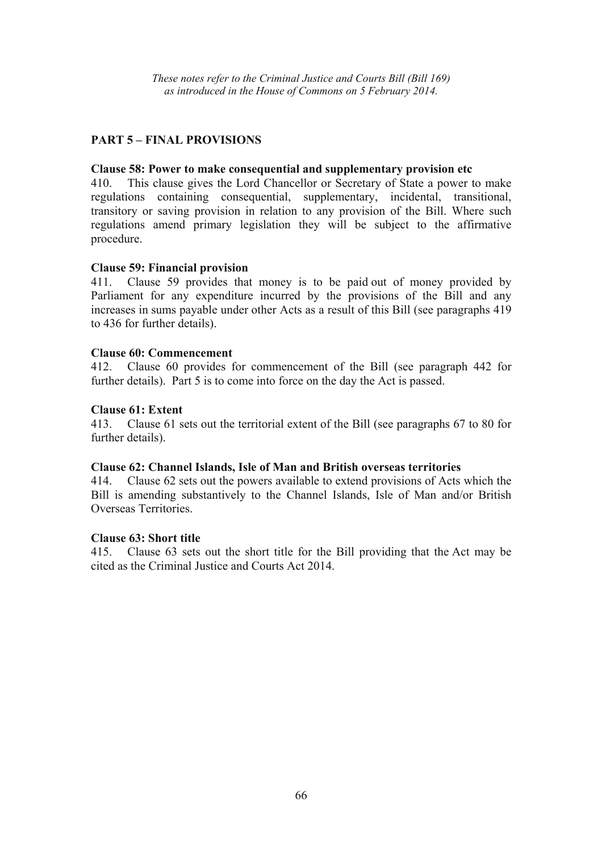## **PART 5 – FINAL PROVISIONS**

#### **Clause 58: Power to make consequential and supplementary provision etc**

410. This clause gives the Lord Chancellor or Secretary of State a power to make regulations containing consequential, supplementary, incidental, transitional, transitory or saving provision in relation to any provision of the Bill. Where such regulations amend primary legislation they will be subject to the affirmative procedure.

#### **Clause 59: Financial provision**

411. Clause 59 provides that money is to be paid out of money provided by Parliament for any expenditure incurred by the provisions of the Bill and any increases in sums payable under other Acts as a result of this Bill (see paragraphs 419 to 436 for further details).

#### **Clause 60: Commencement**

412. Clause 60 provides for commencement of the Bill (see paragraph 442 for further details). Part 5 is to come into force on the day the Act is passed.

#### **Clause 61: Extent**

413. Clause 61 sets out the territorial extent of the Bill (see paragraphs 67 to 80 for further details).

#### **Clause 62: Channel Islands, Isle of Man and British overseas territories**

414. Clause 62 sets out the powers available to extend provisions of Acts which the Bill is amending substantively to the Channel Islands, Isle of Man and/or British Overseas Territories.

## **Clause 63: Short title**

415. Clause 63 sets out the short title for the Bill providing that the Act may be cited as the Criminal Justice and Courts Act 2014.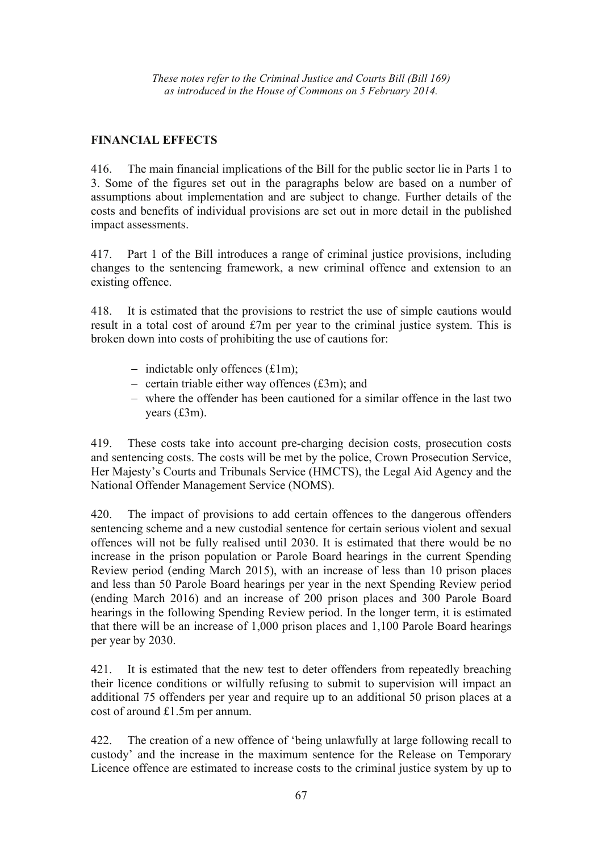# **FINANCIAL EFFECTS**

416. The main financial implications of the Bill for the public sector lie in Parts 1 to 3. Some of the figures set out in the paragraphs below are based on a number of assumptions about implementation and are subject to change. Further details of the costs and benefits of individual provisions are set out in more detail in the published impact assessments.

417. Part 1 of the Bill introduces a range of criminal justice provisions, including changes to the sentencing framework, a new criminal offence and extension to an existing offence.

418. It is estimated that the provisions to restrict the use of simple cautions would result in a total cost of around £7m per year to the criminal justice system. This is broken down into costs of prohibiting the use of cautions for:

- − indictable only offences (£1m);
- − certain triable either way offences (£3m); and
- − where the offender has been cautioned for a similar offence in the last two years (£3m).

419. These costs take into account pre-charging decision costs, prosecution costs and sentencing costs. The costs will be met by the police, Crown Prosecution Service, Her Majesty's Courts and Tribunals Service (HMCTS), the Legal Aid Agency and the National Offender Management Service (NOMS).

420. The impact of provisions to add certain offences to the dangerous offenders sentencing scheme and a new custodial sentence for certain serious violent and sexual offences will not be fully realised until 2030. It is estimated that there would be no increase in the prison population or Parole Board hearings in the current Spending Review period (ending March 2015), with an increase of less than 10 prison places and less than 50 Parole Board hearings per year in the next Spending Review period (ending March 2016) and an increase of 200 prison places and 300 Parole Board hearings in the following Spending Review period. In the longer term, it is estimated that there will be an increase of 1,000 prison places and 1,100 Parole Board hearings per year by 2030.

421. It is estimated that the new test to deter offenders from repeatedly breaching their licence conditions or wilfully refusing to submit to supervision will impact an additional 75 offenders per year and require up to an additional 50 prison places at a cost of around £1.5m per annum.

422. The creation of a new offence of 'being unlawfully at large following recall to custody' and the increase in the maximum sentence for the Release on Temporary Licence offence are estimated to increase costs to the criminal justice system by up to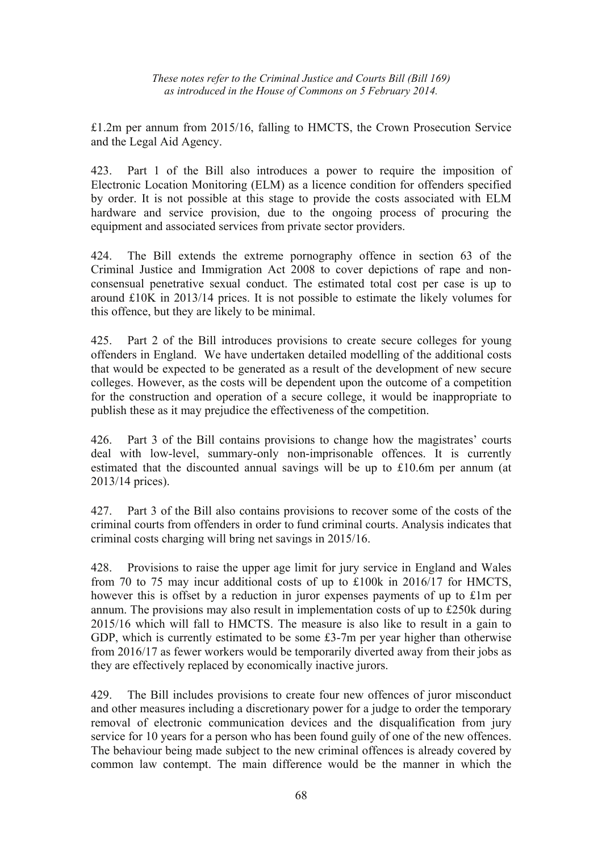£1.2m per annum from 2015/16, falling to HMCTS, the Crown Prosecution Service and the Legal Aid Agency.

423. Part 1 of the Bill also introduces a power to require the imposition of Electronic Location Monitoring (ELM) as a licence condition for offenders specified by order. It is not possible at this stage to provide the costs associated with ELM hardware and service provision, due to the ongoing process of procuring the equipment and associated services from private sector providers.

424. The Bill extends the extreme pornography offence in section 63 of the Criminal Justice and Immigration Act 2008 to cover depictions of rape and nonconsensual penetrative sexual conduct. The estimated total cost per case is up to around £10K in 2013/14 prices. It is not possible to estimate the likely volumes for this offence, but they are likely to be minimal.

425. Part 2 of the Bill introduces provisions to create secure colleges for young offenders in England. We have undertaken detailed modelling of the additional costs that would be expected to be generated as a result of the development of new secure colleges. However, as the costs will be dependent upon the outcome of a competition for the construction and operation of a secure college, it would be inappropriate to publish these as it may prejudice the effectiveness of the competition.

426. Part 3 of the Bill contains provisions to change how the magistrates' courts deal with low-level, summary-only non-imprisonable offences. It is currently estimated that the discounted annual savings will be up to £10.6m per annum (at 2013/14 prices).

427. Part 3 of the Bill also contains provisions to recover some of the costs of the criminal courts from offenders in order to fund criminal courts. Analysis indicates that criminal costs charging will bring net savings in 2015/16.

428. Provisions to raise the upper age limit for jury service in England and Wales from 70 to 75 may incur additional costs of up to £100k in 2016/17 for HMCTS, however this is offset by a reduction in juror expenses payments of up to £1m per annum. The provisions may also result in implementation costs of up to £250k during 2015/16 which will fall to HMCTS. The measure is also like to result in a gain to GDP, which is currently estimated to be some £3-7m per year higher than otherwise from 2016/17 as fewer workers would be temporarily diverted away from their jobs as they are effectively replaced by economically inactive jurors.

429. The Bill includes provisions to create four new offences of juror misconduct and other measures including a discretionary power for a judge to order the temporary removal of electronic communication devices and the disqualification from jury service for 10 years for a person who has been found guily of one of the new offences. The behaviour being made subject to the new criminal offences is already covered by common law contempt. The main difference would be the manner in which the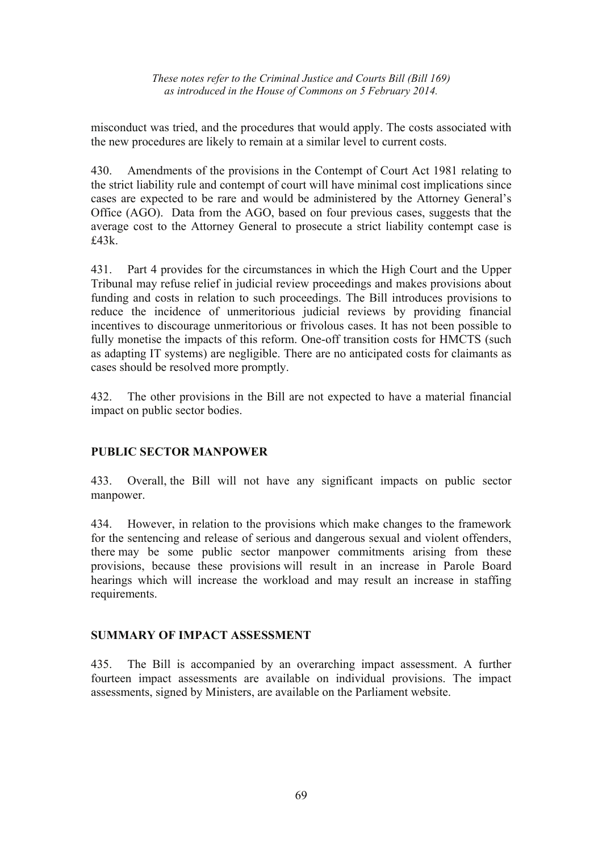misconduct was tried, and the procedures that would apply. The costs associated with the new procedures are likely to remain at a similar level to current costs.

430. Amendments of the provisions in the Contempt of Court Act 1981 relating to the strict liability rule and contempt of court will have minimal cost implications since cases are expected to be rare and would be administered by the Attorney General's Office (AGO). Data from the AGO, based on four previous cases, suggests that the average cost to the Attorney General to prosecute a strict liability contempt case is £43k.

431. Part 4 provides for the circumstances in which the High Court and the Upper Tribunal may refuse relief in judicial review proceedings and makes provisions about funding and costs in relation to such proceedings. The Bill introduces provisions to reduce the incidence of unmeritorious judicial reviews by providing financial incentives to discourage unmeritorious or frivolous cases. It has not been possible to fully monetise the impacts of this reform. One-off transition costs for HMCTS (such as adapting IT systems) are negligible. There are no anticipated costs for claimants as cases should be resolved more promptly.

432. The other provisions in the Bill are not expected to have a material financial impact on public sector bodies.

## **PUBLIC SECTOR MANPOWER**

433. Overall, the Bill will not have any significant impacts on public sector manpower.

434. However, in relation to the provisions which make changes to the framework for the sentencing and release of serious and dangerous sexual and violent offenders, there may be some public sector manpower commitments arising from these provisions, because these provisions will result in an increase in Parole Board hearings which will increase the workload and may result an increase in staffing requirements.

## **SUMMARY OF IMPACT ASSESSMENT**

435. The Bill is accompanied by an overarching impact assessment. A further fourteen impact assessments are available on individual provisions. The impact assessments, signed by Ministers, are available on the Parliament website.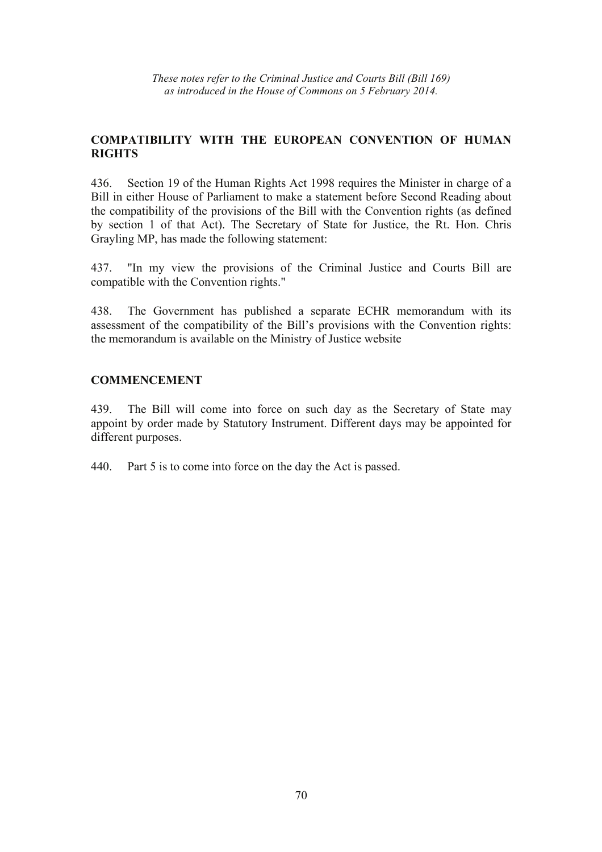## **COMPATIBILITY WITH THE EUROPEAN CONVENTION OF HUMAN RIGHTS**

436. Section 19 of the Human Rights Act 1998 requires the Minister in charge of a Bill in either House of Parliament to make a statement before Second Reading about the compatibility of the provisions of the Bill with the Convention rights (as defined by section 1 of that Act). The Secretary of State for Justice, the Rt. Hon. Chris Grayling MP, has made the following statement:

437. "In my view the provisions of the Criminal Justice and Courts Bill are compatible with the Convention rights."

438. The Government has published a separate ECHR memorandum with its assessment of the compatibility of the Bill's provisions with the Convention rights: the memorandum is available on the Ministry of Justice website

## **COMMENCEMENT**

439. The Bill will come into force on such day as the Secretary of State may appoint by order made by Statutory Instrument. Different days may be appointed for different purposes.

440. Part 5 is to come into force on the day the Act is passed.